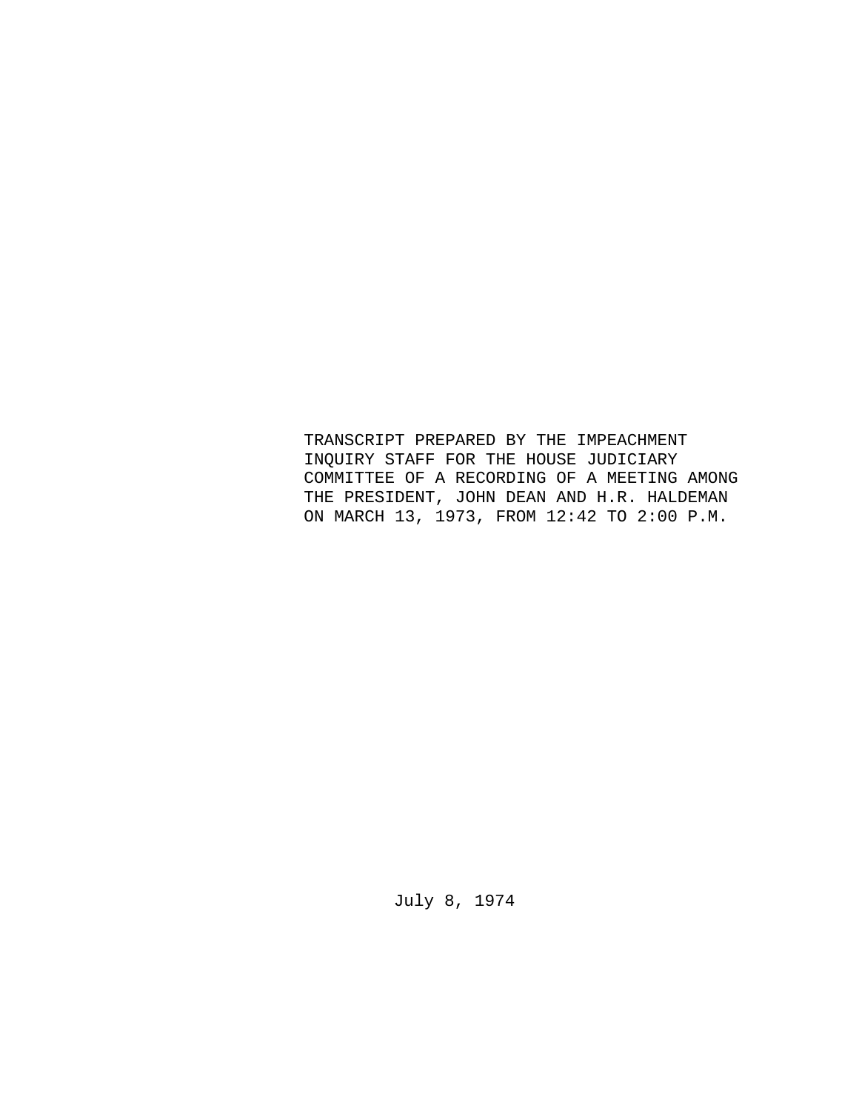TRANSCRIPT PREPARED BY THE IMPEACHMENT INQUIRY STAFF FOR THE HOUSE JUDICIARY COMMITTEE OF A RECORDING OF A MEETING AMONG THE PRESIDENT, JOHN DEAN AND H.R. HALDEMAN ON MARCH 13, 1973, FROM 12:42 TO 2:00 P.M.

July 8, 1974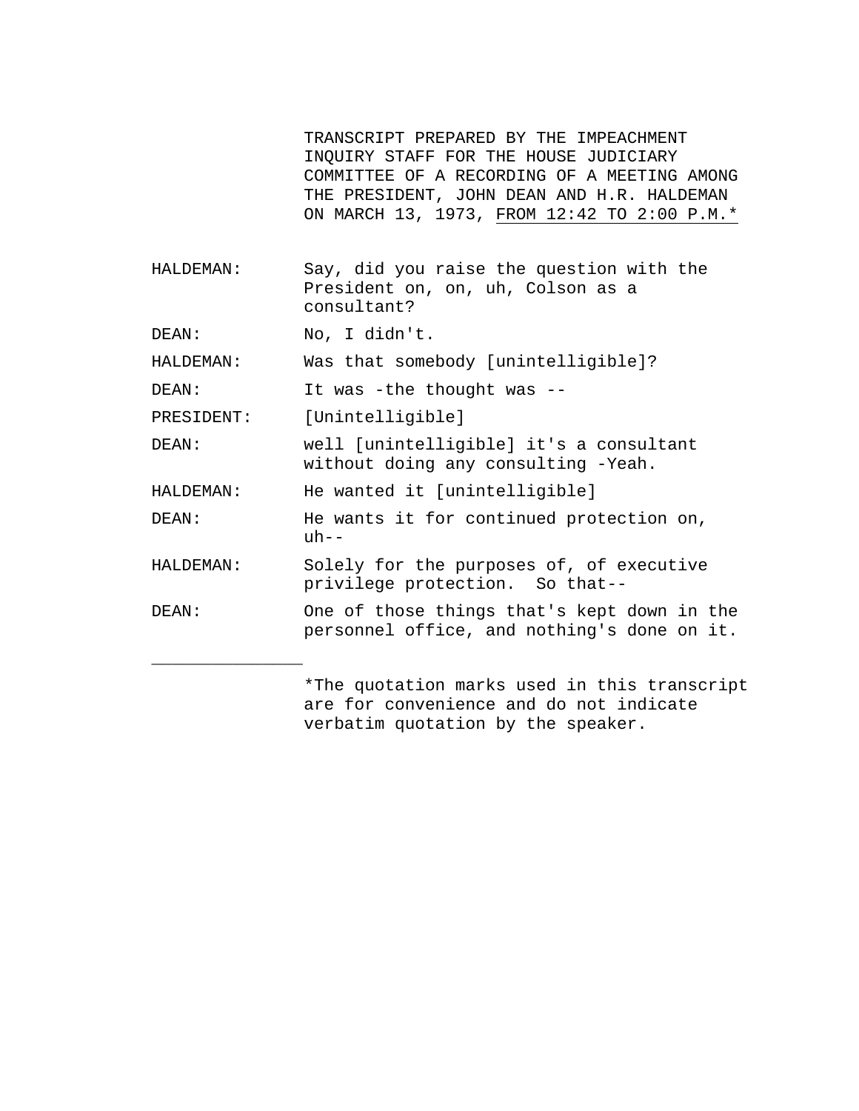TRANSCRIPT PREPARED BY THE IMPEACHMENT INQUIRY STAFF FOR THE HOUSE JUDICIARY COMMITTEE OF A RECORDING OF A MEETING AMONG THE PRESIDENT, JOHN DEAN AND H.R. HALDEMAN ON MARCH 13, 1973, FROM 12:42 TO 2:00 P.M.\*

HALDEMAN: Say, did you raise the question with the President on, on, uh, Colson as a consultant?

DEAN: No, I didn't.

\_\_\_\_\_\_\_\_\_\_\_\_\_\_\_

HALDEMAN: Was that somebody [unintelligible]?

DEAN: It was -the thought was --

PRESIDENT: [Unintelligible]

DEAN: well [unintelligible] it's a consultant without doing any consulting -Yeah.

HALDEMAN: He wanted it [unintelligible]

DEAN: He wants it for continued protection on,  $uh--$ 

- HALDEMAN: Solely for the purposes of, of executive privilege protection. So that--
- DEAN: One of those things that's kept down in the personnel office, and nothing's done on it.

\*The quotation marks used in this transcript are for convenience and do not indicate verbatim quotation by the speaker.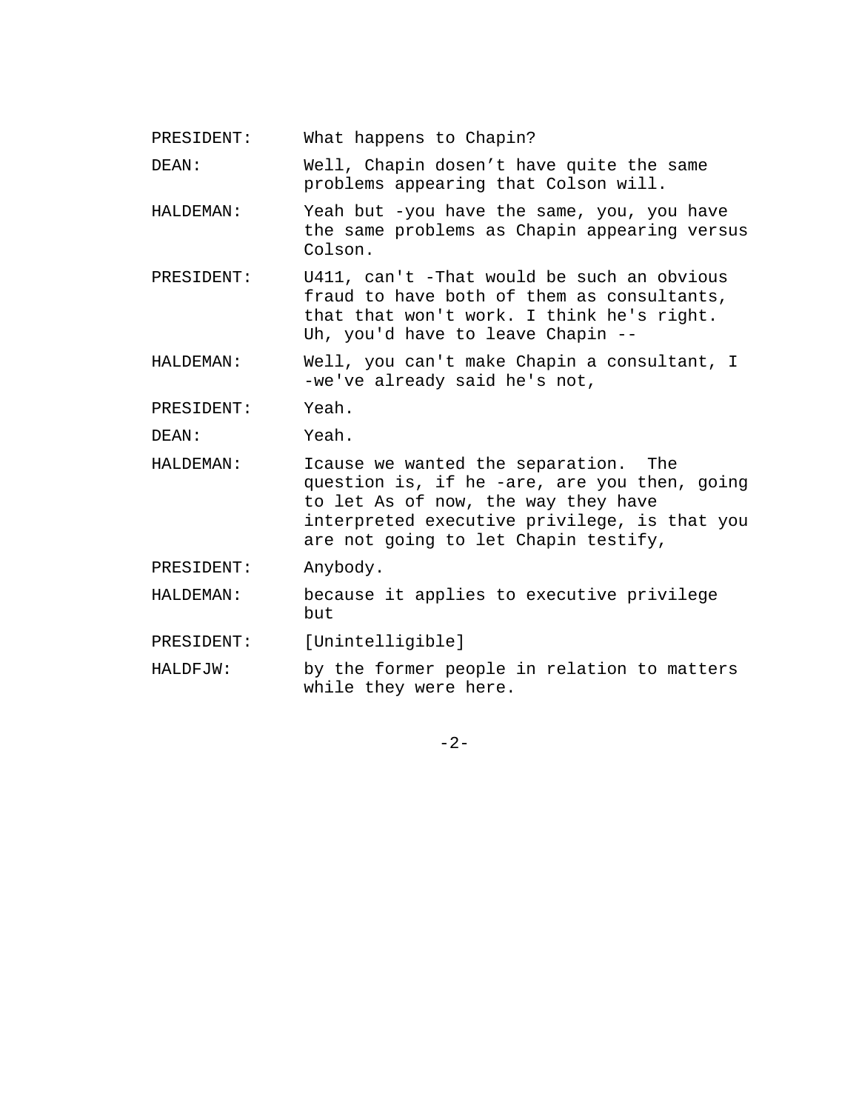PRESIDENT: What happens to Chapin?

DEAN: Well, Chapin dosen't have quite the same problems appearing that Colson will.

- HALDEMAN: Yeah but -you have the same, you, you have the same problems as Chapin appearing versus Colson.
- PRESIDENT: U411, can't -That would be such an obvious fraud to have both of them as consultants, that that won't work. I think he's right. Uh, you'd have to leave Chapin --
- HALDEMAN: Well, you can't make Chapin a consultant, I -we've already said he's not,

PRESIDENT: Yeah.

DEAN: Yeah.

HALDEMAN: Icause we wanted the separation. The question is, if he -are, are you then, going to let As of now, the way they have interpreted executive privilege, is that you are not going to let Chapin testify,

PRESIDENT: Anybody.

HALDEMAN: because it applies to executive privilege but

PRESIDENT: [Unintelligible]

HALDFJW: by the former people in relation to matters while they were here.

 $-2-$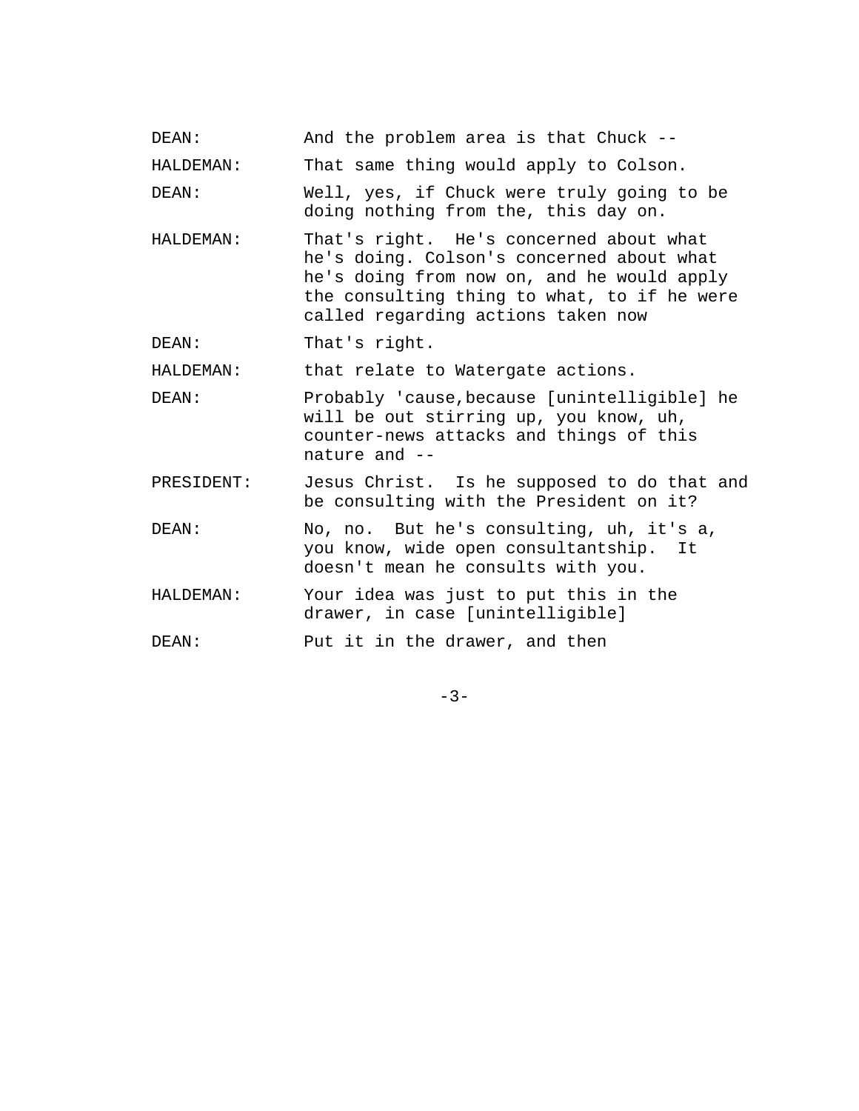DEAN: And the problem area is that Chuck --

HALDEMAN: That same thing would apply to Colson.

DEAN: Well, yes, if Chuck were truly going to be doing nothing from the, this day on.

- HALDEMAN: That's right. He's concerned about what he's doing. Colson's concerned about what he's doing from now on, and he would apply the consulting thing to what, to if he were called regarding actions taken now
- DEAN: That's right.

HALDEMAN: that relate to Watergate actions.

- DEAN: Probably 'cause,because [unintelligible] he will be out stirring up, you know, uh, counter-news attacks and things of this nature and --
- PRESIDENT: Jesus Christ. Is he supposed to do that and be consulting with the President on it?
- DEAN: No, no. But he's consulting, uh, it's a, you know, wide open consultantship. It doesn't mean he consults with you.
- HALDEMAN: Your idea was just to put this in the drawer, in case [unintelligible]

DEAN: Put it in the drawer, and then

 $-3-$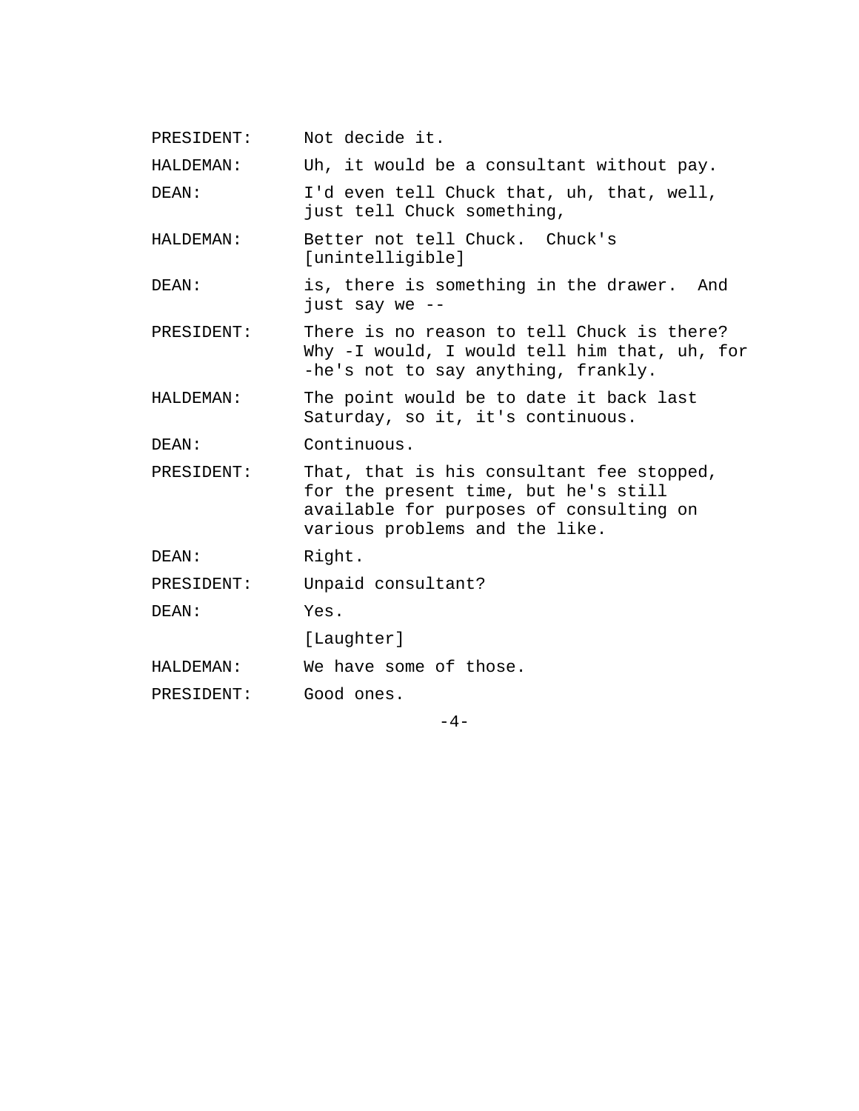PRESIDENT: Not decide it.

HALDEMAN: Uh, it would be a consultant without pay.

DEAN: I'd even tell Chuck that, uh, that, well, just tell Chuck something,

HALDEMAN: Better not tell Chuck. Chuck's [unintelligible]

DEAN: is, there is something in the drawer. And just say we --

PRESIDENT: There is no reason to tell Chuck is there? Why -I would, I would tell him that, uh, for -he's not to say anything, frankly.

HALDEMAN: The point would be to date it back last Saturday, so it, it's continuous.

DEAN: Continuous.

PRESIDENT: That, that is his consultant fee stopped, for the present time, but he's still available for purposes of consulting on various problems and the like.

DEAN: Right.

PRESIDENT: Unpaid consultant?

DEAN: Yes.

[Laughter]

HALDEMAN: We have some of those.

PRESIDENT: Good ones.

 $-4-$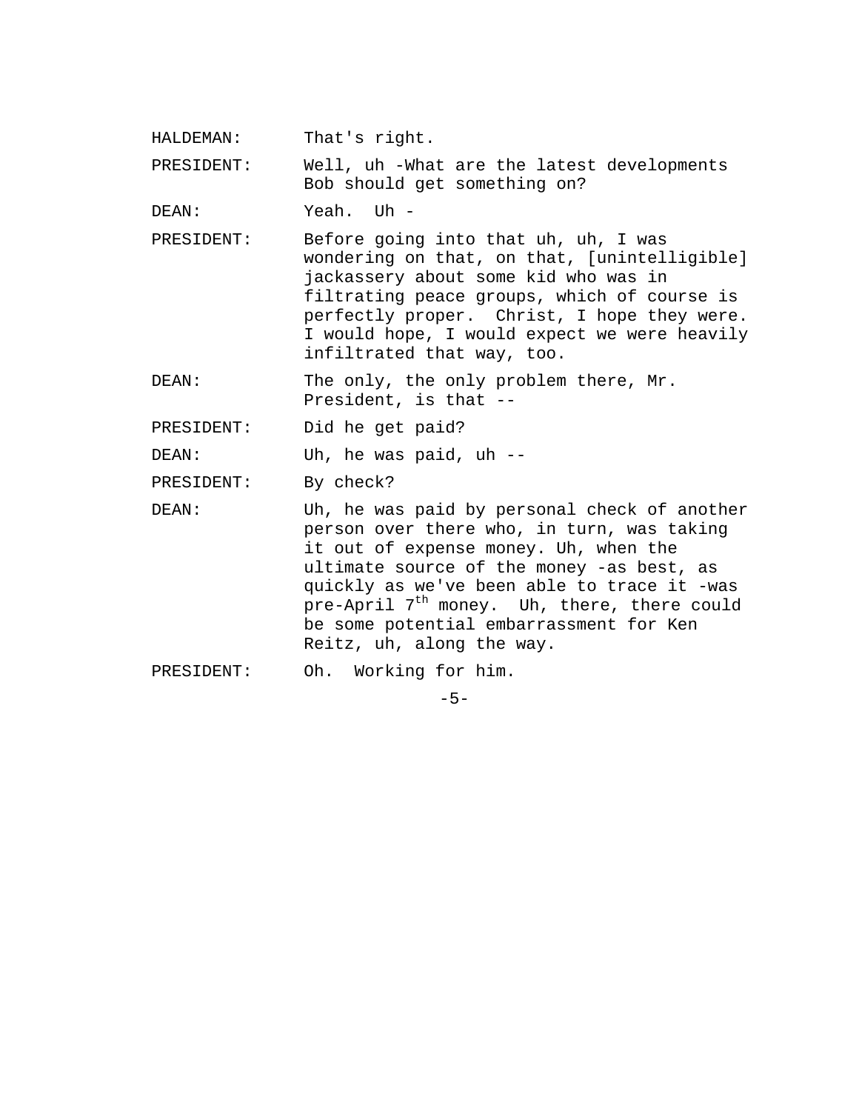HALDEMAN: That's right.

PRESIDENT: Well, uh -What are the latest developments Bob should get something on?

DEAN: Yeah. Uh -

PRESIDENT: Before going into that uh, uh, I was wondering on that, on that, [unintelligible] jackassery about some kid who was in filtrating peace groups, which of course is perfectly proper. Christ, I hope they were. I would hope, I would expect we were heavily infiltrated that way, too.

DEAN: The only, the only problem there, Mr. President, is that --

PRESIDENT: Did he get paid?

DEAN: Uh, he was paid, uh --

PRESIDENT: By check?

DEAN: Uh, he was paid by personal check of another person over there who, in turn, was taking it out of expense money. Uh, when the ultimate source of the money -as best, as quickly as we've been able to trace it -was pre-April  $7<sup>th</sup>$  money. Uh, there, there could be some potential embarrassment for Ken Reitz, uh, along the way.

PRESIDENT: Oh. Working for him.

 $-5-$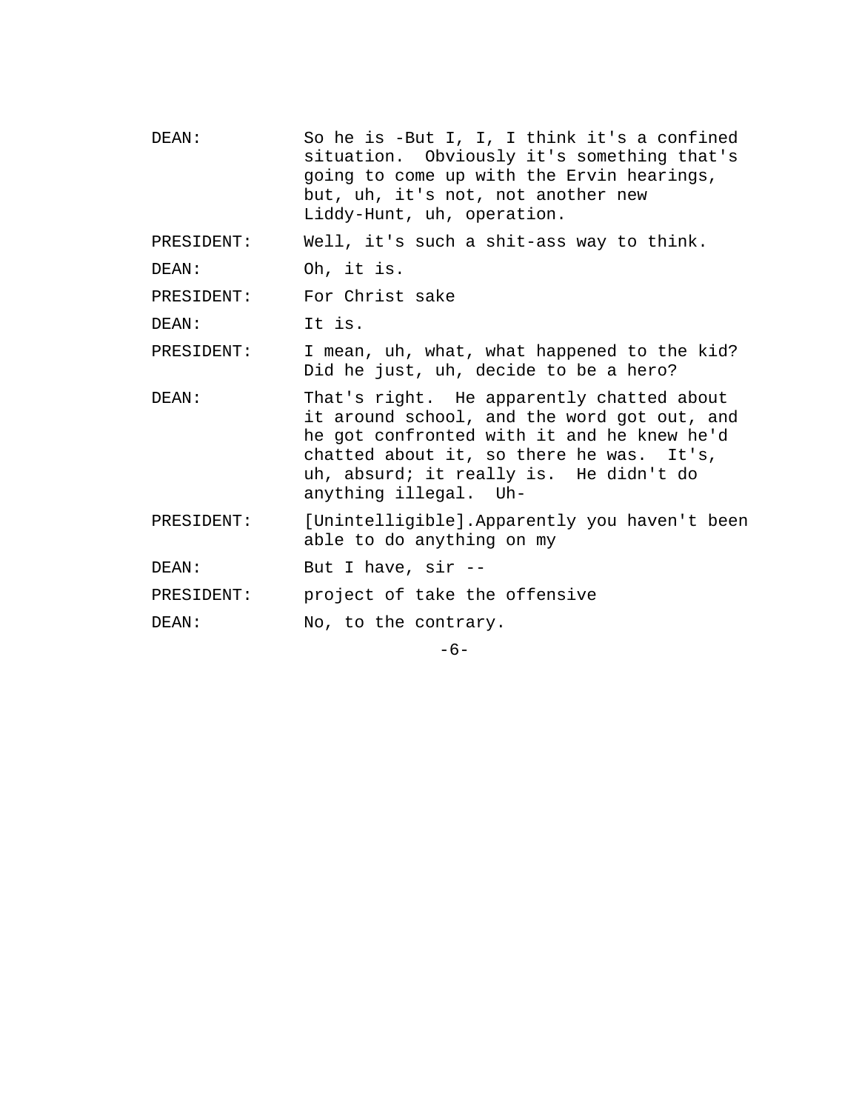- DEAN: So he is -But I, I, I think it's a confined situation. Obviously it's something that's going to come up with the Ervin hearings, but, uh, it's not, not another new Liddy-Hunt, uh, operation. PRESIDENT: Well, it's such a shit-ass way to think. DEAN: Oh, it is. PRESIDENT: For Christ sake DEAN: It is. PRESIDENT: I mean, uh, what, what happened to the kid? Did he just, uh, decide to be a hero? DEAN: That's right. He apparently chatted about it around school, and the word got out, and he got confronted with it and he knew he'd chatted about it, so there he was. It's, uh, absurd; it really is. He didn't do anything illegal. Uh-PRESIDENT: [Unintelligible].Apparently you haven't been able to do anything on my DEAN: But I have, sir --PRESIDENT: project of take the offensive DEAN: No, to the contrary.
	- -6-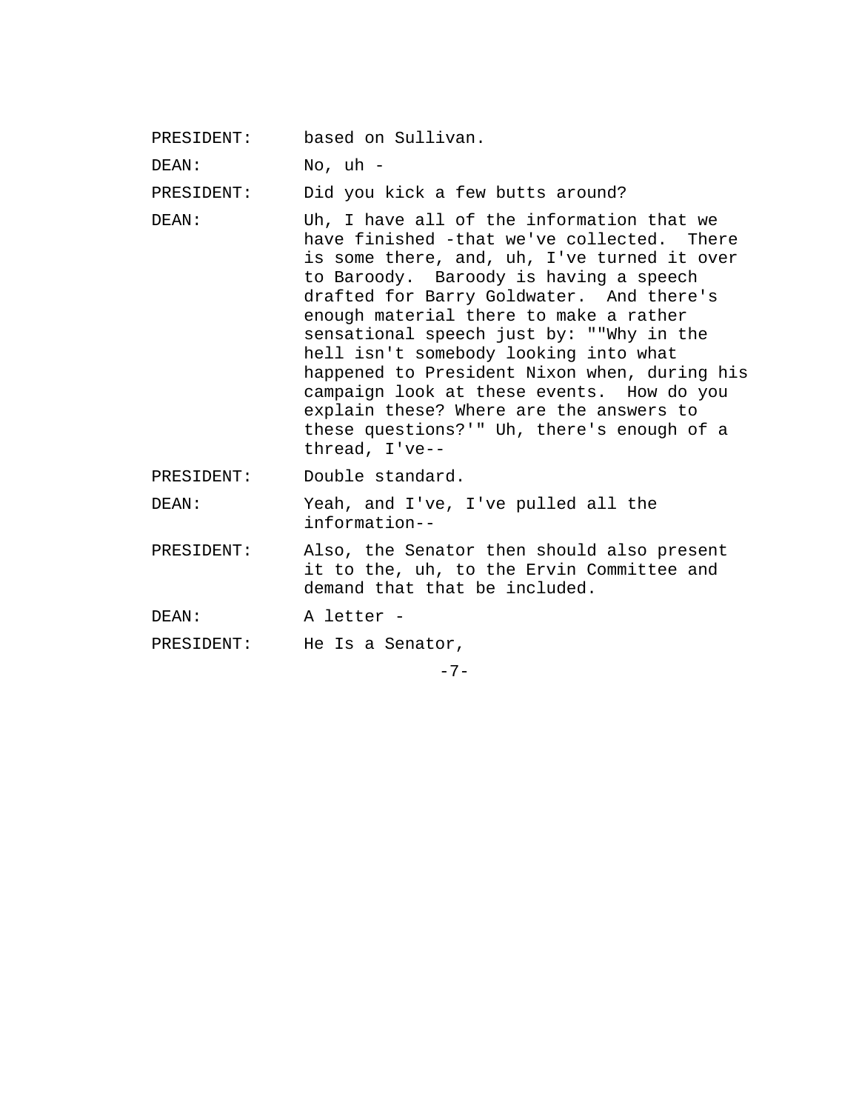PRESIDENT: based on Sullivan.

DEAN: No, uh -

PRESIDENT: Did you kick a few butts around?

- DEAN: Uh, I have all of the information that we have finished -that we've collected. There is some there, and, uh, I've turned it over to Baroody. Baroody is having a speech drafted for Barry Goldwater. And there's enough material there to make a rather sensational speech just by: ""Why in the hell isn't somebody looking into what happened to President Nixon when, during his campaign look at these events. How do you explain these? Where are the answers to these questions?'" Uh, there's enough of a thread, I've--
- PRESIDENT: Double standard.
- DEAN: Yeah, and I've, I've pulled all the information--
- PRESIDENT: Also, the Senator then should also present it to the, uh, to the Ervin Committee and demand that that be included.
- DEAN: A letter -

PRESIDENT: He Is a Senator,

 $-7-$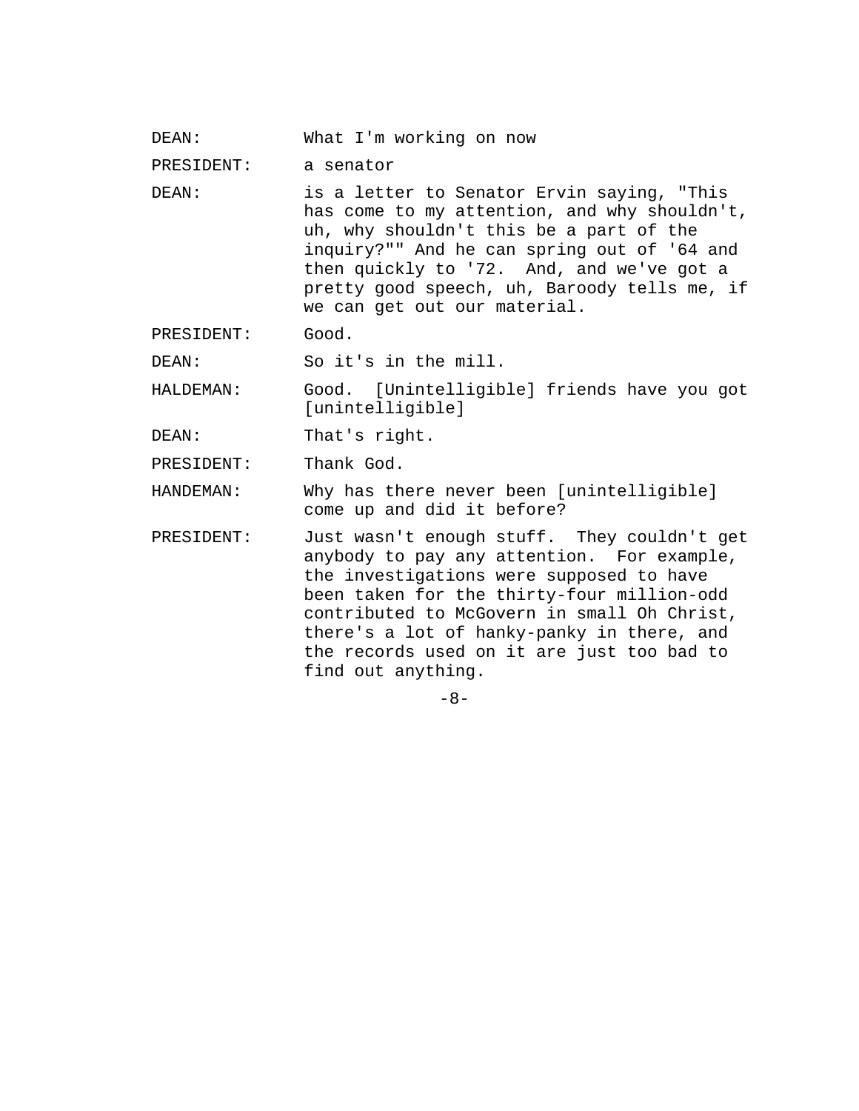DEAN: What I'm working on now

PRESIDENT: a senator

DEAN: is a letter to Senator Ervin saying, "This has come to my attention, and why shouldn't, uh, why shouldn't this be a part of the inquiry?"" And he can spring out of '64 and then quickly to '72. And, and we've got a pretty good speech, uh, Baroody tells me, if we can get out our material.

PRESIDENT: Good.

DEAN: So it's in the mill.

HALDEMAN: Good. [Unintelligible] friends have you got [unintelligible]

DEAN: That's right.

PRESIDENT: Thank God.

HANDEMAN: Why has there never been [unintelligible] come up and did it before?

PRESIDENT: Just wasn't enough stuff. They couldn't get anybody to pay any attention. For example, the investigations were supposed to have been taken for the thirty-four million-odd contributed to McGovern in small Oh Christ, there's a lot of hanky-panky in there, and the records used on it are just too bad to find out anything.

 $-8-$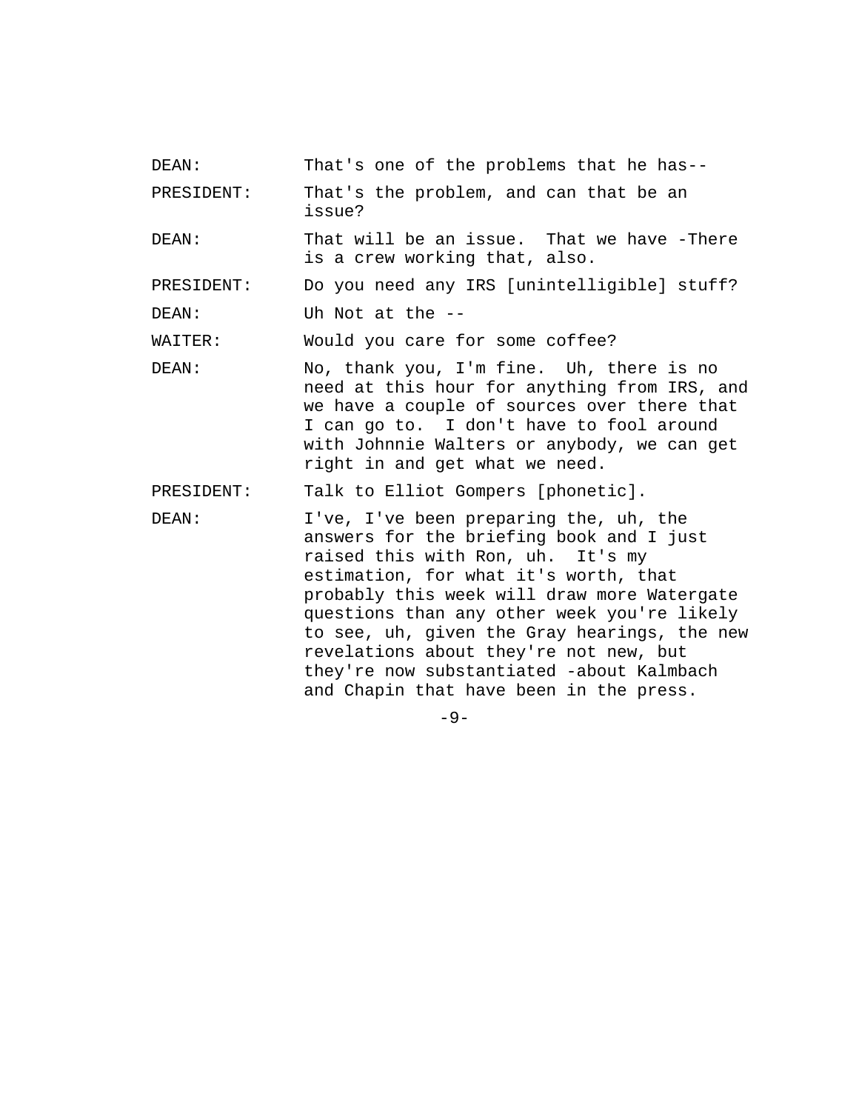DEAN: That's one of the problems that he has--

PRESIDENT: That's the problem, and can that be an issue?

- DEAN: That will be an issue. That we have -There is a crew working that, also.
- PRESIDENT: Do you need any IRS [unintelligible] stuff?
- DEAN: Uh Not at the --

WAITER: Would you care for some coffee?

- DEAN: No, thank you, I'm fine. Uh, there is no need at this hour for anything from IRS, and we have a couple of sources over there that I can go to. I don't have to fool around with Johnnie Walters or anybody, we can get right in and get what we need.
- PRESIDENT: Talk to Elliot Gompers [phonetic].
- DEAN: I've, I've been preparing the, uh, the answers for the briefing book and I just raised this with Ron, uh. It's my estimation, for what it's worth, that probably this week will draw more Watergate questions than any other week you're likely to see, uh, given the Gray hearings, the new revelations about they're not new, but they're now substantiated -about Kalmbach and Chapin that have been in the press.

 $-9-$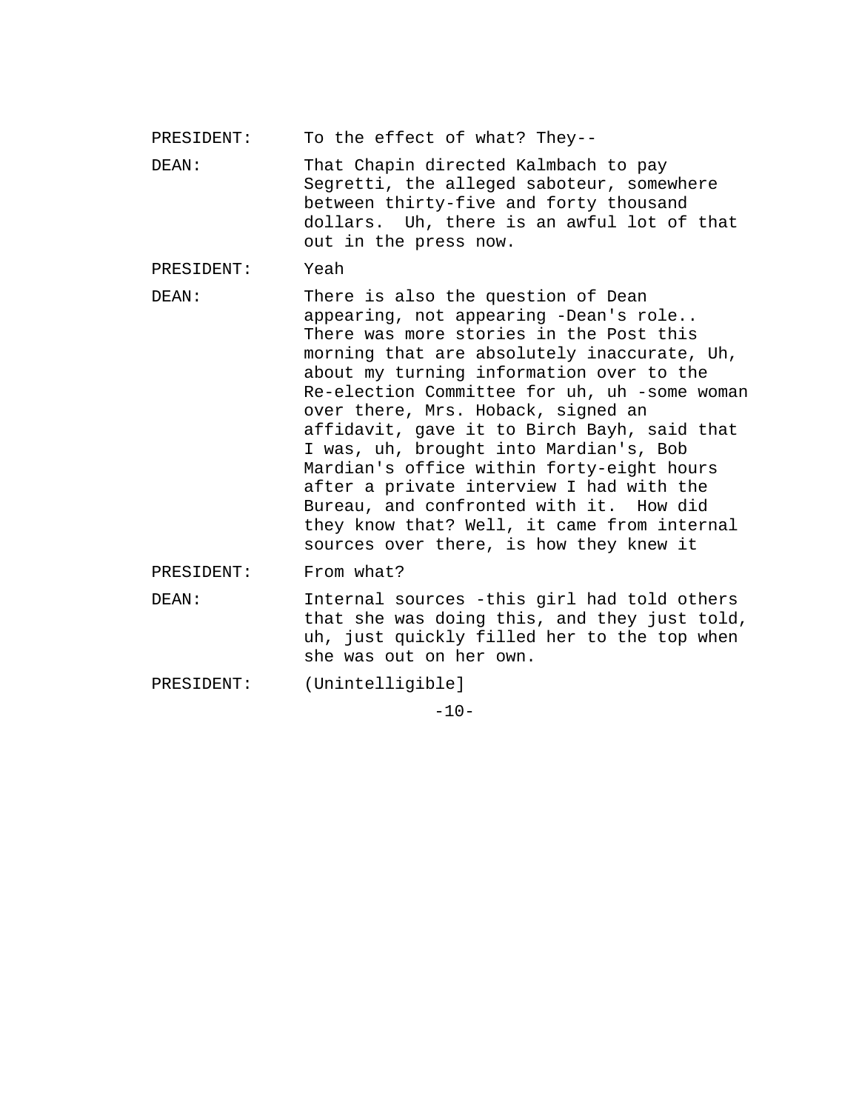- PRESIDENT: To the effect of what? They--
- DEAN: That Chapin directed Kalmbach to pay Segretti, the alleged saboteur, somewhere between thirty-five and forty thousand dollars. Uh, there is an awful lot of that out in the press now.

PRESIDENT: Yeah

DEAN: There is also the question of Dean appearing, not appearing -Dean's role.. There was more stories in the Post this morning that are absolutely inaccurate, Uh, about my turning information over to the Re-election Committee for uh, uh -some woman over there, Mrs. Hoback, signed an affidavit, gave it to Birch Bayh, said that I was, uh, brought into Mardian's, Bob Mardian's office within forty-eight hours after a private interview I had with the Bureau, and confronted with it. How did they know that? Well, it came from internal sources over there, is how they knew it

PRESIDENT: From what?

- DEAN: Internal sources -this girl had told others that she was doing this, and they just told, uh, just quickly filled her to the top when she was out on her own.
- PRESIDENT: (Unintelligible]

 $-10-$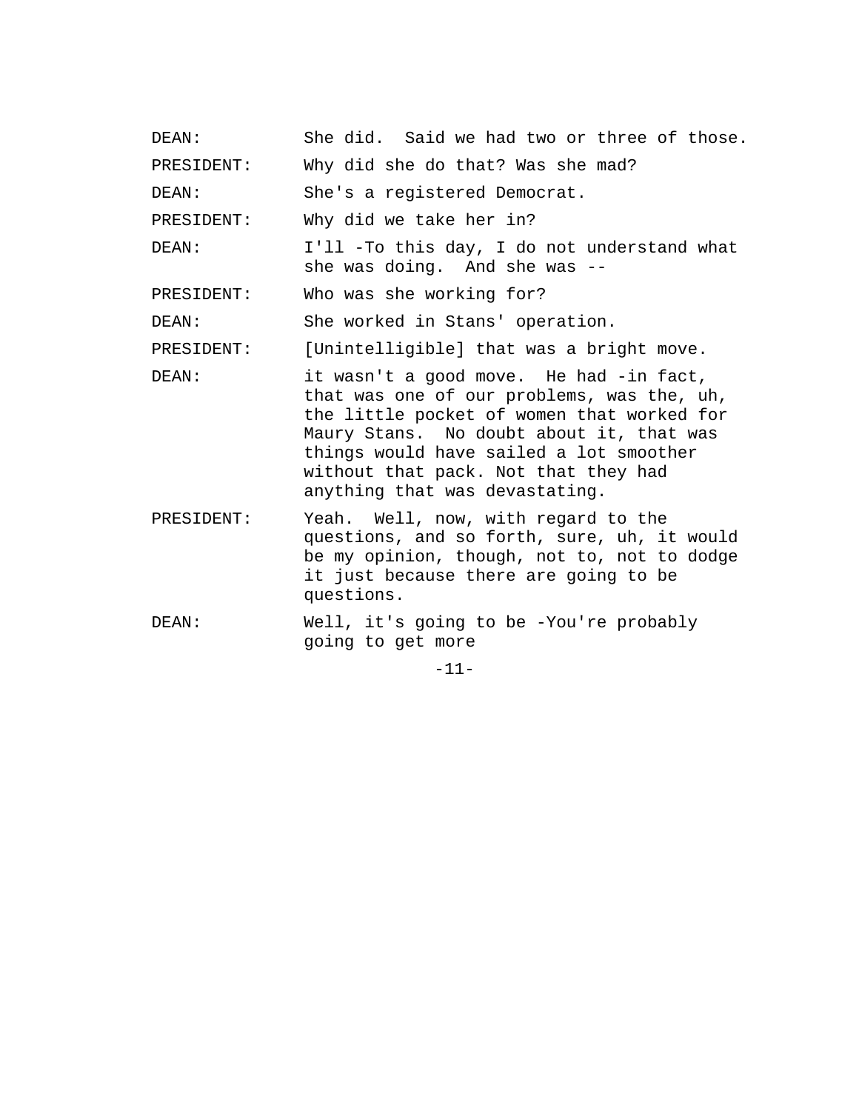| PRESIDENT: | Why did she do that? Was she mad?                                                                                                                                                                                                                                                                    |
|------------|------------------------------------------------------------------------------------------------------------------------------------------------------------------------------------------------------------------------------------------------------------------------------------------------------|
| DEAN:      | She's a registered Democrat.                                                                                                                                                                                                                                                                         |
| PRESIDENT: | Why did we take her in?                                                                                                                                                                                                                                                                              |
| DEAN:      | I'll -To this day, I do not understand what<br>she was doing. And she was --                                                                                                                                                                                                                         |
| PRESIDENT: | Who was she working for?                                                                                                                                                                                                                                                                             |
| DEAN:      | She worked in Stans' operation.                                                                                                                                                                                                                                                                      |
| PRESIDENT: | [Unintelligible] that was a bright move.                                                                                                                                                                                                                                                             |
| DEAN:      | it wasn't a good move. He had -in fact,<br>that was one of our problems, was the, uh,<br>the little pocket of women that worked for<br>Maury Stans. No doubt about it, that was<br>things would have sailed a lot smoother<br>without that pack. Not that they had<br>anything that was devastating. |
| PRESIDENT: | Yeah. Well, now, with regard to the<br>questions, and so forth, sure, uh, it would<br>be my opinion, though, not to, not to dodge<br>it just because there are going to be<br>questions.                                                                                                             |

DEAN: She did. Said we had two or three of those.

DEAN: Well, it's going to be -You're probably going to get more

-11-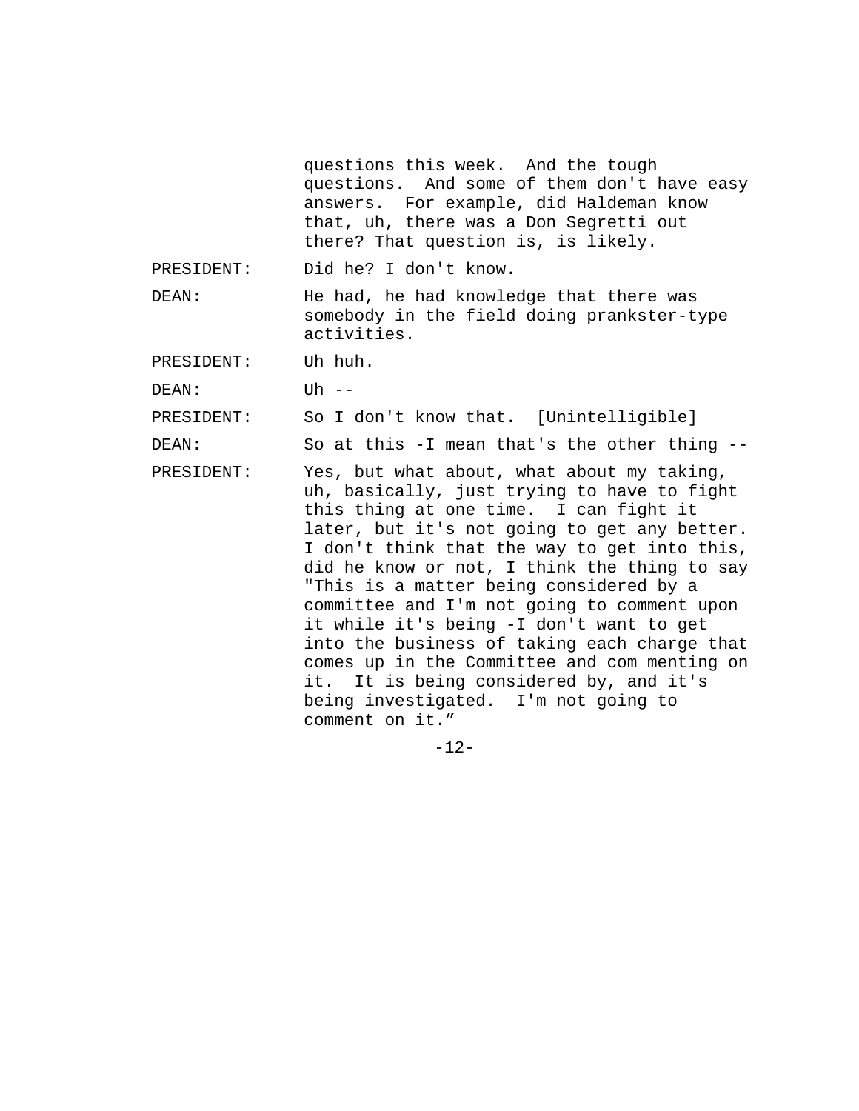questions this week. And the tough questions. And some of them don't have easy answers. For example, did Haldeman know that, uh, there was a Don Segretti out there? That question is, is likely.

PRESIDENT: Did he? I don't know.

DEAN: He had, he had knowledge that there was somebody in the field doing prankster-type activities.

PRESIDENT: Uh huh.

DEAN: Uh --

PRESIDENT: So I don't know that. [Unintelligible]

DEAN: So at this -I mean that's the other thing --

PRESIDENT: Yes, but what about, what about my taking, uh, basically, just trying to have to fight this thing at one time. I can fight it later, but it's not going to get any better. I don't think that the way to get into this, did he know or not, I think the thing to say "This is a matter being considered by a committee and I'm not going to comment upon it while it's being -I don't want to get into the business of taking each charge that comes up in the Committee and com menting on it. It is being considered by, and it's being investigated. I'm not going to comment on it."

-12-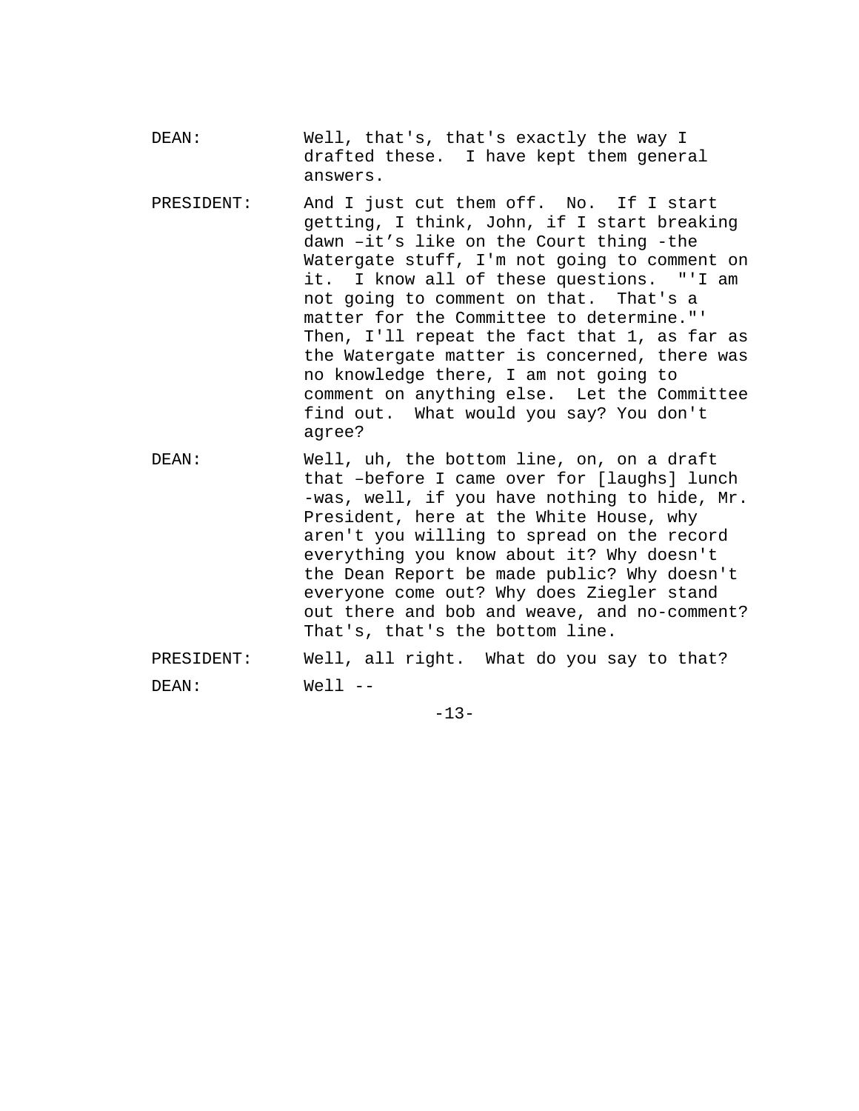| DEAN: | Well, that's, that's exactly the way I  |  |  |  |  |  |
|-------|-----------------------------------------|--|--|--|--|--|
|       | drafted these. I have kept them general |  |  |  |  |  |
|       | answers.                                |  |  |  |  |  |

- PRESIDENT: And I just cut them off. No. If I start getting, I think, John, if I start breaking dawn –it's like on the Court thing -the Watergate stuff, I'm not going to comment on it. I know all of these questions. "'I am not going to comment on that. That's a matter for the Committee to determine."' Then, I'll repeat the fact that 1, as far as the Watergate matter is concerned, there was no knowledge there, I am not going to comment on anything else. Let the Committee find out. What would you say? You don't agree?
- DEAN: Well, uh, the bottom line, on, on a draft that –before I came over for [laughs] lunch -was, well, if you have nothing to hide, Mr. President, here at the White House, why aren't you willing to spread on the record everything you know about it? Why doesn't the Dean Report be made public? Why doesn't everyone come out? Why does Ziegler stand out there and bob and weave, and no-comment? That's, that's the bottom line.
- PRESIDENT: Well, all right. What do you say to that? DEAN: Well --

 $-13-$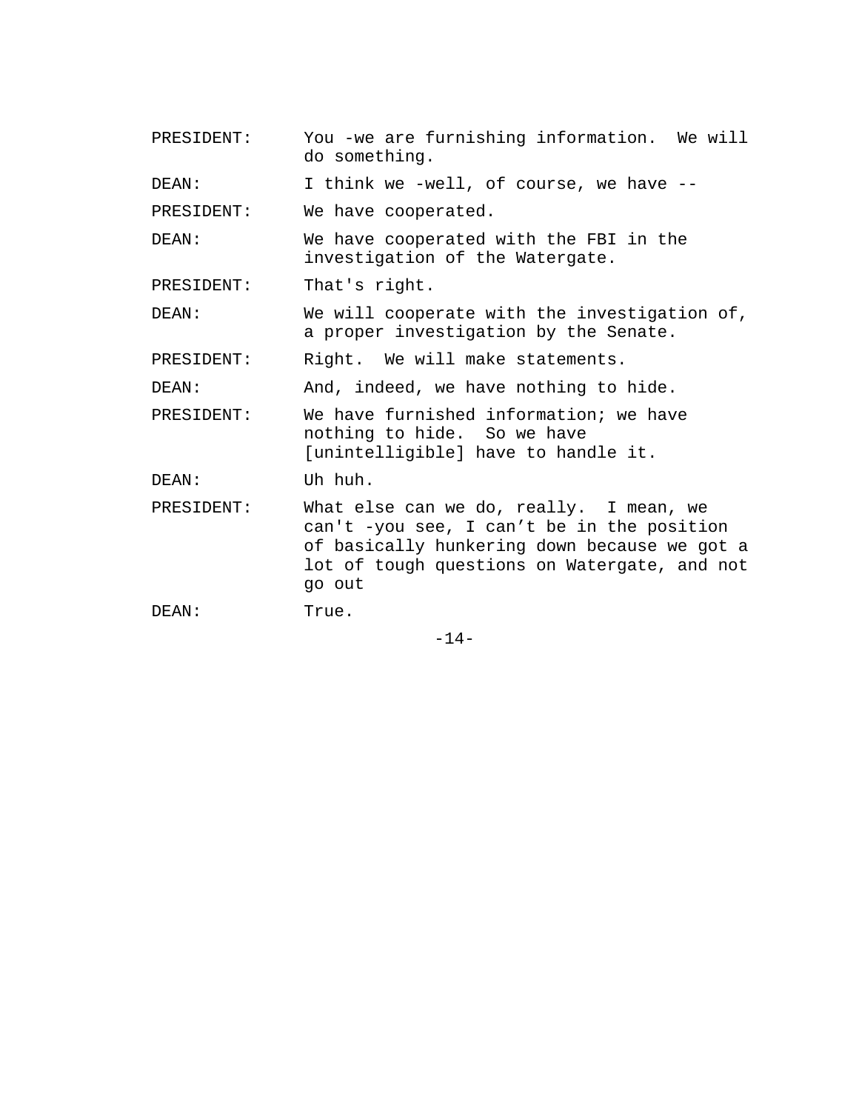| PRESIDENT: | You -we are furnishing information. We will<br>do something.                                                                                                                                    |  |  |  |  |  |  |
|------------|-------------------------------------------------------------------------------------------------------------------------------------------------------------------------------------------------|--|--|--|--|--|--|
| DEAN:      | I think we -well, of course, we have --                                                                                                                                                         |  |  |  |  |  |  |
| PRESIDENT: | We have cooperated.                                                                                                                                                                             |  |  |  |  |  |  |
| DEAN:      | We have cooperated with the FBI in the<br>investigation of the Watergate.                                                                                                                       |  |  |  |  |  |  |
| PRESIDENT: | That's right.                                                                                                                                                                                   |  |  |  |  |  |  |
| DEAN:      | We will cooperate with the investigation of,<br>a proper investigation by the Senate.                                                                                                           |  |  |  |  |  |  |
| PRESIDENT: | Right. We will make statements.                                                                                                                                                                 |  |  |  |  |  |  |
| DEAN:      | And, indeed, we have nothing to hide.                                                                                                                                                           |  |  |  |  |  |  |
| PRESIDENT: | We have furnished information; we have<br>nothing to hide. So we have<br>[unintelligible] have to handle it.                                                                                    |  |  |  |  |  |  |
| DEAN:      | Uh huh.                                                                                                                                                                                         |  |  |  |  |  |  |
| PRESIDENT: | What else can we do, really. I mean, we<br>can't -you see, I can't be in the position<br>of basically hunkering down because we got a<br>lot of tough questions on Watergate, and not<br>go out |  |  |  |  |  |  |
| DEAN:      | True.                                                                                                                                                                                           |  |  |  |  |  |  |

-14-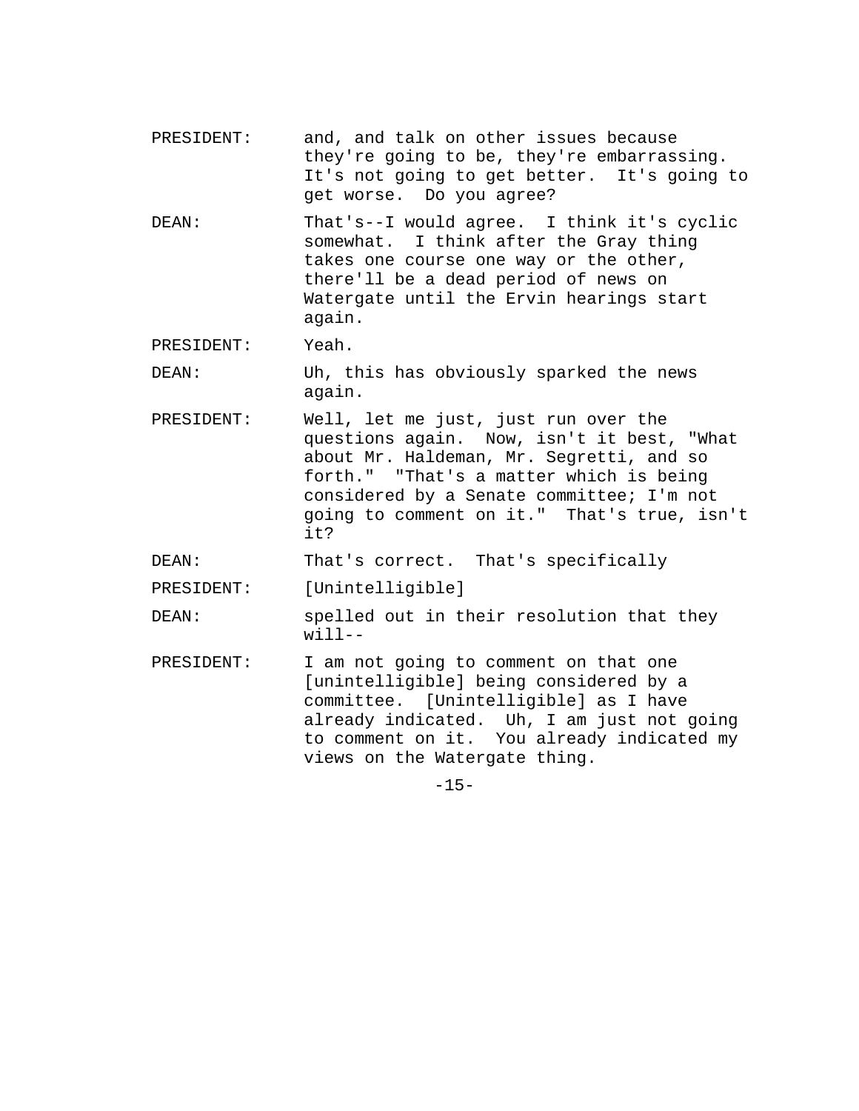- PRESIDENT: and, and talk on other issues because they're going to be, they're embarrassing. It's not going to get better. It's going to get worse. Do you agree?
- DEAN: That's--I would agree. I think it's cyclic somewhat. I think after the Gray thing takes one course one way or the other, there'll be a dead period of news on Watergate until the Ervin hearings start again.

PRESIDENT: Yeah.

DEAN: Uh, this has obviously sparked the news again.

PRESIDENT: Well, let me just, just run over the questions again. Now, isn't it best, "What about Mr. Haldeman, Mr. Segretti, and so forth." "That's a matter which is being considered by a Senate committee; I'm not going to comment on it." That's true, isn't it?

DEAN: That's correct. That's specifically

PRESIDENT: [Unintelligible]

- DEAN: spelled out in their resolution that they will--
- PRESIDENT: I am not going to comment on that one [unintelligible] being considered by a committee. [Unintelligible] as I have already indicated. Uh, I am just not going to comment on it. You already indicated my views on the Watergate thing.

 $-15-$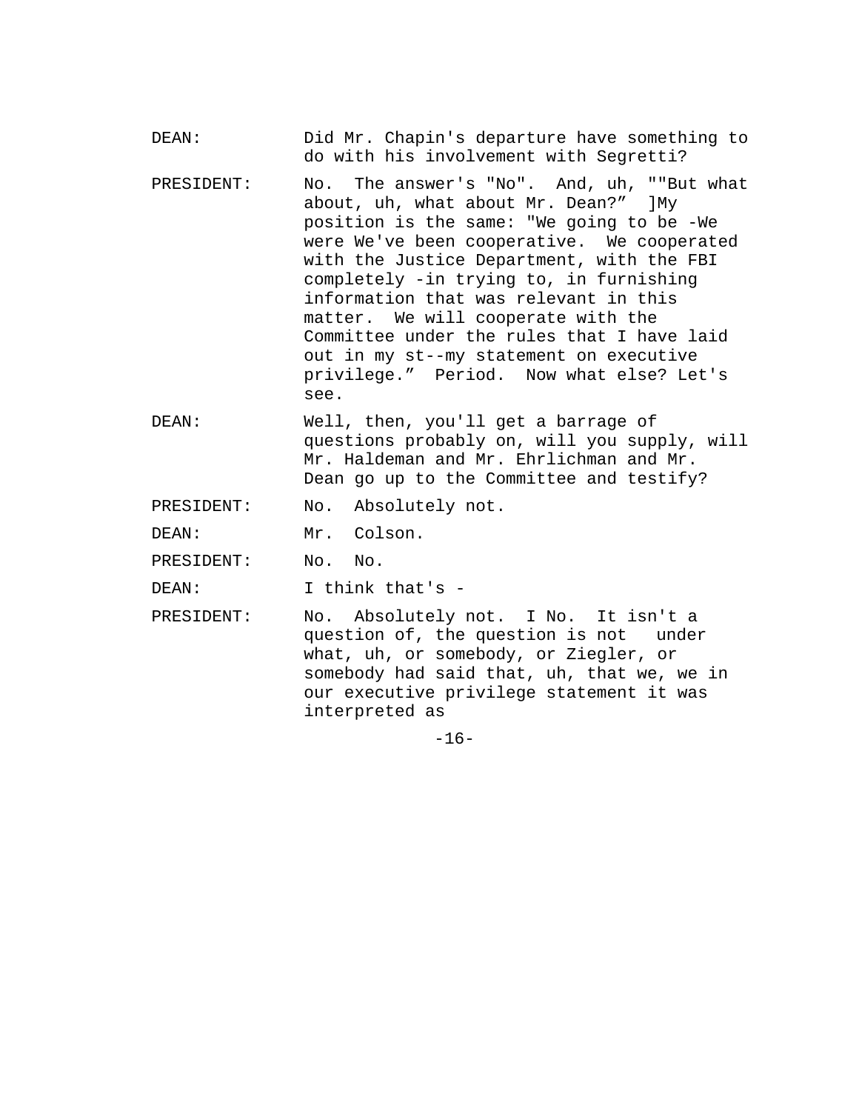- DEAN: Did Mr. Chapin's departure have something to do with his involvement with Segretti?
- PRESIDENT: No. The answer's "No". And, uh, ""But what about, uh, what about Mr. Dean?" ]My position is the same: "We going to be -We were We've been cooperative. We cooperated with the Justice Department, with the FBI completely -in trying to, in furnishing information that was relevant in this matter. We will cooperate with the Committee under the rules that I have laid out in my st--my statement on executive privilege." Period. Now what else? Let's see.
- DEAN: Well, then, you'll get a barrage of questions probably on, will you supply, will Mr. Haldeman and Mr. Ehrlichman and Mr. Dean go up to the Committee and testify?
- PRESIDENT: No. Absolutely not.
- DEAN: Mr. Colson.
- PRESIDENT: No. No.
- DEAN: I think that's -
- PRESIDENT: No. Absolutely not. I No. It isn't a question of, the question is not under what, uh, or somebody, or Ziegler, or somebody had said that, uh, that we, we in our executive privilege statement it was interpreted as

 $-16-$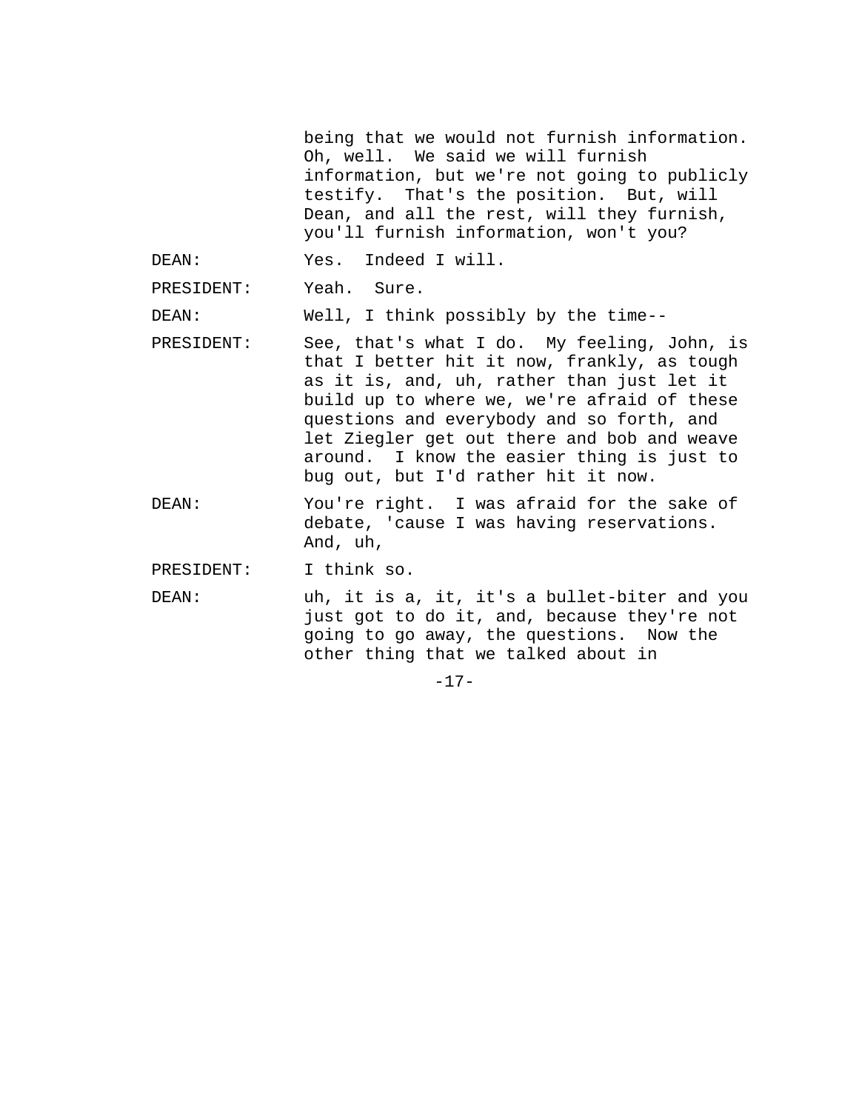being that we would not furnish information. Oh, well. We said we will furnish information, but we're not going to publicly testify. That's the position. But, will Dean, and all the rest, will they furnish, you'll furnish information, won't you?

DEAN: Yes. Indeed I will.

PRESIDENT: Yeah. Sure.

DEAN: Well, I think possibly by the time--

- PRESIDENT: See, that's what I do. My feeling, John, is that I better hit it now, frankly, as tough as it is, and, uh, rather than just let it build up to where we, we're afraid of these questions and everybody and so forth, and let Ziegler get out there and bob and weave around. I know the easier thing is just to bug out, but I'd rather hit it now.
- DEAN: You're right. I was afraid for the sake of debate, 'cause I was having reservations. And, uh,
- PRESIDENT: I think so.
- DEAN: uh, it is a, it, it's a bullet-biter and you just got to do it, and, because they're not going to go away, the questions. Now the other thing that we talked about in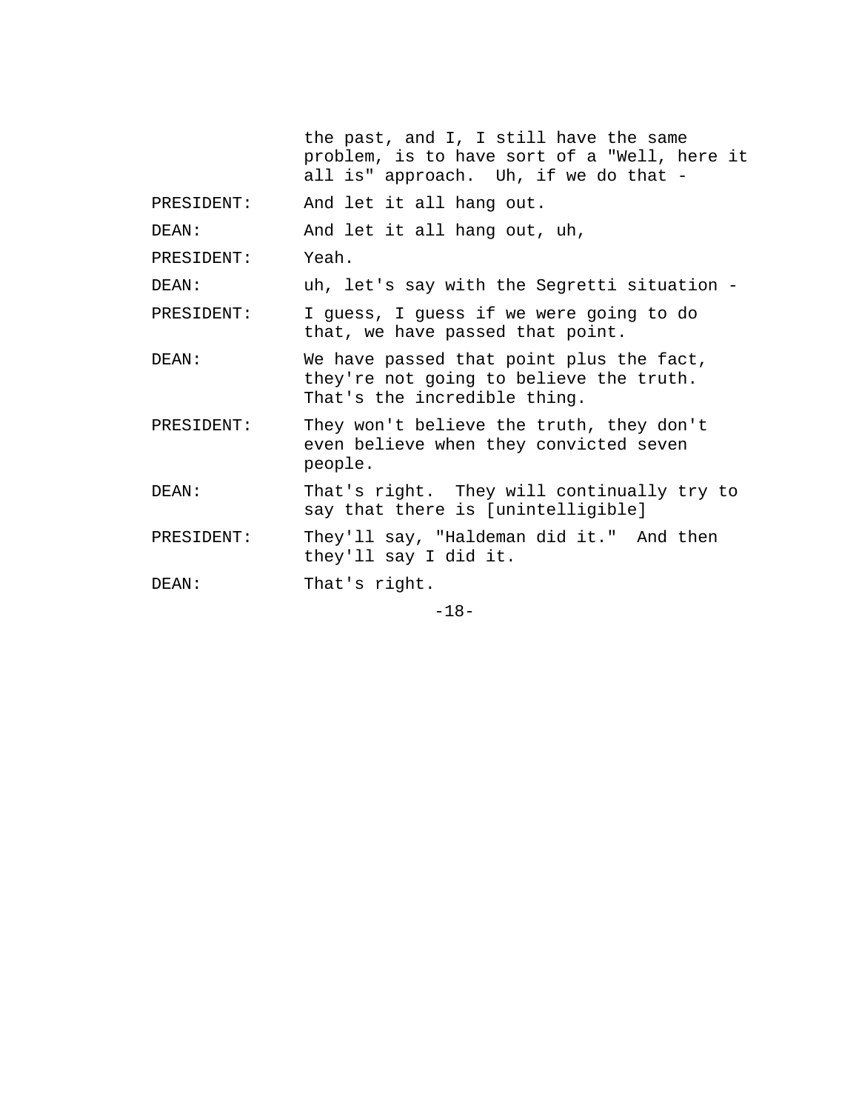|            | the past, and I, I still have the same<br>problem, is to have sort of a "Well, here it<br>all is" approach. Uh, if we do that - |  |  |  |  |  |
|------------|---------------------------------------------------------------------------------------------------------------------------------|--|--|--|--|--|
| PRESIDENT: | And let it all hang out.                                                                                                        |  |  |  |  |  |
| DEAN:      | And let it all hang out, uh,                                                                                                    |  |  |  |  |  |
| PRESIDENT: | Yeah.                                                                                                                           |  |  |  |  |  |
| DEAN:      | uh, let's say with the Segretti situation -                                                                                     |  |  |  |  |  |
| PRESIDENT: | I guess, I guess if we were going to do<br>that, we have passed that point.                                                     |  |  |  |  |  |
| DEAN:      | We have passed that point plus the fact,<br>they're not going to believe the truth.<br>That's the incredible thing.             |  |  |  |  |  |
| PRESIDENT: | They won't believe the truth, they don't<br>even believe when they convicted seven<br>people.                                   |  |  |  |  |  |
| DEAN:      | That's right. They will continually try to<br>say that there is [unintelligible]                                                |  |  |  |  |  |
| PRESIDENT: | They'll say, "Haldeman did it." And then<br>they'll say I did it.                                                               |  |  |  |  |  |
| DEAN:      | That's right.                                                                                                                   |  |  |  |  |  |
|            |                                                                                                                                 |  |  |  |  |  |

-18-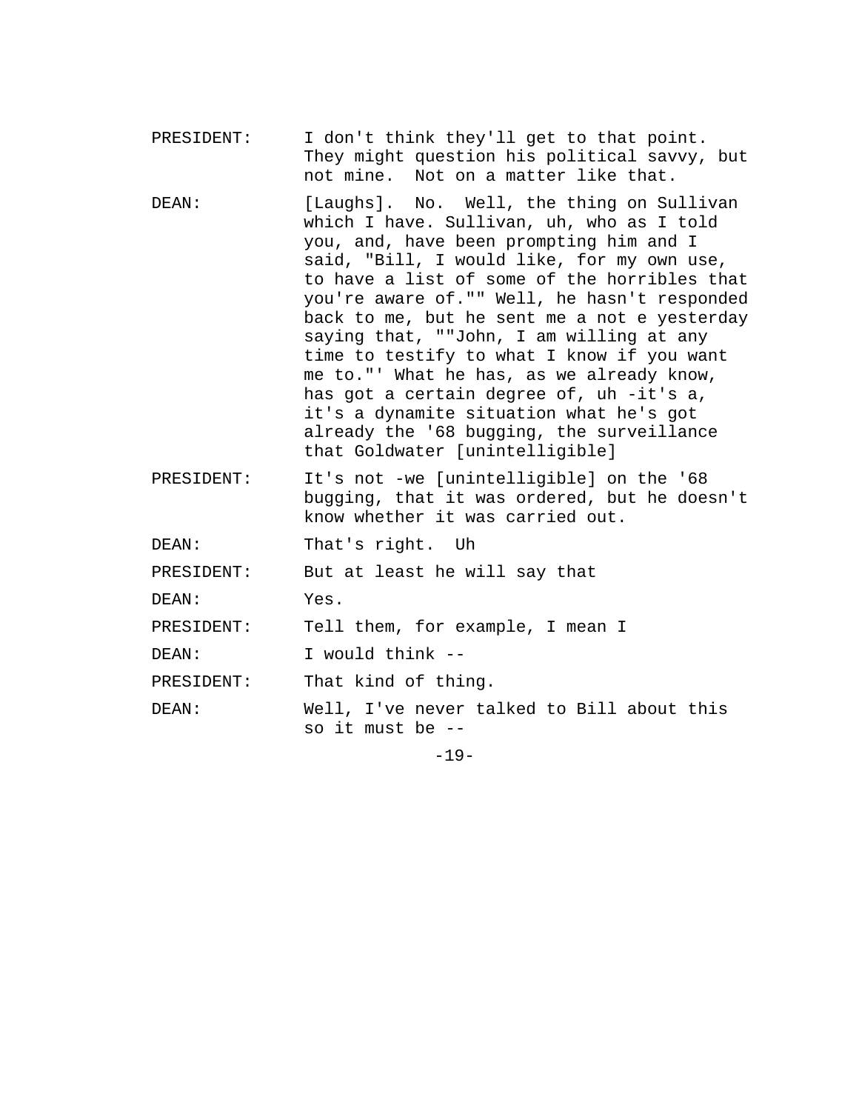- PRESIDENT: I don't think they'll get to that point. They might question his political savvy, but not mine. Not on a matter like that.
- DEAN: [Laughs]. No. Well, the thing on Sullivan which I have. Sullivan, uh, who as I told you, and, have been prompting him and I said, "Bill, I would like, for my own use, to have a list of some of the horribles that you're aware of."" Well, he hasn't responded back to me, but he sent me a not e yesterday saying that, ""John, I am willing at any time to testify to what I know if you want me to."' What he has, as we already know, has got a certain degree of, uh -it's a, it's a dynamite situation what he's got already the '68 bugging, the surveillance that Goldwater [unintelligible]
- PRESIDENT: It's not -we [unintelligible] on the '68 bugging, that it was ordered, but he doesn't know whether it was carried out.
- DEAN: That's right. Uh

PRESIDENT: But at least he will say that

DEAN: Yes.

PRESIDENT: Tell them, for example, I mean I

DEAN: I would think --

PRESIDENT: That kind of thing.

DEAN: Well, I've never talked to Bill about this so it must be --

-19-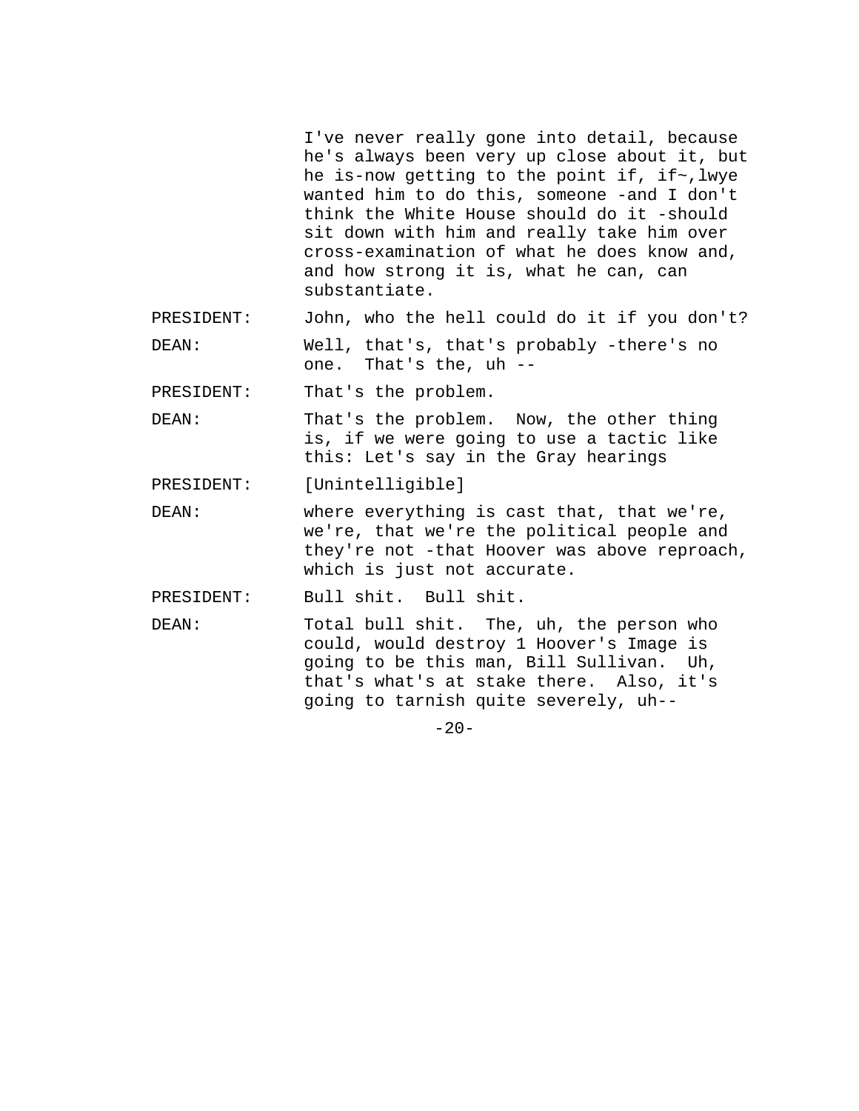I've never really gone into detail, because he's always been very up close about it, but he is-now getting to the point if, if~,lwye wanted him to do this, someone -and I don't think the White House should do it -should sit down with him and really take him over cross-examination of what he does know and, and how strong it is, what he can, can substantiate.

PRESIDENT: John, who the hell could do it if you don't?

DEAN: Well, that's, that's probably -there's no one. That's the, uh --

PRESIDENT: That's the problem.

DEAN: That's the problem. Now, the other thing is, if we were going to use a tactic like this: Let's say in the Gray hearings

PRESIDENT: [Unintelligible]

DEAN: where everything is cast that, that we're, we're, that we're the political people and they're not -that Hoover was above reproach, which is just not accurate.

PRESIDENT: Bull shit. Bull shit.

DEAN: Total bull shit. The, uh, the person who could, would destroy 1 Hoover's Image is going to be this man, Bill Sullivan. Uh, that's what's at stake there. Also, it's going to tarnish quite severely, uh--

 $-20-$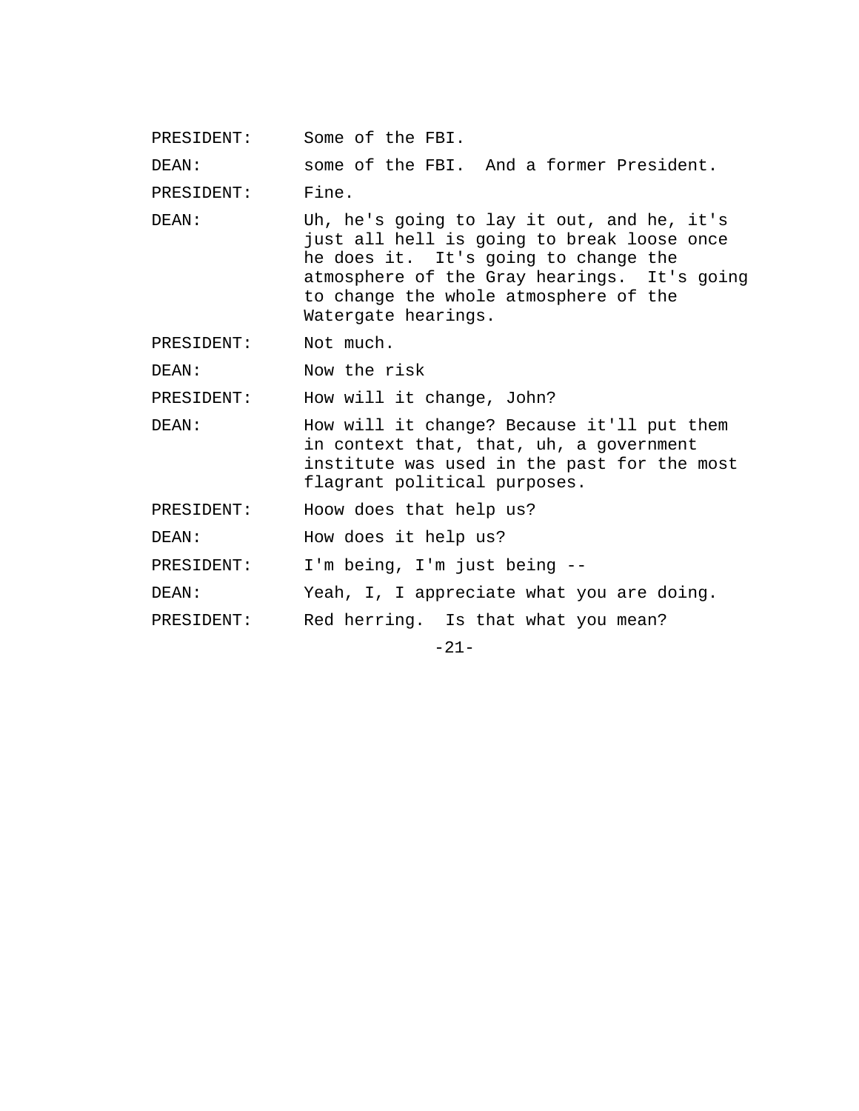PRESIDENT: Some of the FBI.

DEAN: some of the FBI. And a former President.

PRESIDENT: Fine.

DEAN: Uh, he's going to lay it out, and he, it's just all hell is going to break loose once he does it. It's going to change the atmosphere of the Gray hearings. It's going to change the whole atmosphere of the Watergate hearings.

PRESIDENT: Not much.

DEAN: Now the risk

PRESIDENT: How will it change, John?

DEAN: How will it change? Because it'll put them in context that, that, uh, a government institute was used in the past for the most flagrant political purposes.

PRESIDENT: Hoow does that help us?

DEAN: How does it help us?

PRESIDENT: I'm being, I'm just being --

DEAN: Yeah, I, I appreciate what you are doing.

PRESIDENT: Red herring. Is that what you mean?

-21-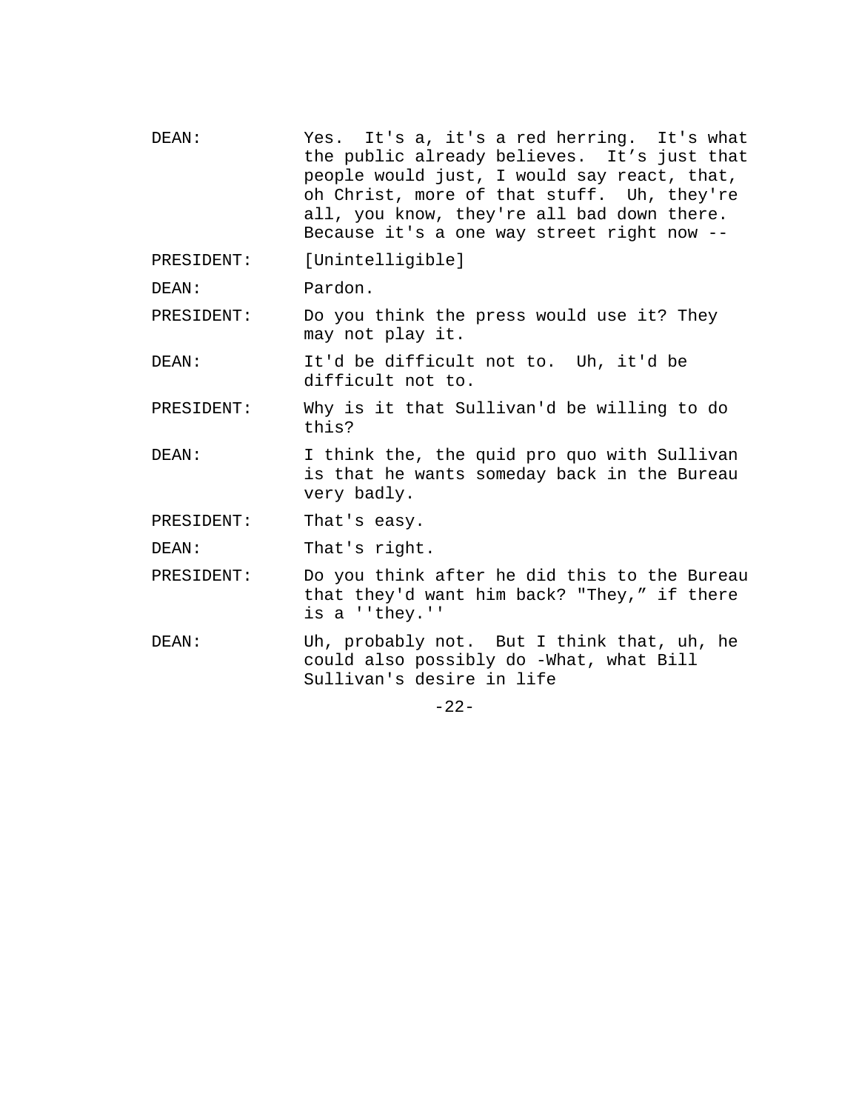DEAN: Yes. It's a, it's a red herring. It's what the public already believes. It's just that people would just, I would say react, that, oh Christ, more of that stuff. Uh, they're all, you know, they're all bad down there. Because it's a one way street right now -- PRESIDENT: [Unintelligible] DEAN: Pardon. PRESIDENT: Do you think the press would use it? They may not play it.

DEAN: It'd be difficult not to. Uh, it'd be difficult not to.

PRESIDENT: Why is it that Sullivan'd be willing to do this?

DEAN: I think the, the quid pro quo with Sullivan is that he wants someday back in the Bureau very badly.

PRESIDENT: That's easy.

DEAN: That's right.

- PRESIDENT: Do you think after he did this to the Bureau that they'd want him back? "They," if there is a ''they.''
- DEAN: Uh, probably not. But I think that, uh, he could also possibly do -What, what Bill Sullivan's desire in life

-22-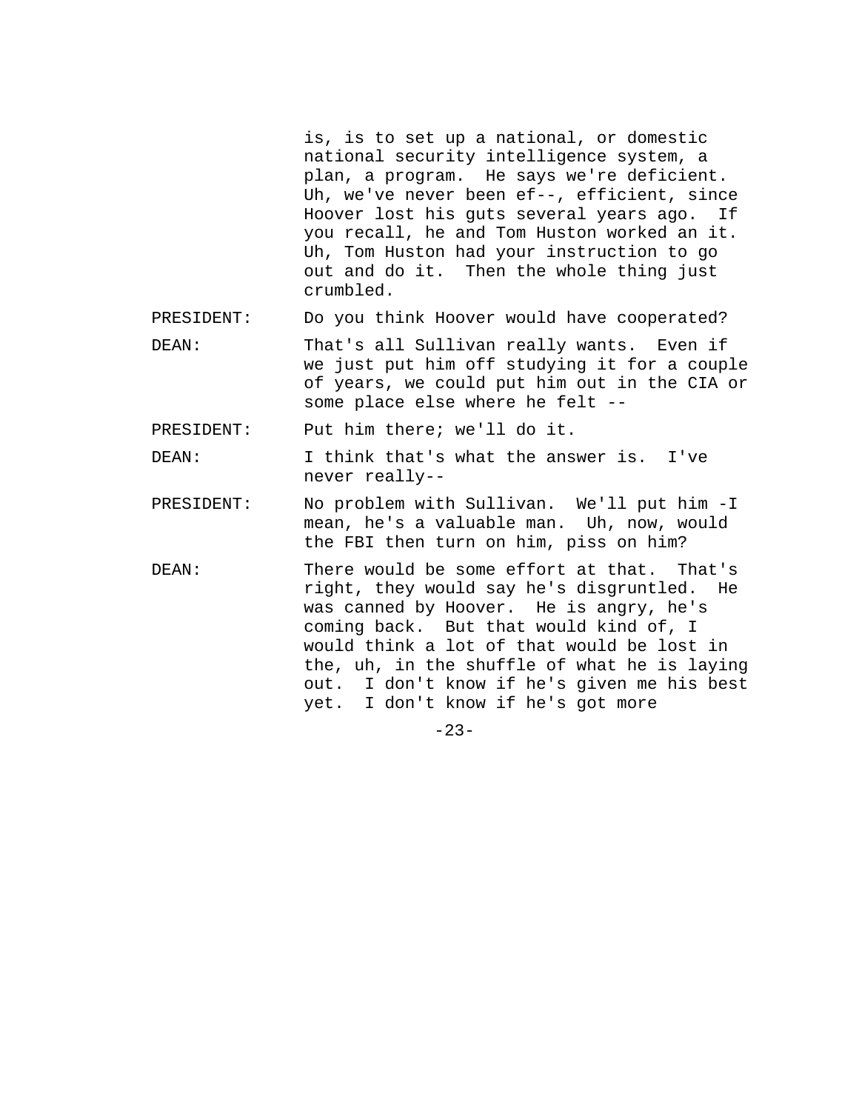is, is to set up a national, or domestic national security intelligence system, a plan, a program. He says we're deficient. Uh, we've never been ef--, efficient, since Hoover lost his guts several years ago. If you recall, he and Tom Huston worked an it. Uh, Tom Huston had your instruction to go out and do it. Then the whole thing just crumbled.

PRESIDENT: Do you think Hoover would have cooperated?

DEAN: That's all Sullivan really wants. Even if we just put him off studying it for a couple of years, we could put him out in the CIA or some place else where he felt --

PRESIDENT: Put him there; we'll do it.

DEAN: I think that's what the answer is. I've never really--

- PRESIDENT: No problem with Sullivan. We'll put him -I mean, he's a valuable man. Uh, now, would the FBI then turn on him, piss on him?
- DEAN: There would be some effort at that. That's right, they would say he's disgruntled. He was canned by Hoover. He is angry, he's coming back. But that would kind of, I would think a lot of that would be lost in the, uh, in the shuffle of what he is laying out. I don't know if he's given me his best yet. I don't know if he's got more

 $-23-$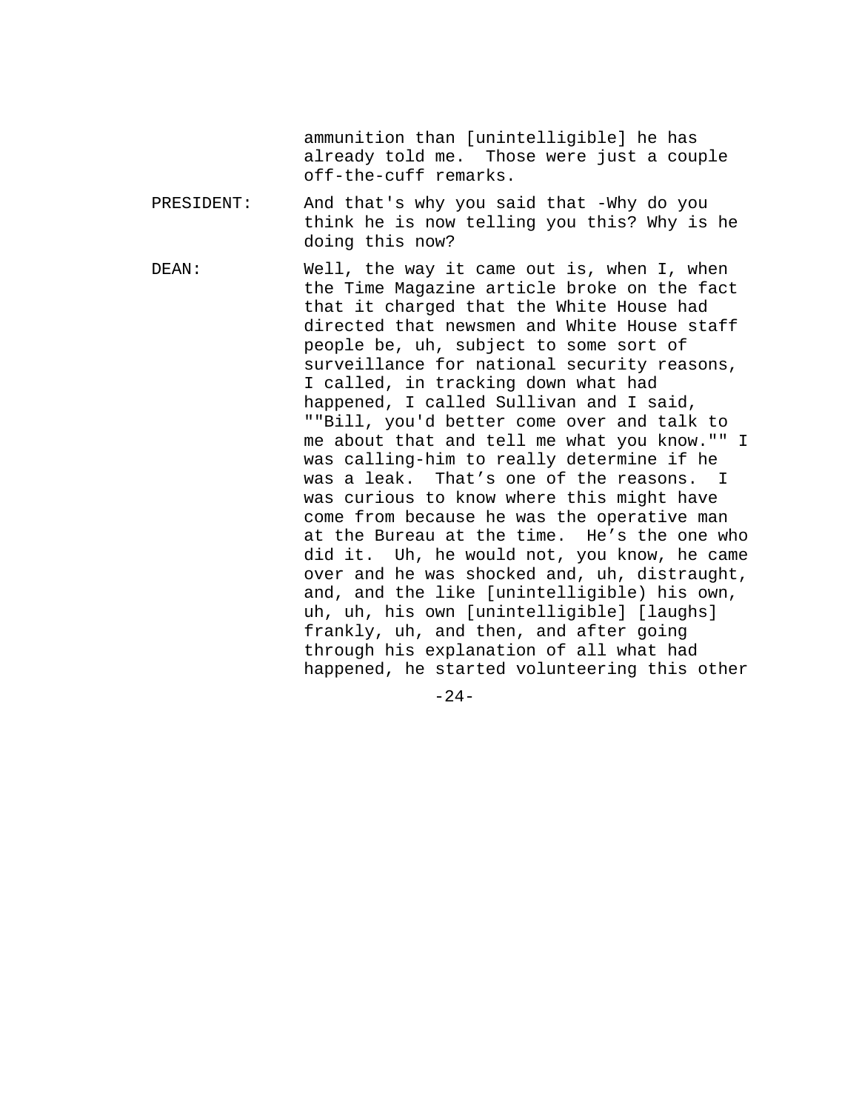ammunition than [unintelligible] he has already told me. Those were just a couple off-the-cuff remarks.

- PRESIDENT: And that's why you said that -Why do you think he is now telling you this? Why is he doing this now?
- DEAN: Well, the way it came out is, when I, when the Time Magazine article broke on the fact that it charged that the White House had directed that newsmen and White House staff people be, uh, subject to some sort of surveillance for national security reasons, I called, in tracking down what had happened, I called Sullivan and I said, ""Bill, you'd better come over and talk to me about that and tell me what you know."" I was calling-him to really determine if he was a leak. That's one of the reasons. I was curious to know where this might have come from because he was the operative man at the Bureau at the time. He's the one who did it. Uh, he would not, you know, he came over and he was shocked and, uh, distraught, and, and the like [unintelligible) his own, uh, uh, his own [unintelligible] [laughs] frankly, uh, and then, and after going through his explanation of all what had happened, he started volunteering this other

 $-24-$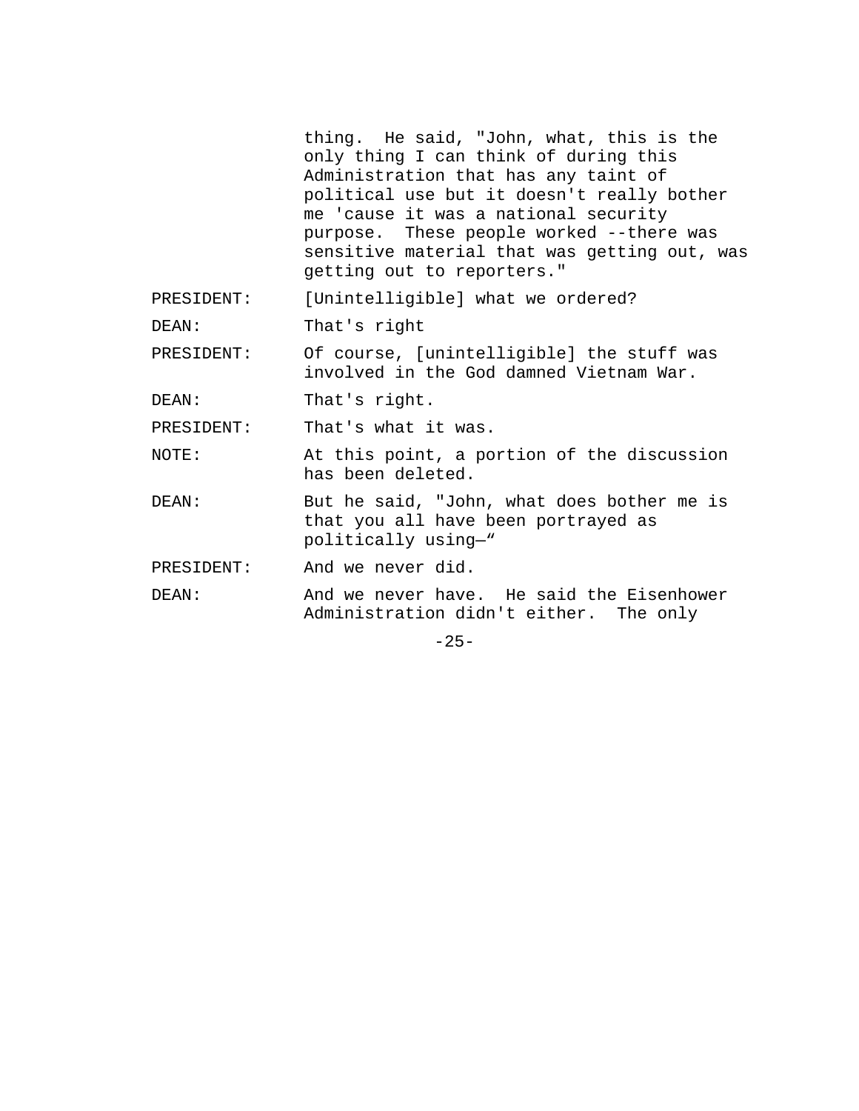thing. He said, "John, what, this is the only thing I can think of during this Administration that has any taint of political use but it doesn't really bother me 'cause it was a national security purpose. These people worked --there was sensitive material that was getting out, was getting out to reporters."

PRESIDENT: [Unintelligible] what we ordered?

DEAN: That's right

PRESIDENT: Of course, [unintelligible] the stuff was involved in the God damned Vietnam War.

DEAN: That's right.

PRESIDENT: That's what it was.

NOTE: At this point, a portion of the discussion has been deleted.

DEAN: But he said, "John, what does bother me is that you all have been portrayed as politically using—"

PRESIDENT: And we never did.

DEAN: And we never have. He said the Eisenhower Administration didn't either. The only

 $-25-$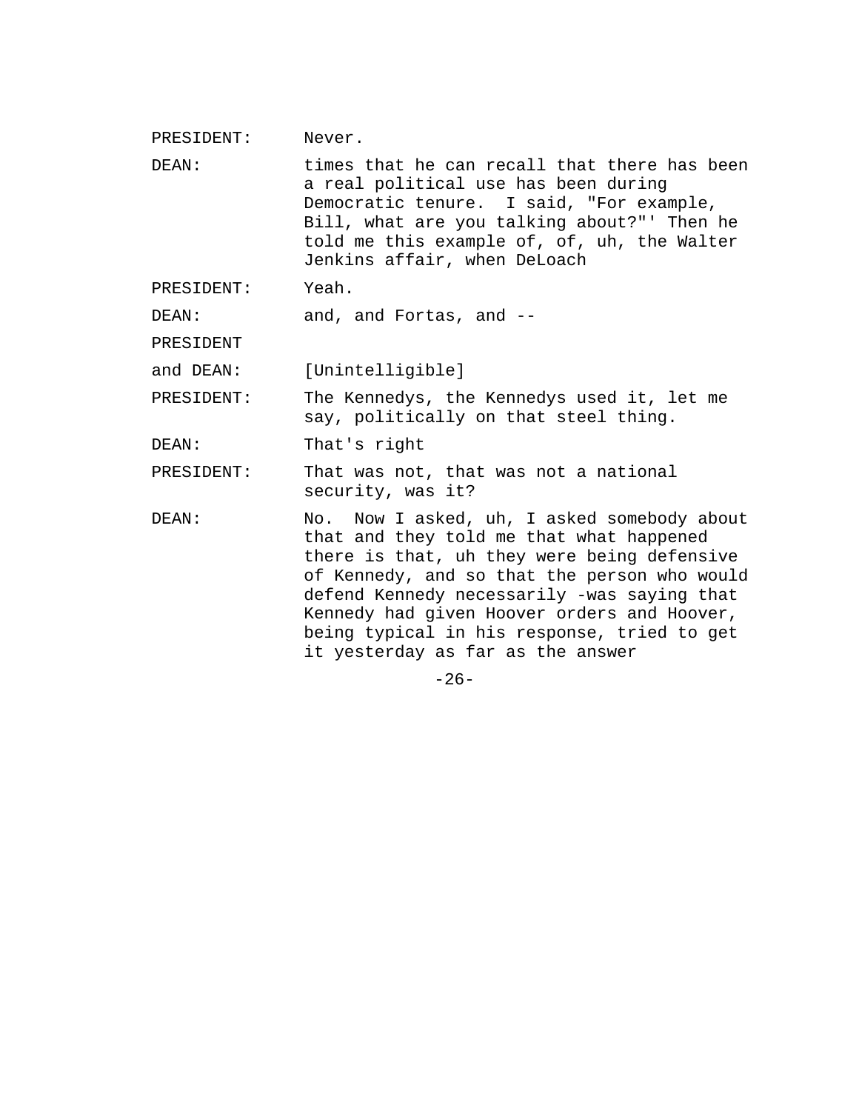| PRESIDENT: | Never.                                                                                                                                                                                                                                                                                                                                                                   |  |  |  |  |
|------------|--------------------------------------------------------------------------------------------------------------------------------------------------------------------------------------------------------------------------------------------------------------------------------------------------------------------------------------------------------------------------|--|--|--|--|
| DEAN:      | times that he can recall that there has been<br>a real political use has been during<br>Democratic tenure. I said, "For example,<br>Bill, what are you talking about?"' Then he<br>told me this example of, of, uh, the Walter<br>Jenkins affair, when DeLoach                                                                                                           |  |  |  |  |
| PRESIDENT: | Yeah.                                                                                                                                                                                                                                                                                                                                                                    |  |  |  |  |
| DEAN:      | and, and Fortas, and --                                                                                                                                                                                                                                                                                                                                                  |  |  |  |  |
| PRESIDENT  |                                                                                                                                                                                                                                                                                                                                                                          |  |  |  |  |
| and DEAN:  | [Unintelligible]                                                                                                                                                                                                                                                                                                                                                         |  |  |  |  |
| PRESIDENT: | The Kennedys, the Kennedys used it, let me<br>say, politically on that steel thing.                                                                                                                                                                                                                                                                                      |  |  |  |  |
| DEAN:      | That's right                                                                                                                                                                                                                                                                                                                                                             |  |  |  |  |
| PRESIDENT: | That was not, that was not a national<br>security, was it?                                                                                                                                                                                                                                                                                                               |  |  |  |  |
| DEAN:      | No. Now I asked, uh, I asked somebody about<br>that and they told me that what happened<br>there is that, uh they were being defensive<br>of Kennedy, and so that the person who would<br>defend Kennedy necessarily -was saying that<br>Kennedy had given Hoover orders and Hoover,<br>being typical in his response, tried to get<br>it yesterday as far as the answer |  |  |  |  |
|            | $-26-$                                                                                                                                                                                                                                                                                                                                                                   |  |  |  |  |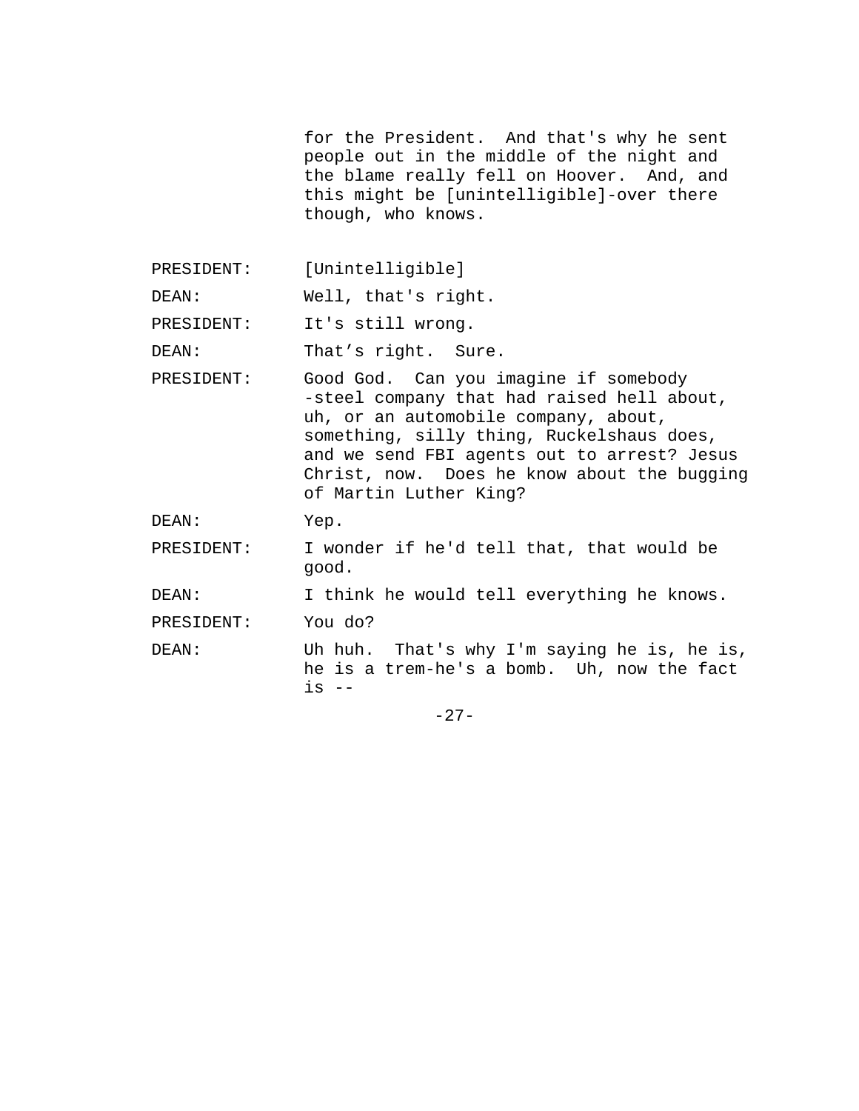for the President. And that's why he sent people out in the middle of the night and the blame really fell on Hoover. And, and this might be [unintelligible]-over there though, who knows.

PRESIDENT: [Unintelligible]

DEAN: Well, that's right.

PRESIDENT: It's still wrong.

DEAN: That's right. Sure.

PRESIDENT: Good God. Can you imagine if somebody -steel company that had raised hell about, uh, or an automobile company, about, something, silly thing, Ruckelshaus does, and we send FBI agents out to arrest? Jesus Christ, now. Does he know about the bugging of Martin Luther King?

DEAN: Yep.

PRESIDENT: I wonder if he'd tell that, that would be good.

DEAN: I think he would tell everything he knows.

PRESIDENT: You do?

DEAN: Uh huh. That's why I'm saying he is, he is, he is a trem-he's a bomb. Uh, now the fact is --

 $-27-$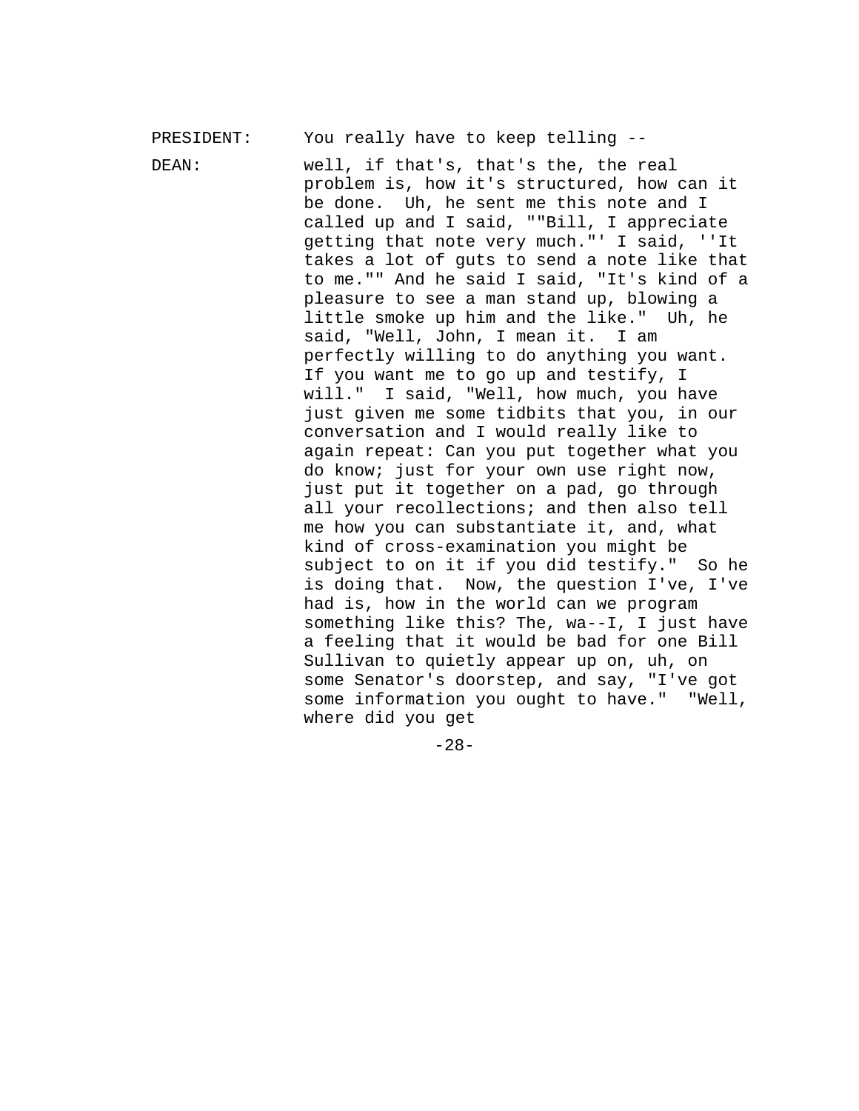PRESIDENT: You really have to keep telling --

DEAN: well, if that's, that's the, the real problem is, how it's structured, how can it be done. Uh, he sent me this note and I called up and I said, ""Bill, I appreciate getting that note very much."' I said, ''It takes a lot of guts to send a note like that to me."" And he said I said, "It's kind of a pleasure to see a man stand up, blowing a little smoke up him and the like." Uh, he said, "Well, John, I mean it. I am perfectly willing to do anything you want. If you want me to go up and testify, I will." I said, "Well, how much, you have just given me some tidbits that you, in our conversation and I would really like to again repeat: Can you put together what you do know; just for your own use right now, just put it together on a pad, go through all your recollections; and then also tell me how you can substantiate it, and, what kind of cross-examination you might be subject to on it if you did testify." So he is doing that. Now, the question I've, I've had is, how in the world can we program something like this? The, wa--I, I just have a feeling that it would be bad for one Bill Sullivan to quietly appear up on, uh, on some Senator's doorstep, and say, "I've got some information you ought to have." "Well, where did you get

-28-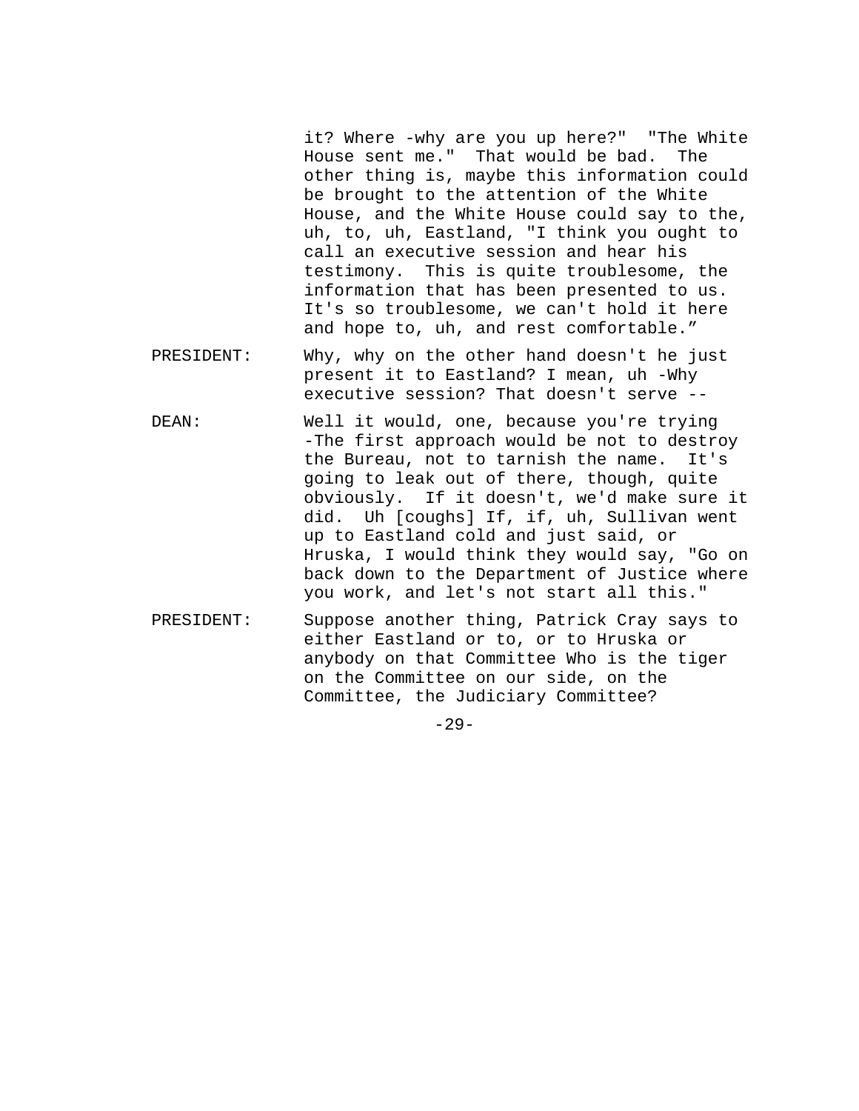it? Where -why are you up here?" "The White House sent me." That would be bad. The other thing is, maybe this information could be brought to the attention of the White House, and the White House could say to the, uh, to, uh, Eastland, "I think you ought to call an executive session and hear his testimony. This is quite troublesome, the information that has been presented to us. It's so troublesome, we can't hold it here and hope to, uh, and rest comfortable."

- PRESIDENT: Why, why on the other hand doesn't he just present it to Eastland? I mean, uh -Why executive session? That doesn't serve --
- DEAN: Well it would, one, because you're trying -The first approach would be not to destroy the Bureau, not to tarnish the name. It's going to leak out of there, though, quite obviously. If it doesn't, we'd make sure it did. Uh [coughs] If, if, uh, Sullivan went up to Eastland cold and just said, or Hruska, I would think they would say, "Go on back down to the Department of Justice where you work, and let's not start all this."
- PRESIDENT: Suppose another thing, Patrick Cray says to either Eastland or to, or to Hruska or anybody on that Committee Who is the tiger on the Committee on our side, on the Committee, the Judiciary Committee?
	- -29-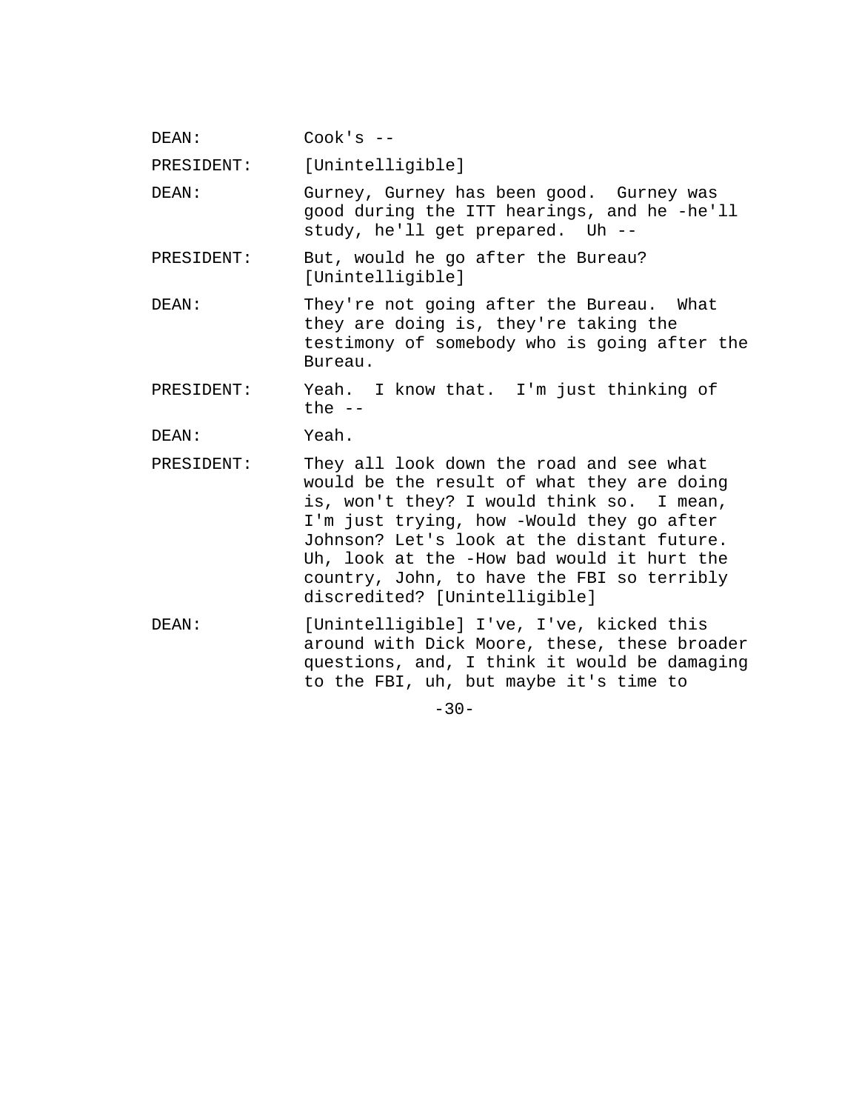| DEAN: | Cook's |  |
|-------|--------|--|
|-------|--------|--|

PRESIDENT: [Unintelligible]

DEAN: Gurney, Gurney has been good. Gurney was good during the ITT hearings, and he -he'll study, he'll get prepared. Uh --

- PRESIDENT: But, would he go after the Bureau? [Unintelligible]
- DEAN: They're not going after the Bureau. What they are doing is, they're taking the testimony of somebody who is going after the Bureau.
- PRESIDENT: Yeah. I know that. I'm just thinking of the  $--$

DEAN: Yeah.

- PRESIDENT: They all look down the road and see what would be the result of what they are doing is, won't they? I would think so. I mean, I'm just trying, how -Would they go after Johnson? Let's look at the distant future. Uh, look at the -How bad would it hurt the country, John, to have the FBI so terribly discredited? [Unintelligible]
- DEAN: [Unintelligible] I've, I've, kicked this around with Dick Moore, these, these broader questions, and, I think it would be damaging to the FBI, uh, but maybe it's time to

 $-30-$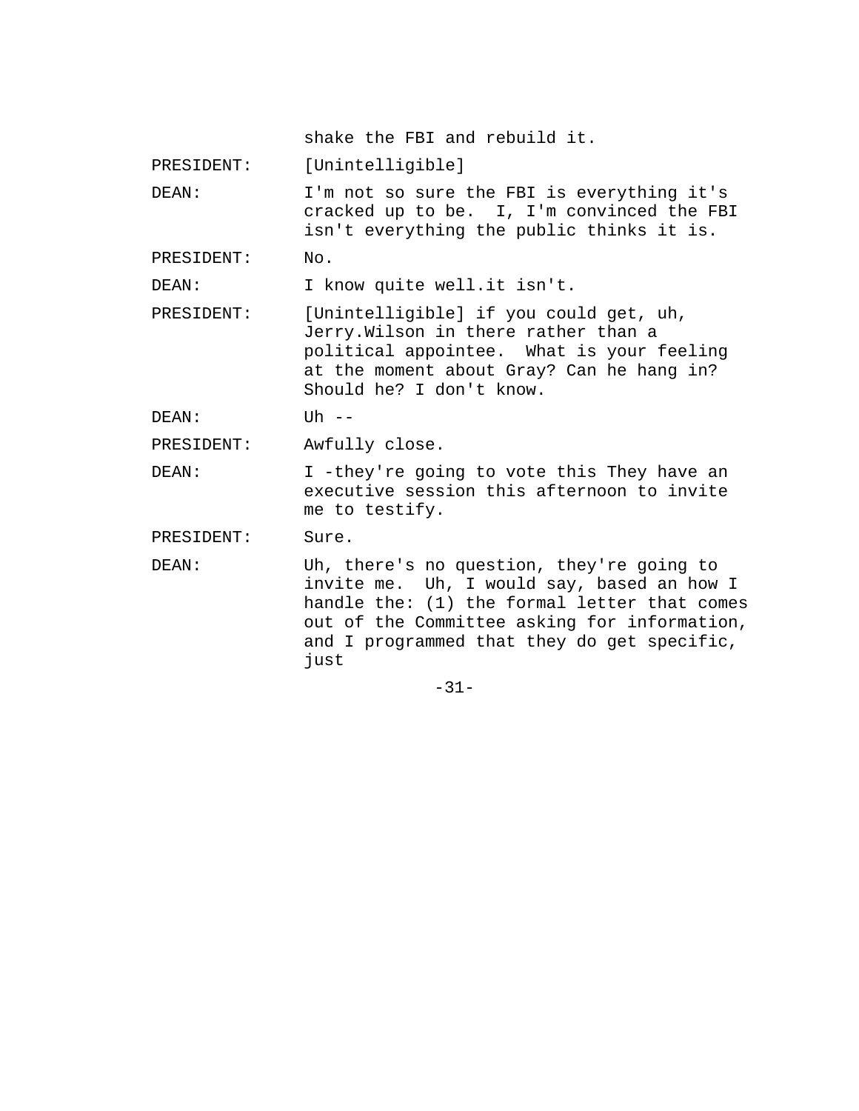shake the FBI and rebuild it.

PRESIDENT: [Unintelligible]

DEAN: I'm not so sure the FBI is everything it's cracked up to be. I, I'm convinced the FBI isn't everything the public thinks it is.

PRESIDENT: No.

DEAN: I know quite well.it isn't.

PRESIDENT: [Unintelligible] if you could get, uh, Jerry.Wilson in there rather than a political appointee. What is your feeling at the moment about Gray? Can he hang in? Should he? I don't know.

DEAN: Uh --

PRESIDENT: Awfully close.

DEAN: I -they're going to vote this They have an executive session this afternoon to invite me to testify.

PRESIDENT: Sure.

DEAN: Uh, there's no question, they're going to invite me. Uh, I would say, based an how I handle the: (1) the formal letter that comes out of the Committee asking for information, and I programmed that they do get specific, just

-31-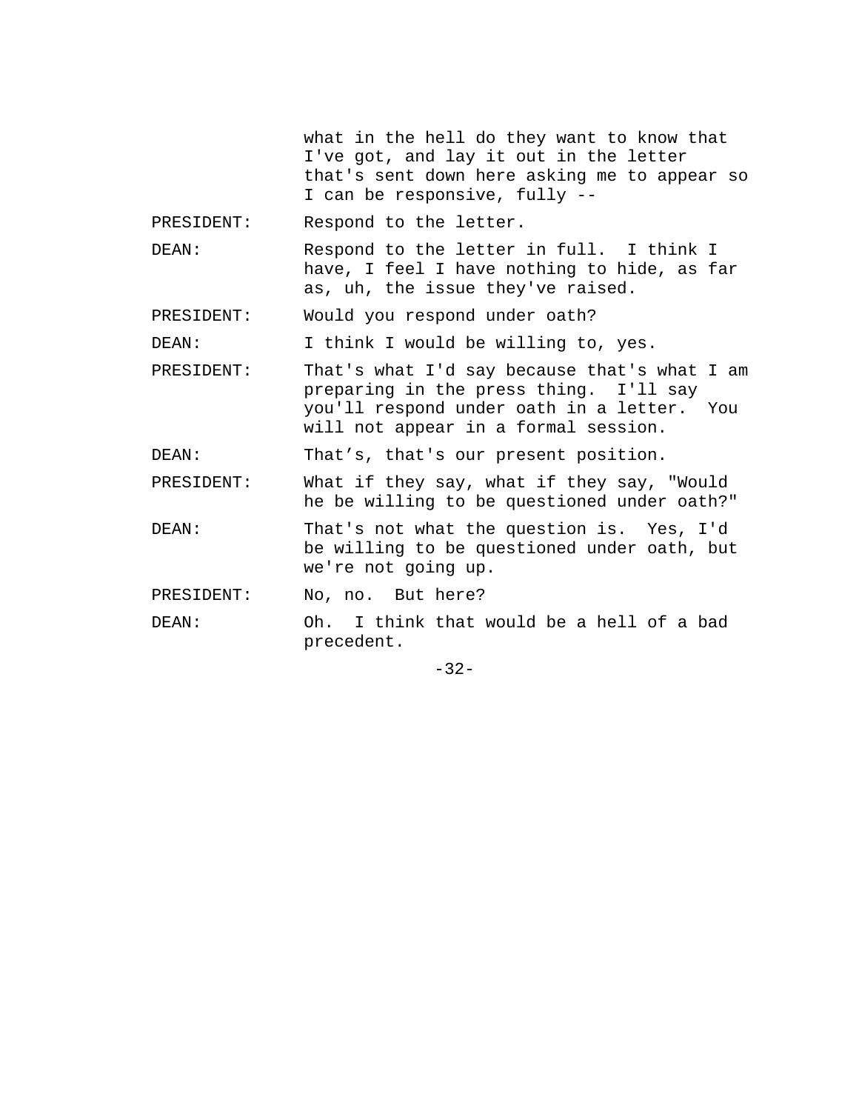what in the hell do they want to know that I've got, and lay it out in the letter that's sent down here asking me to appear so I can be responsive, fully --

PRESIDENT: Respond to the letter.

DEAN: Respond to the letter in full. I think I have, I feel I have nothing to hide, as far as, uh, the issue they've raised.

PRESIDENT: Would you respond under oath?

DEAN: I think I would be willing to, yes.

PRESIDENT: That's what I'd say because that's what I am preparing in the press thing. I'll say you'll respond under oath in a letter. You will not appear in a formal session.

DEAN: That's, that's our present position.

PRESIDENT: What if they say, what if they say, "Would he be willing to be questioned under oath?"

DEAN: That's not what the question is. Yes, I'd be willing to be questioned under oath, but we're not going up.

PRESIDENT: No, no. But here?

DEAN: Oh. I think that would be a hell of a bad precedent.

-32-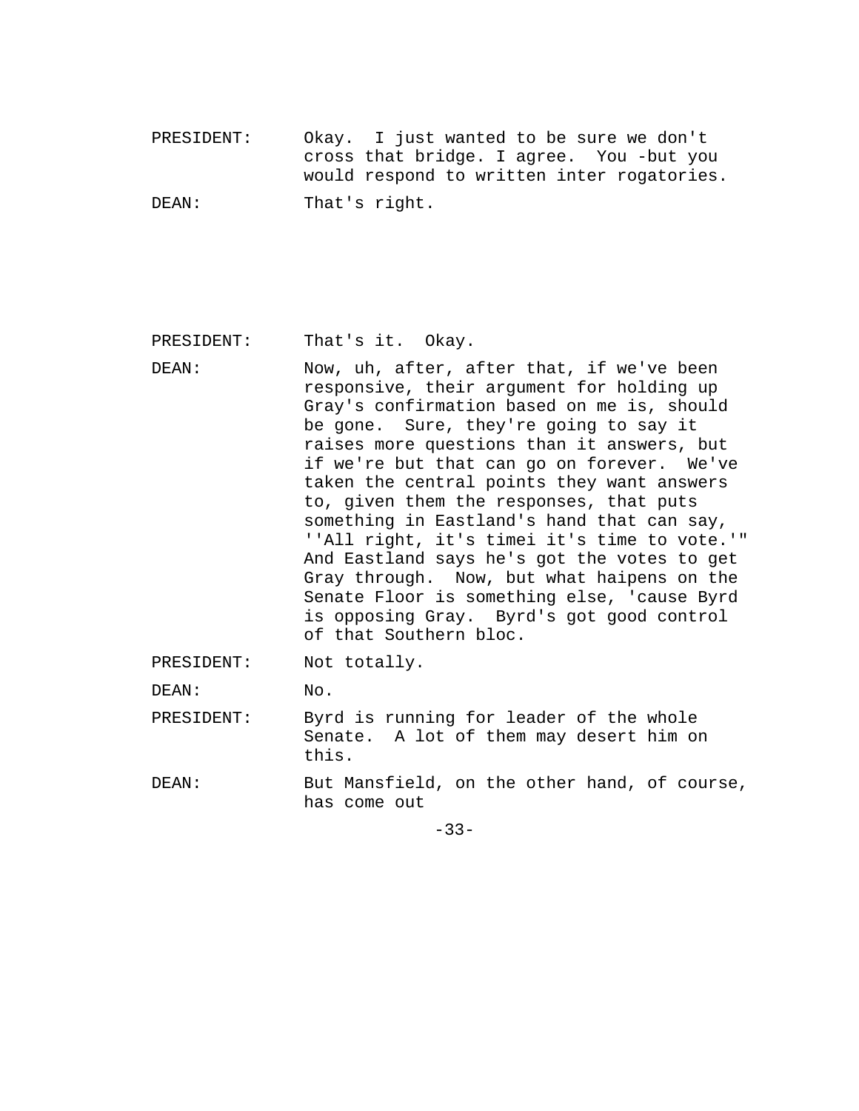PRESIDENT: Okay. I just wanted to be sure we don't cross that bridge. I agree. You -but you would respond to written inter rogatories. DEAN: That's right.

PRESIDENT: That's it. Okay.

DEAN: Now, uh, after, after that, if we've been responsive, their argument for holding up Gray's confirmation based on me is, should be gone. Sure, they're going to say it raises more questions than it answers, but if we're but that can go on forever. We've taken the central points they want answers to, given them the responses, that puts something in Eastland's hand that can say, ''All right, it's timei it's time to vote.'" And Eastland says he's got the votes to get Gray through. Now, but what haipens on the Senate Floor is something else, 'cause Byrd is opposing Gray. Byrd's got good control of that Southern bloc.

PRESIDENT: Not totally.

DEAN: No.

- PRESIDENT: Byrd is running for leader of the whole Senate. A lot of them may desert him on this.
- DEAN: But Mansfield, on the other hand, of course, has come out

-33-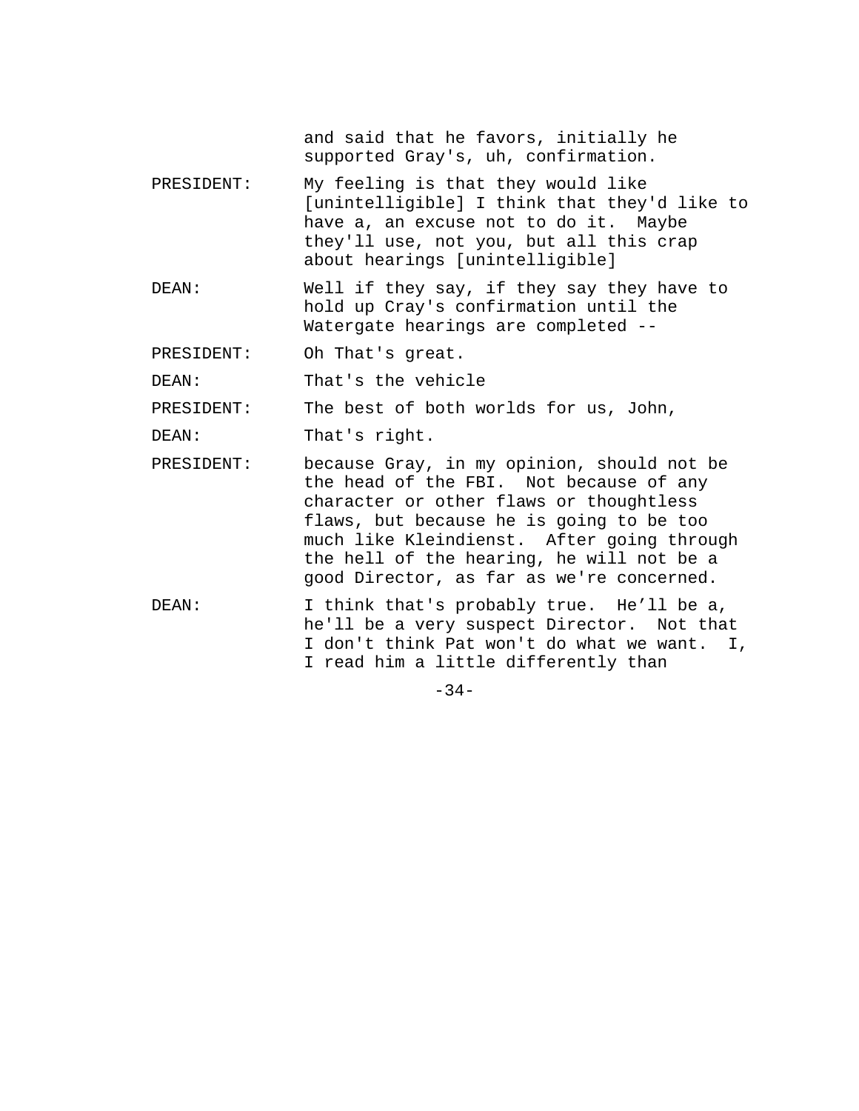and said that he favors, initially he supported Gray's, uh, confirmation.

- PRESIDENT: My feeling is that they would like [unintelligible] I think that they'd like to have a, an excuse not to do it. Maybe they'll use, not you, but all this crap about hearings [unintelligible]
- DEAN: Well if they say, if they say they have to hold up Cray's confirmation until the Watergate hearings are completed --
- PRESIDENT: Oh That's great.

DEAN: That's the vehicle

PRESIDENT: The best of both worlds for us, John,

DEAN: That's right.

- PRESIDENT: because Gray, in my opinion, should not be the head of the FBI. Not because of any character or other flaws or thoughtless flaws, but because he is going to be too much like Kleindienst. After going through the hell of the hearing, he will not be a good Director, as far as we're concerned.
- DEAN: I think that's probably true. He'll be a, he'll be a very suspect Director. Not that I don't think Pat won't do what we want. I, I read him a little differently than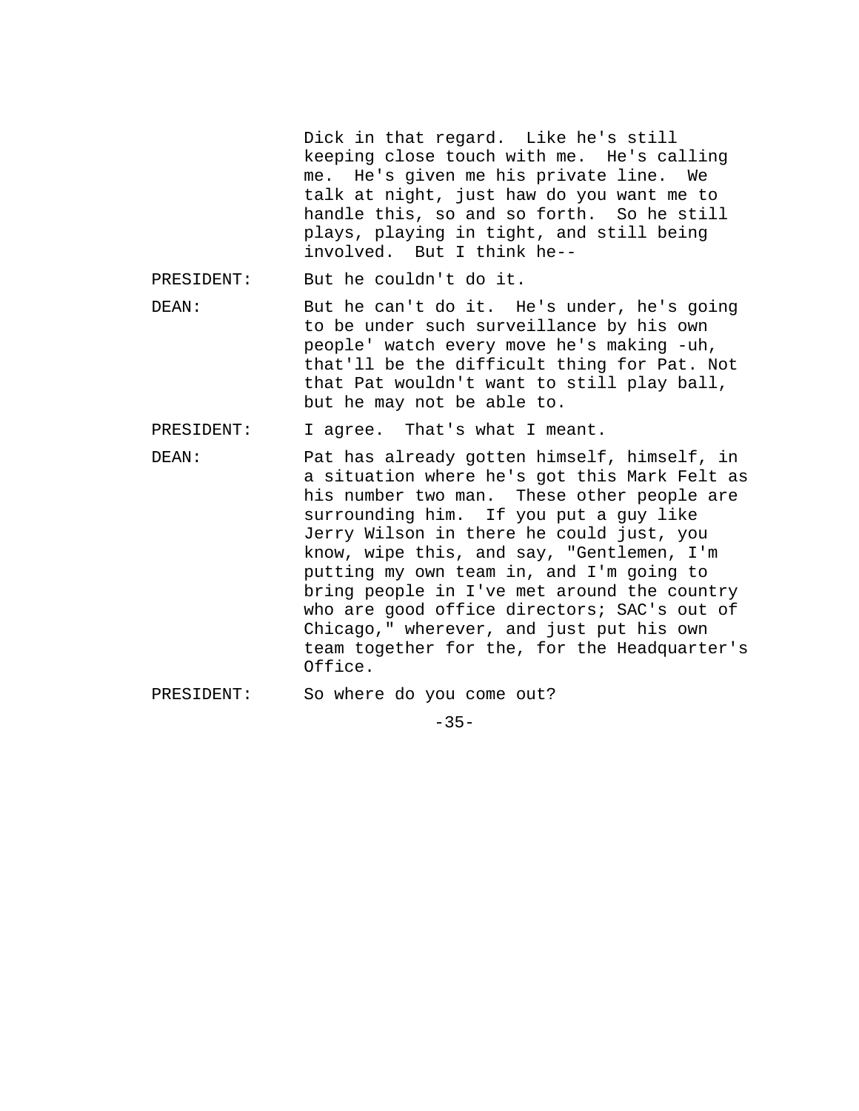Dick in that regard. Like he's still keeping close touch with me. He's calling me. He's given me his private line. We talk at night, just haw do you want me to handle this, so and so forth. So he still plays, playing in tight, and still being involved. But I think he--

PRESIDENT: But he couldn't do it.

DEAN: But he can't do it. He's under, he's going to be under such surveillance by his own people' watch every move he's making -uh, that'll be the difficult thing for Pat. Not that Pat wouldn't want to still play ball, but he may not be able to.

PRESIDENT: I agree. That's what I meant.

- DEAN: Pat has already gotten himself, himself, in a situation where he's got this Mark Felt as his number two man. These other people are surrounding him. If you put a guy like Jerry Wilson in there he could just, you know, wipe this, and say, "Gentlemen, I'm putting my own team in, and I'm going to bring people in I've met around the country who are good office directors; SAC's out of Chicago," wherever, and just put his own team together for the, for the Headquarter's Office.
- PRESIDENT: So where do you come out?

 $-35-$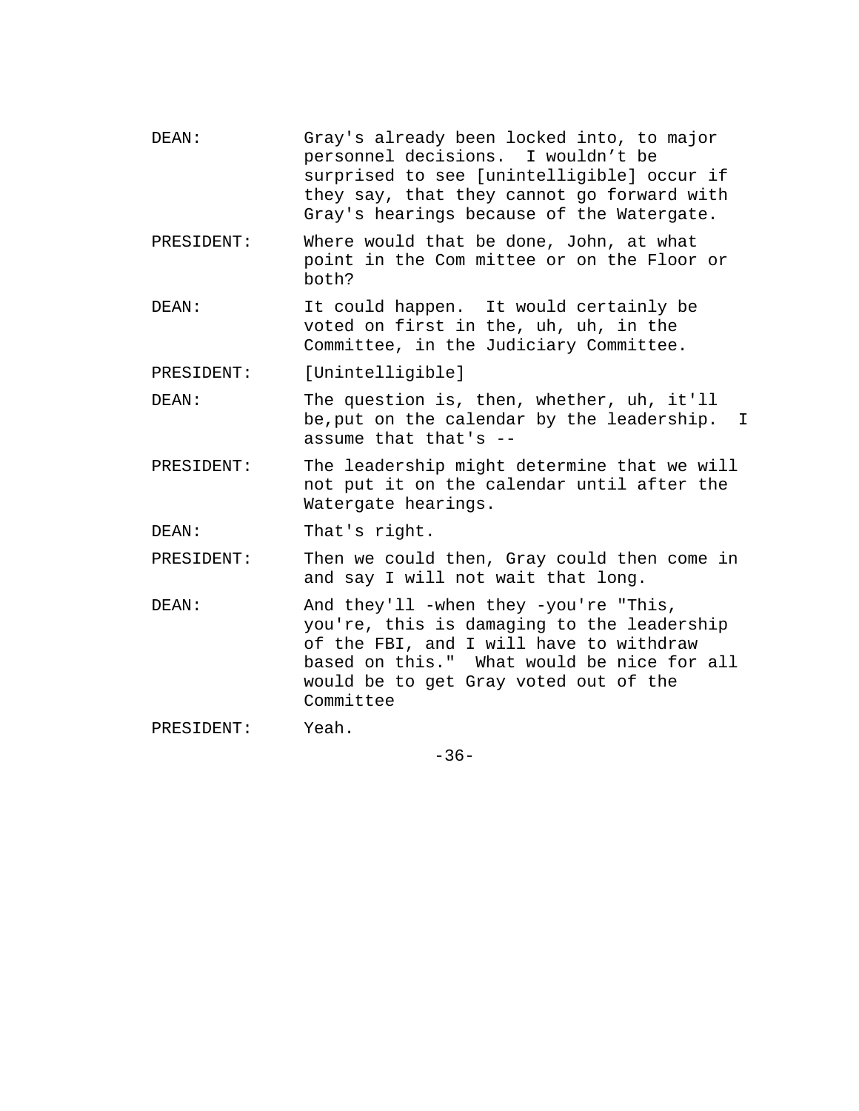- DEAN: Gray's already been locked into, to major personnel decisions. I wouldn't be surprised to see [unintelligible] occur if they say, that they cannot go forward with Gray's hearings because of the Watergate.
- PRESIDENT: Where would that be done, John, at what point in the Com mittee or on the Floor or both?
- DEAN: It could happen. It would certainly be voted on first in the, uh, uh, in the Committee, in the Judiciary Committee.
- PRESIDENT: [Unintelligible]
- DEAN: The question is, then, whether, uh, it'll be,put on the calendar by the leadership. I assume that that's --
- PRESIDENT: The leadership might determine that we will not put it on the calendar until after the Watergate hearings.
- DEAN: That's right.
- PRESIDENT: Then we could then, Gray could then come in and say I will not wait that long.
- DEAN: And they'll -when they -you're "This, you're, this is damaging to the leadership of the FBI, and I will have to withdraw based on this." What would be nice for all would be to get Gray voted out of the Committee
- PRESIDENT: Yeah.

-36-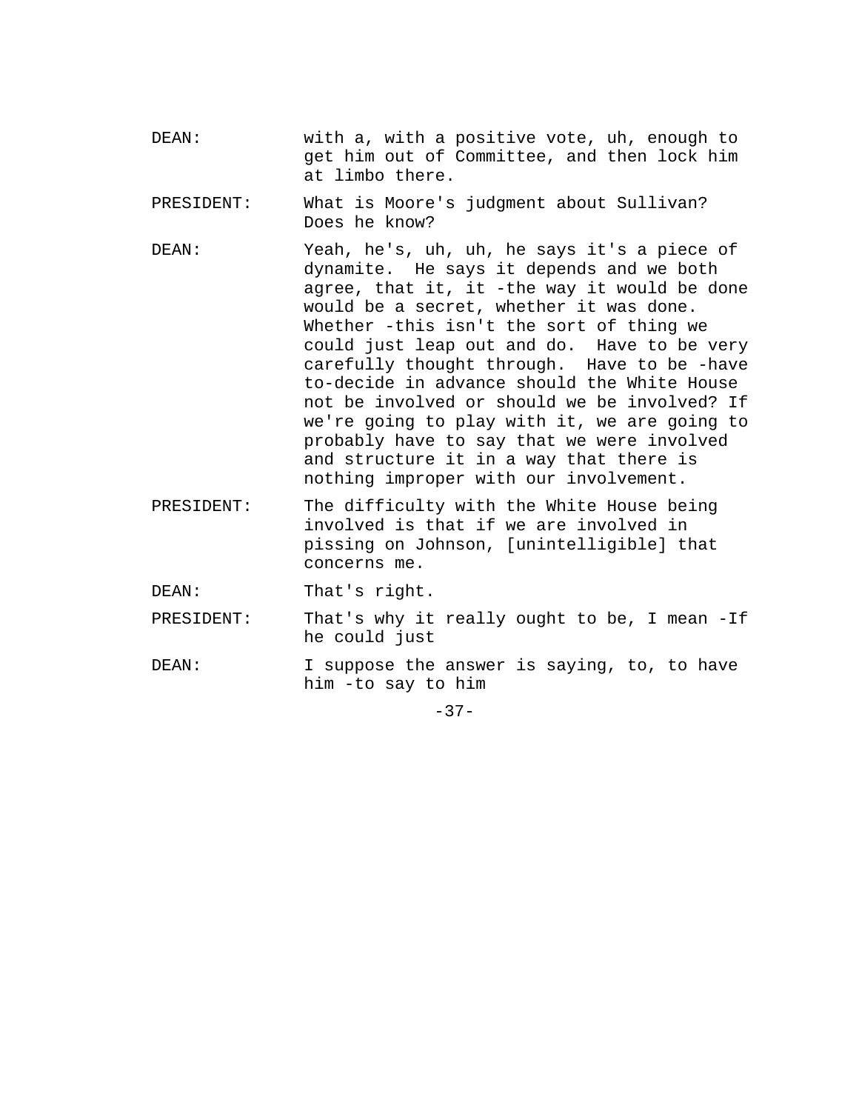- DEAN: with a, with a positive vote, uh, enough to get him out of Committee, and then lock him at limbo there.
- PRESIDENT: What is Moore's judgment about Sullivan? Does he know?
- DEAN: Yeah, he's, uh, uh, he says it's a piece of dynamite. He says it depends and we both agree, that it, it -the way it would be done would be a secret, whether it was done. Whether -this isn't the sort of thing we could just leap out and do. Have to be very carefully thought through. Have to be -have to-decide in advance should the White House not be involved or should we be involved? If we're going to play with it, we are going to probably have to say that we were involved and structure it in a way that there is nothing improper with our involvement.
- PRESIDENT: The difficulty with the White House being involved is that if we are involved in pissing on Johnson, [unintelligible] that concerns me.

DEAN: That's right.

PRESIDENT: That's why it really ought to be, I mean -If he could just

DEAN: I suppose the answer is saying, to, to have him -to say to him

 $-37-$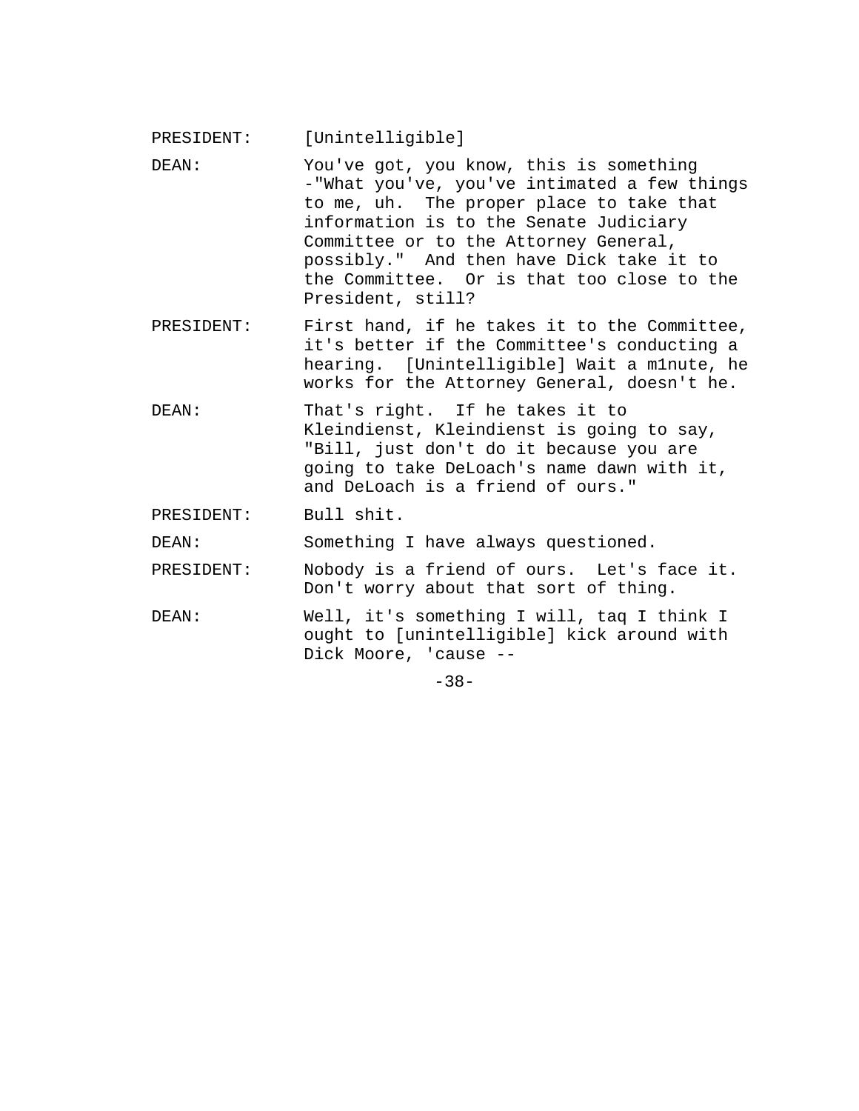PRESIDENT: [Unintelligible]

- DEAN: You've got, you know, this is something -"What you've, you've intimated a few things to me, uh. The proper place to take that information is to the Senate Judiciary Committee or to the Attorney General, possibly." And then have Dick take it to the Committee. Or is that too close to the President, still?
- PRESIDENT: First hand, if he takes it to the Committee, it's better if the Committee's conducting a hearing. [Unintelligible] Wait a m1nute, he works for the Attorney General, doesn't he.
- DEAN: That's right. If he takes it to Kleindienst, Kleindienst is going to say, "Bill, just don't do it because you are going to take DeLoach's name dawn with it, and DeLoach is a friend of ours."
- PRESIDENT: Bull shit.

DEAN: Something I have always questioned.

PRESIDENT: Nobody is a friend of ours. Let's face it. Don't worry about that sort of thing.

DEAN: Well, it's something I will, taq I think I ought to [unintelligible] kick around with Dick Moore, 'cause --

-38-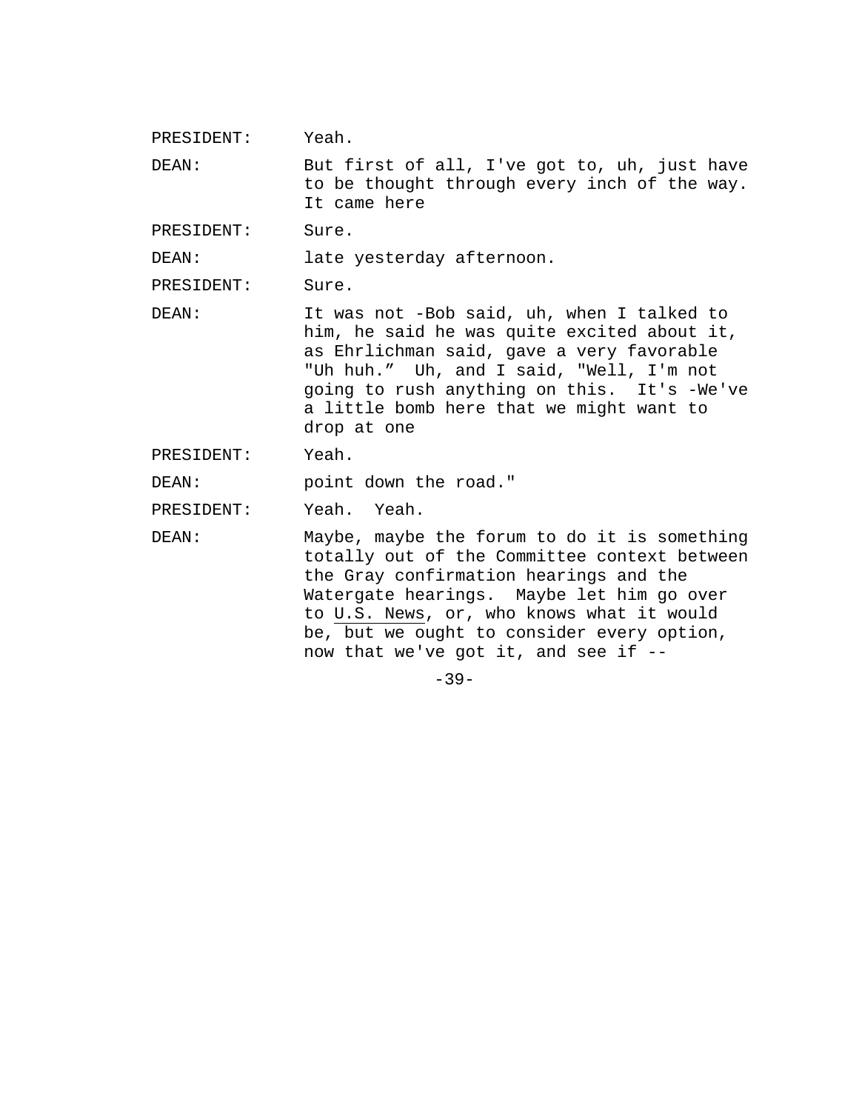PRESIDENT: Yeah.

DEAN: But first of all, I've got to, uh, just have to be thought through every inch of the way. It came here

PRESIDENT: Sure.

DEAN: late yesterday afternoon.

PRESIDENT: Sure.

DEAN: It was not -Bob said, uh, when I talked to him, he said he was quite excited about it, as Ehrlichman said, gave a very favorable "Uh huh." Uh, and I said, "Well, I'm not going to rush anything on this. It's -We've a little bomb here that we might want to drop at one

PRESIDENT: Yeah.

DEAN: point down the road."

PRESIDENT: Yeah. Yeah.

DEAN: Maybe, maybe the forum to do it is something totally out of the Committee context between the Gray confirmation hearings and the Watergate hearings. Maybe let him go over to U.S. News, or, who knows what it would be, but we ought to consider every option, now that we've got it, and see if --

 $-39-$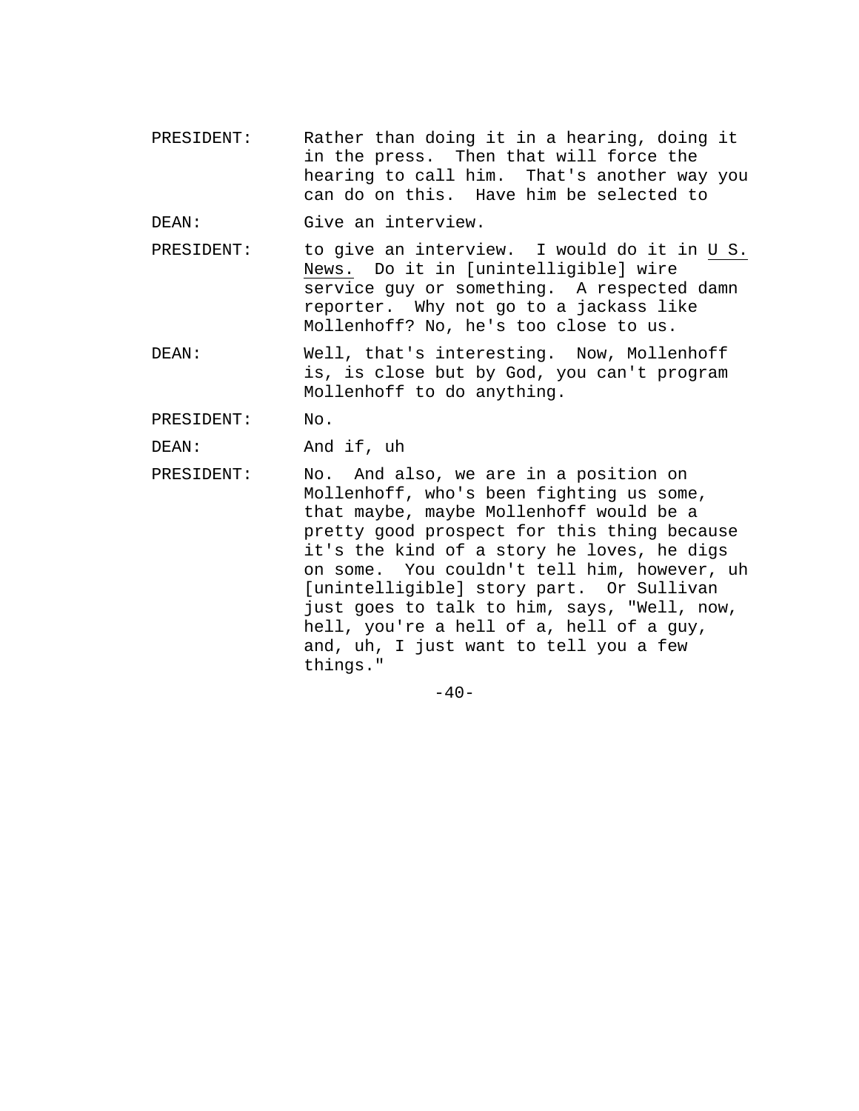- PRESIDENT: Rather than doing it in a hearing, doing it in the press. Then that will force the hearing to call him. That's another way you can do on this. Have him be selected to
- DEAN: Give an interview.
- PRESIDENT: to give an interview. I would do it in U S. News. Do it in [unintelligible] wire service guy or something. A respected damn reporter. Why not go to a jackass like Mollenhoff? No, he's too close to us.
- DEAN: Well, that's interesting. Now, Mollenhoff is, is close but by God, you can't program Mollenhoff to do anything.
- PRESIDENT: No.
- DEAN: And if, uh
- PRESIDENT: No. And also, we are in a position on Mollenhoff, who's been fighting us some, that maybe, maybe Mollenhoff would be a pretty good prospect for this thing because it's the kind of a story he loves, he digs on some. You couldn't tell him, however, uh [unintelligible] story part. Or Sullivan just goes to talk to him, says, "Well, now, hell, you're a hell of a, hell of a guy, and, uh, I just want to tell you a few things."

 $-40-$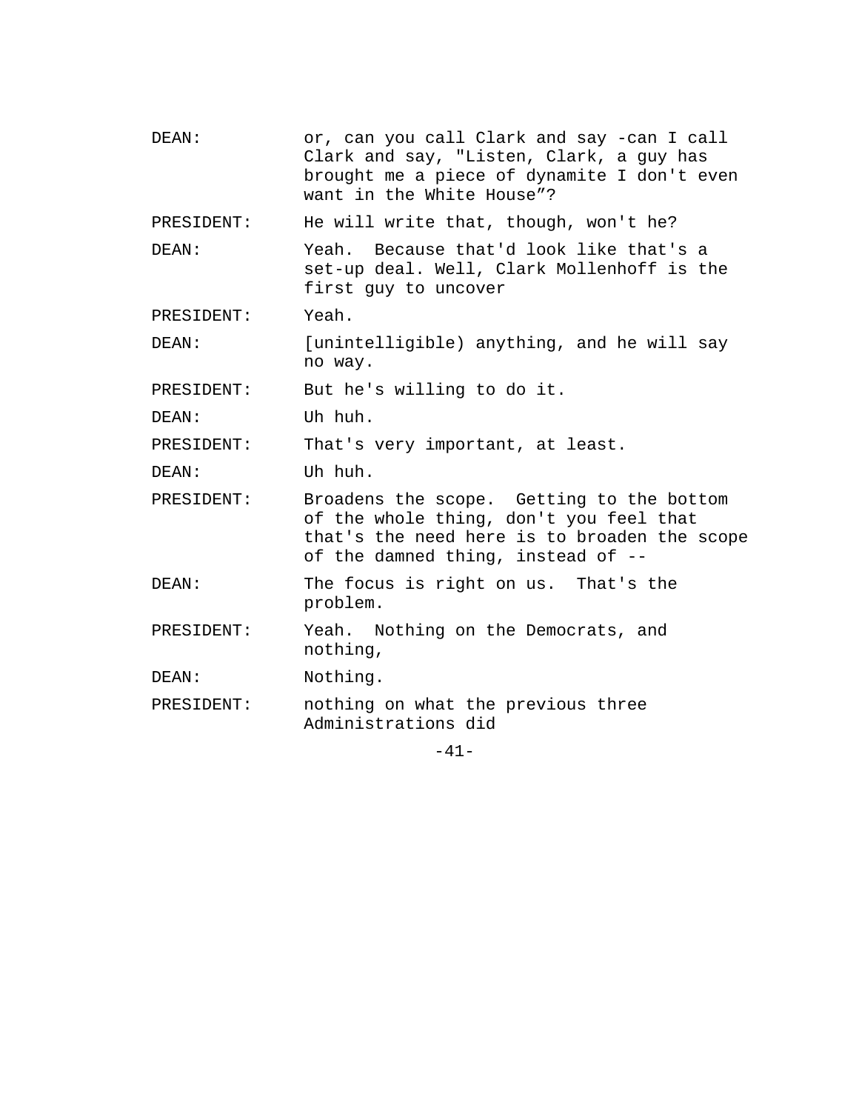| or, can you call Clark and say -can I call<br>Clark and say, "Listen, Clark, a guy has<br>brought me a piece of dynamite I don't even<br>want in the White House"?         |
|----------------------------------------------------------------------------------------------------------------------------------------------------------------------------|
| He will write that, though, won't he?                                                                                                                                      |
| Yeah. Because that'd look like that's a<br>set-up deal. Well, Clark Mollenhoff is the<br>first guy to uncover                                                              |
| Yeah.                                                                                                                                                                      |
| [unintelligible) anything, and he will say<br>no way.                                                                                                                      |
| But he's willing to do it.                                                                                                                                                 |
| Uh huh.                                                                                                                                                                    |
| That's very important, at least.                                                                                                                                           |
| Uh huh.                                                                                                                                                                    |
| Broadens the scope. Getting to the bottom<br>of the whole thing, don't you feel that<br>that's the need here is to broaden the scope<br>of the damned thing, instead of -- |
| The focus is right on us. That's the<br>problem.                                                                                                                           |
| Yeah. Nothing on the Democrats, and<br>nothing,                                                                                                                            |
| Nothing.                                                                                                                                                                   |
| nothing on what the previous three<br>Administrations did                                                                                                                  |
|                                                                                                                                                                            |

-41-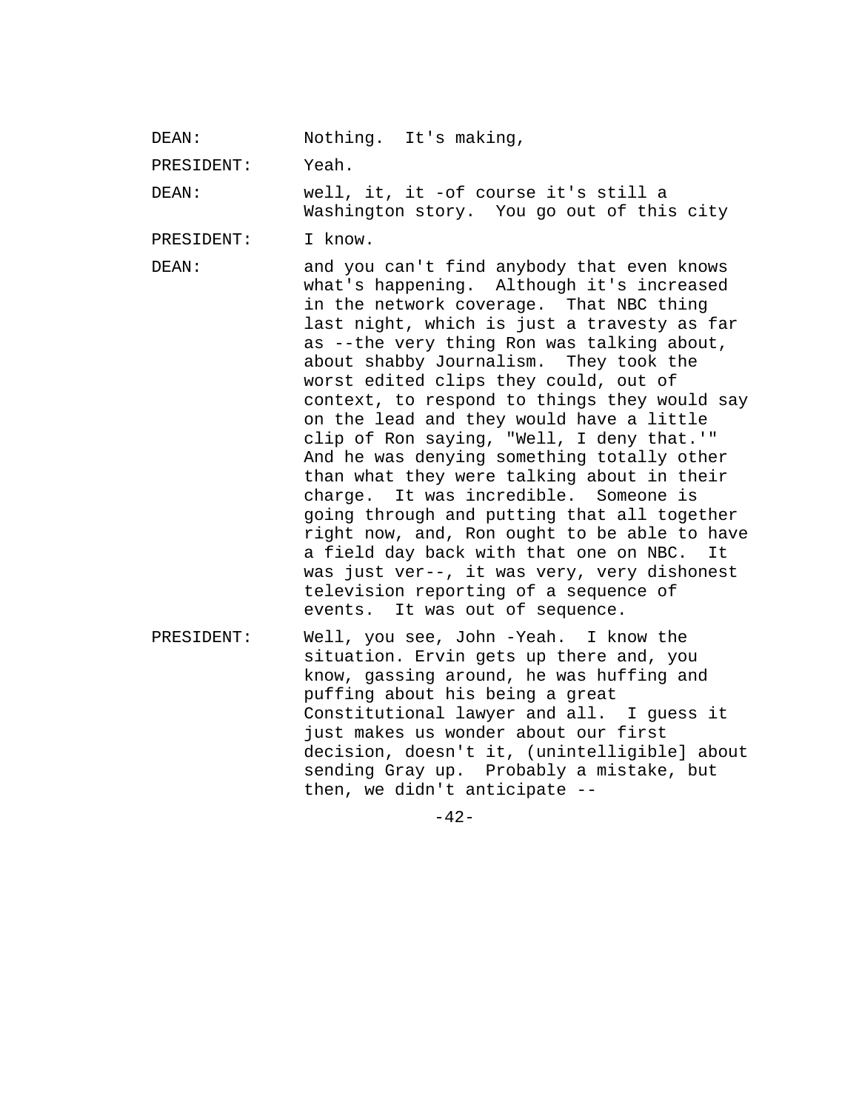DEAN: Nothing. It's making,

PRESIDENT: Yeah.

DEAN: well, it, it -of course it's still a Washington story. You go out of this city

PRESIDENT: I know.

DEAN: and you can't find anybody that even knows what's happening. Although it's increased in the network coverage. That NBC thing last night, which is just a travesty as far as --the very thing Ron was talking about, about shabby Journalism. They took the worst edited clips they could, out of context, to respond to things they would say on the lead and they would have a little clip of Ron saying, "Well, I deny that.'" And he was denying something totally other than what they were talking about in their charge. It was incredible. Someone is going through and putting that all together right now, and, Ron ought to be able to have a field day back with that one on NBC. It was just ver--, it was very, very dishonest television reporting of a sequence of events. It was out of sequence.

PRESIDENT: Well, you see, John -Yeah. I know the situation. Ervin gets up there and, you know, gassing around, he was huffing and puffing about his being a great Constitutional lawyer and all. I guess it just makes us wonder about our first decision, doesn't it, (unintelligible] about sending Gray up. Probably a mistake, but then, we didn't anticipate --

 $-42-$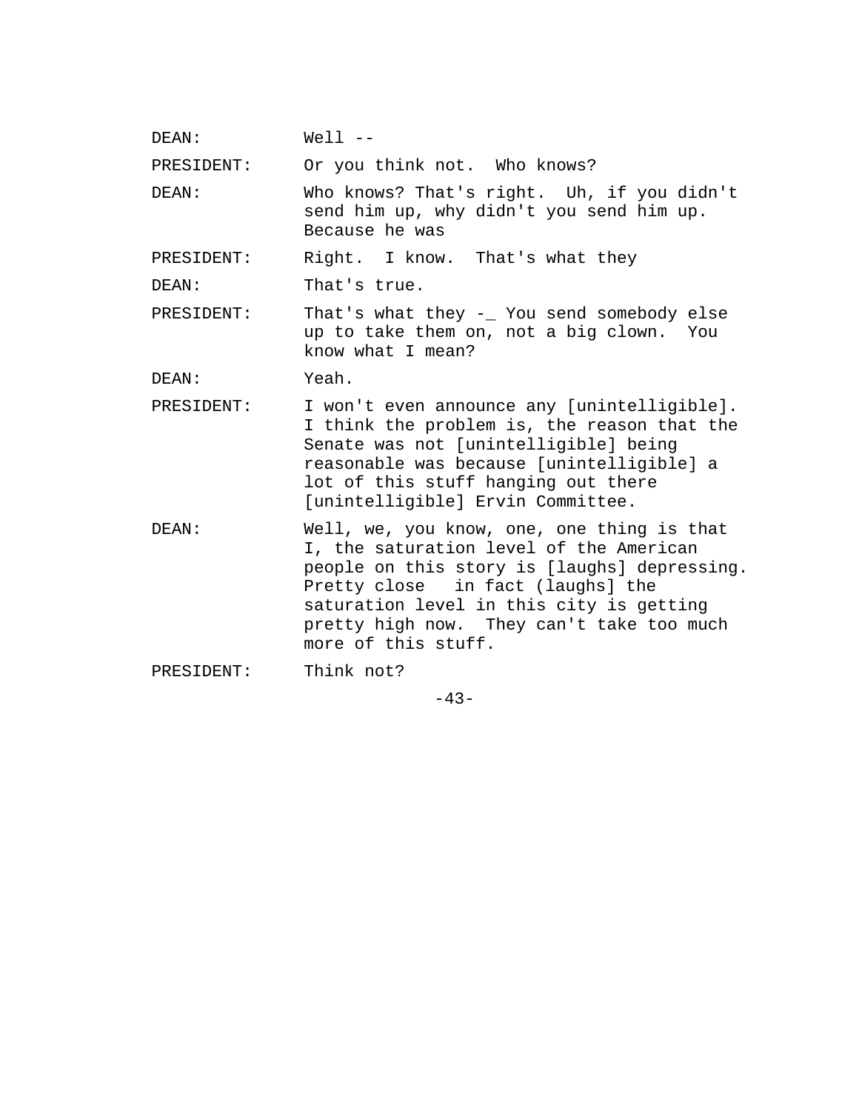DEAN: Well --

PRESIDENT: Or you think not. Who knows?

DEAN: Who knows? That's right. Uh, if you didn't send him up, why didn't you send him up. Because he was

PRESIDENT: Right. I know. That's what they

DEAN: That's true.

PRESIDENT: That's what they -\_ You send somebody else up to take them on, not a big clown. You know what I mean?

DEAN: Yeah.

- PRESIDENT: I won't even announce any [unintelligible]. I think the problem is, the reason that the Senate was not [unintelligible] being reasonable was because [unintelligible] a lot of this stuff hanging out there [unintelligible] Ervin Committee.
- DEAN: Well, we, you know, one, one thing is that I, the saturation level of the American people on this story is [laughs] depressing. Pretty close in fact (laughs] the saturation level in this city is getting pretty high now. They can't take too much more of this stuff.

PRESIDENT: Think not?

 $-43-$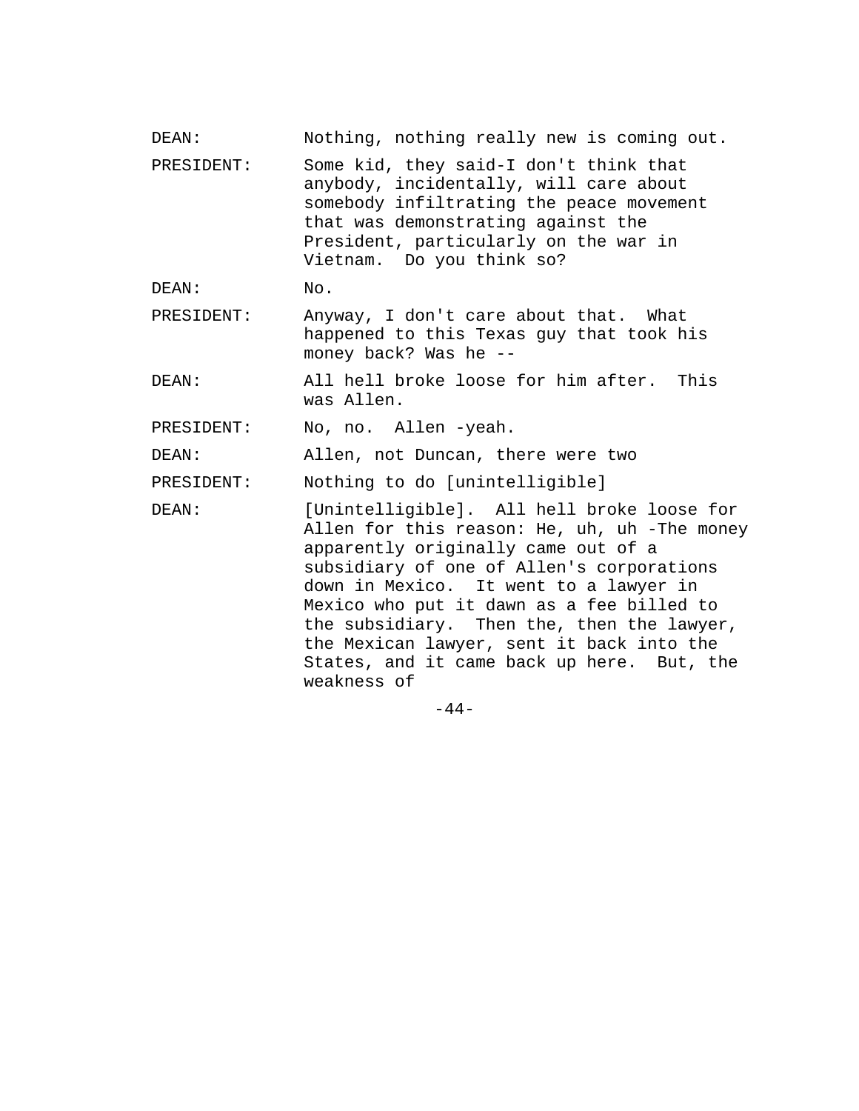| DEAN:      | Nothing, nothing really new is coming out.                                                                                                                                                                                                                                                                                                                                                                                    |
|------------|-------------------------------------------------------------------------------------------------------------------------------------------------------------------------------------------------------------------------------------------------------------------------------------------------------------------------------------------------------------------------------------------------------------------------------|
| PRESIDENT: | Some kid, they said-I don't think that<br>anybody, incidentally, will care about<br>somebody infiltrating the peace movement<br>that was demonstrating against the<br>President, particularly on the war in<br>Vietnam. Do you think so?                                                                                                                                                                                      |
| DEAN:      | No.                                                                                                                                                                                                                                                                                                                                                                                                                           |
| PRESIDENT: | Anyway, I don't care about that. What<br>happened to this Texas guy that took his<br>money back? Was he --                                                                                                                                                                                                                                                                                                                    |
| DEAN:      | All hell broke loose for him after.<br>This<br>was Allen.                                                                                                                                                                                                                                                                                                                                                                     |
| PRESIDENT: | No, no. Allen -yeah.                                                                                                                                                                                                                                                                                                                                                                                                          |
| DEAN:      | Allen, not Duncan, there were two                                                                                                                                                                                                                                                                                                                                                                                             |
| PRESIDENT: | Nothing to do [unintelligible]                                                                                                                                                                                                                                                                                                                                                                                                |
| DEAN:      | [Unintelligible]. All hell broke loose for<br>Allen for this reason: He, uh, uh -The money<br>apparently originally came out of a<br>subsidiary of one of Allen's corporations<br>down in Mexico. It went to a lawyer in<br>Mexico who put it dawn as a fee billed to<br>the subsidiary. Then the, then the lawyer,<br>the Mexican lawyer, sent it back into the<br>States, and it came back up here. But, the<br>weakness of |

-44-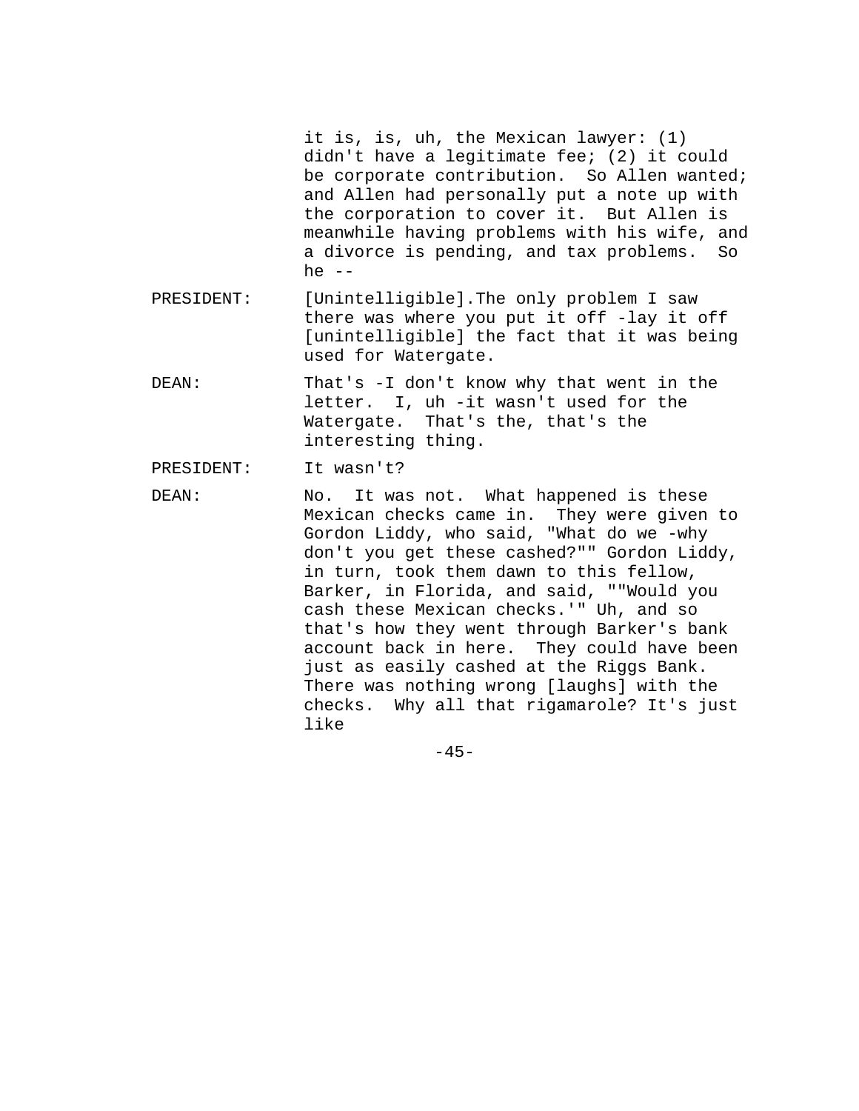it is, is, uh, the Mexican lawyer: (1) didn't have a legitimate fee; (2) it could be corporate contribution. So Allen wanted; and Allen had personally put a note up with the corporation to cover it. But Allen is meanwhile having problems with his wife, and a divorce is pending, and tax problems. So he  $--$ 

- PRESIDENT: [Unintelligible].The only problem I saw there was where you put it off -lay it off [unintelligible] the fact that it was being used for Watergate.
- DEAN: That's -I don't know why that went in the letter. I, uh -it wasn't used for the Watergate. That's the, that's the interesting thing.

PRESIDENT: It wasn't?

DEAN: No. It was not. What happened is these Mexican checks came in. They were given to Gordon Liddy, who said, "What do we -why don't you get these cashed?"" Gordon Liddy, in turn, took them dawn to this fellow, Barker, in Florida, and said, ""Would you cash these Mexican checks.'" Uh, and so that's how they went through Barker's bank account back in here. They could have been just as easily cashed at the Riggs Bank. There was nothing wrong [laughs] with the checks. Why all that rigamarole? It's just like

 $-45-$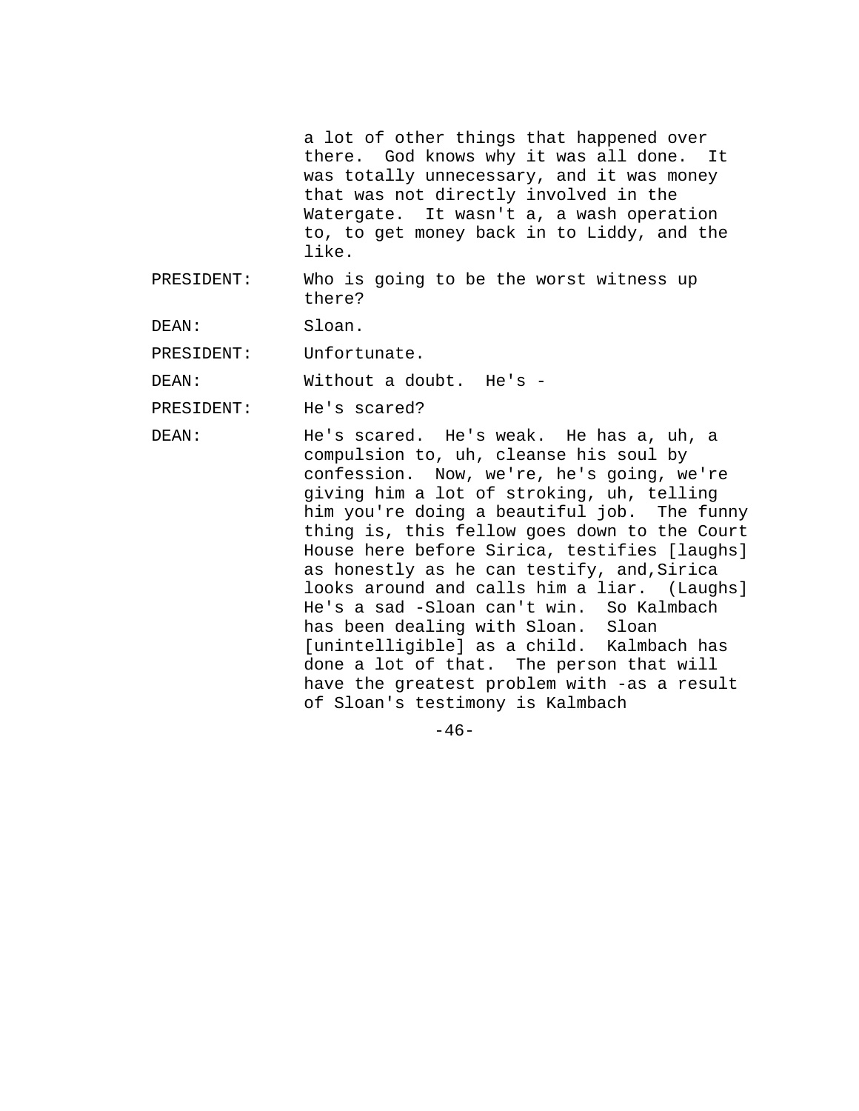a lot of other things that happened over there. God knows why it was all done. It was totally unnecessary, and it was money that was not directly involved in the Watergate. It wasn't a, a wash operation to, to get money back in to Liddy, and the like.

PRESIDENT: Who is going to be the worst witness up there?

DEAN: Sloan.

PRESIDENT: Unfortunate.

DEAN: Without a doubt. He's -

PRESIDENT: He's scared?

DEAN: He's scared. He's weak. He has a, uh, a compulsion to, uh, cleanse his soul by confession. Now, we're, he's going, we're giving him a lot of stroking, uh, telling him you're doing a beautiful job. The funny thing is, this fellow goes down to the Court House here before Sirica, testifies [laughs] as honestly as he can testify, and,Sirica looks around and calls him a liar. (Laughs] He's a sad -Sloan can't win. So Kalmbach has been dealing with Sloan. Sloan [unintelligible] as a child. Kalmbach has done a lot of that. The person that will have the greatest problem with -as a result of Sloan's testimony is Kalmbach

 $-46-$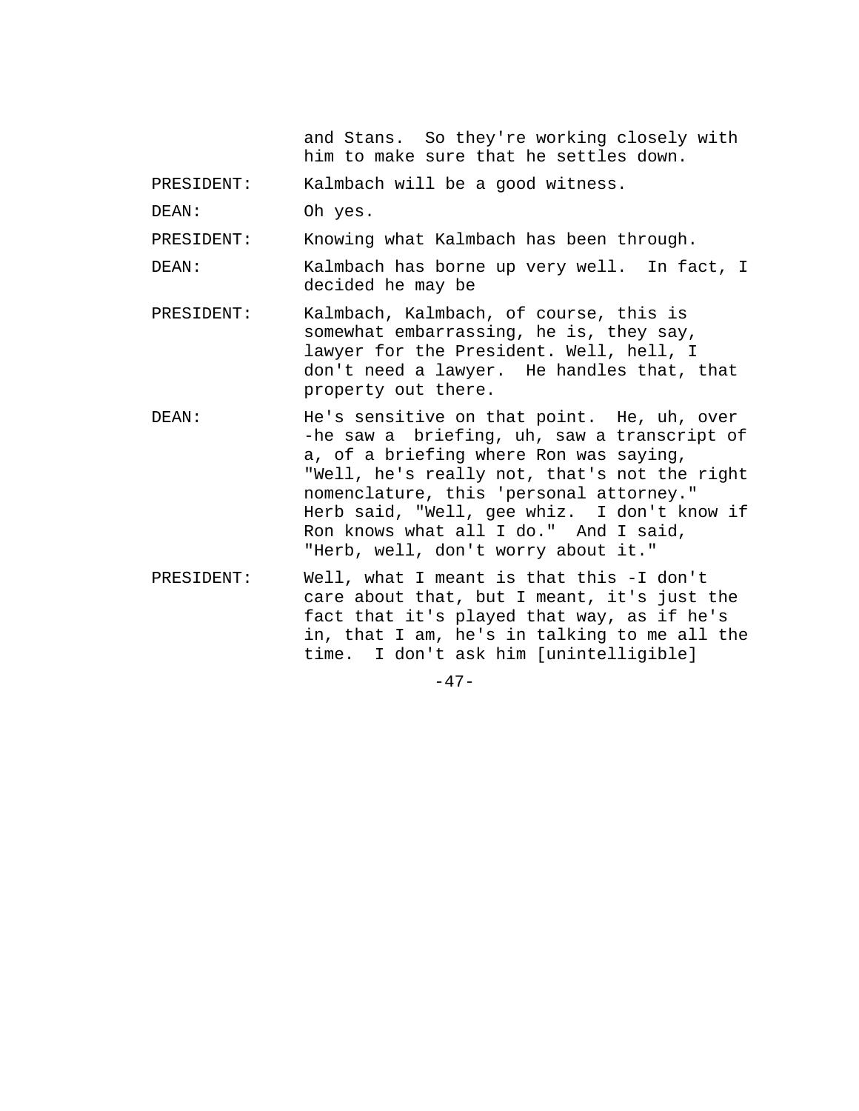and Stans. So they're working closely with him to make sure that he settles down.

PRESIDENT: Kalmbach will be a good witness.

DEAN: Oh yes.

PRESIDENT: Knowing what Kalmbach has been through.

DEAN: Kalmbach has borne up very well. In fact, I decided he may be

- PRESIDENT: Kalmbach, Kalmbach, of course, this is somewhat embarrassing, he is, they say, lawyer for the President. Well, hell, I don't need a lawyer. He handles that, that property out there.
- DEAN: He's sensitive on that point. He, uh, over -he saw a briefing, uh, saw a transcript of a, of a briefing where Ron was saying, "Well, he's really not, that's not the right nomenclature, this 'personal attorney." Herb said, "Well, gee whiz. I don't know if Ron knows what all I do." And I said, "Herb, well, don't worry about it."
- PRESIDENT: Well, what I meant is that this -I don't care about that, but I meant, it's just the fact that it's played that way, as if he's in, that I am, he's in talking to me all the time. I don't ask him [unintelligible]

 $-47-$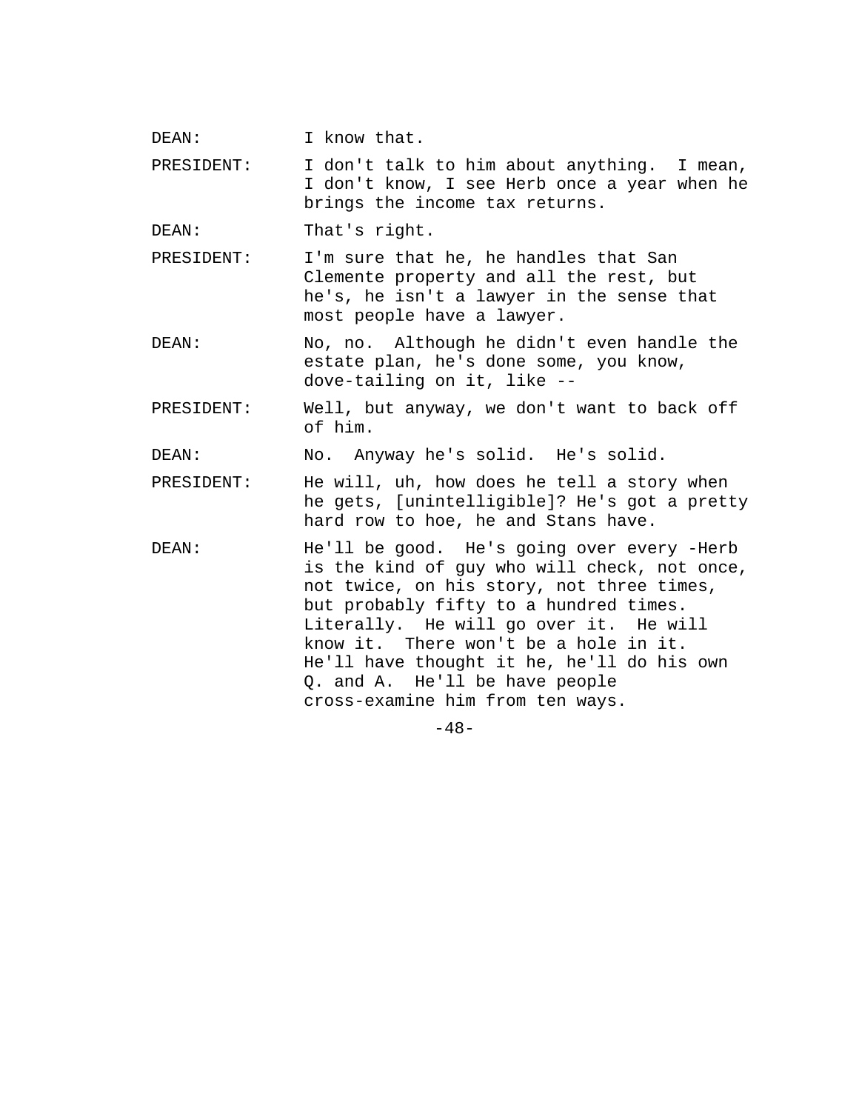DEAN: I know that.

PRESIDENT: I don't talk to him about anything. I mean, I don't know, I see Herb once a year when he brings the income tax returns.

DEAN: That's right.

PRESIDENT: I'm sure that he, he handles that San Clemente property and all the rest, but he's, he isn't a lawyer in the sense that most people have a lawyer.

DEAN: No, no. Although he didn't even handle the estate plan, he's done some, you know, dove-tailing on it, like --

PRESIDENT: Well, but anyway, we don't want to back off of him.

DEAN: No. Anyway he's solid. He's solid.

- PRESIDENT: He will, uh, how does he tell a story when he gets, [unintelligible]? He's got a pretty hard row to hoe, he and Stans have.
- DEAN: He'll be good. He's going over every -Herb is the kind of guy who will check, not once, not twice, on his story, not three times, but probably fifty to a hundred times. Literally. He will go over it. He will know it. There won't be a hole in it. He'll have thought it he, he'll do his own Q. and A. He'll be have people cross-examine him from ten ways.

 $-48-$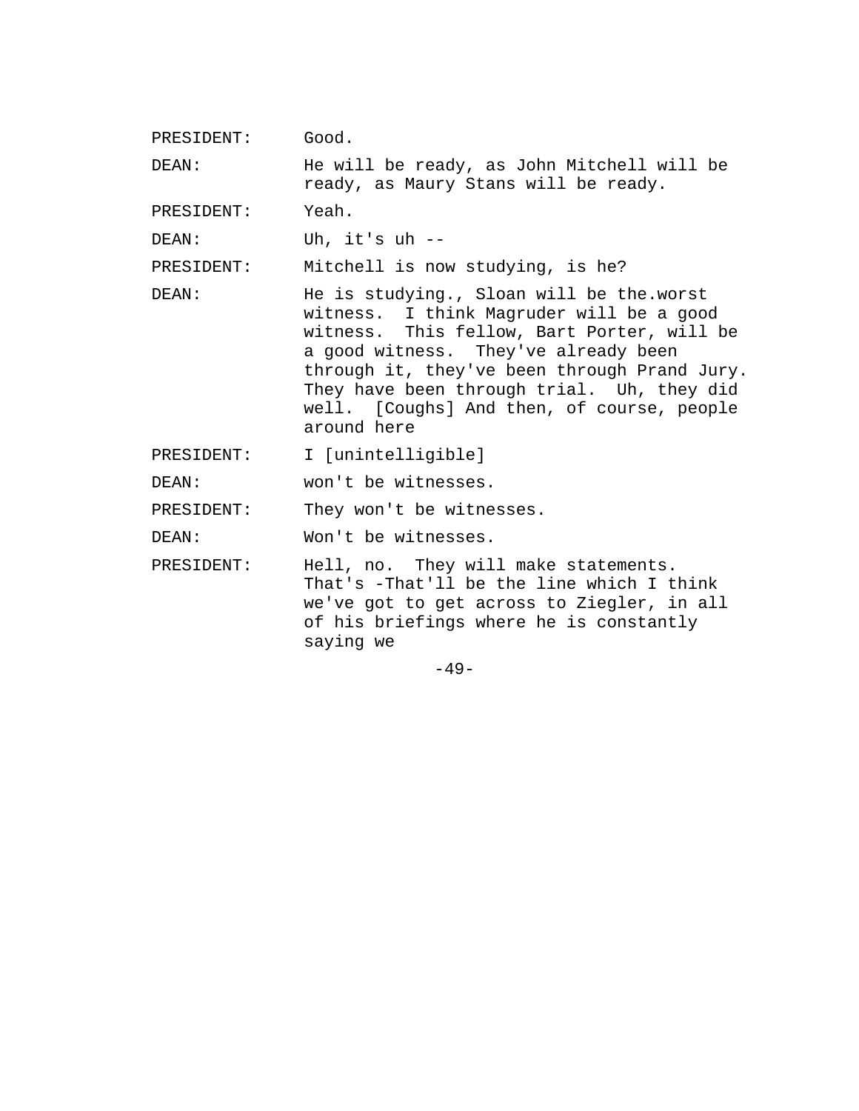PRESIDENT: Good.

DEAN: He will be ready, as John Mitchell will be ready, as Maury Stans will be ready.

PRESIDENT: Yeah.

DEAN: Uh, it's uh --

PRESIDENT: Mitchell is now studying, is he?

DEAN: He is studying., Sloan will be the.worst witness. I think Magruder will be a good witness. This fellow, Bart Porter, will be a good witness. They've already been through it, they've been through Prand Jury. They have been through trial. Uh, they did well. [Coughs] And then, of course, people around here

PRESIDENT: I [unintelligible]

DEAN: won't be witnesses.

PRESIDENT: They won't be witnesses.

DEAN: Won't be witnesses.

PRESIDENT: Hell, no. They will make statements. That's -That'll be the line which I think we've got to get across to Ziegler, in all of his briefings where he is constantly saying we

 $-49-$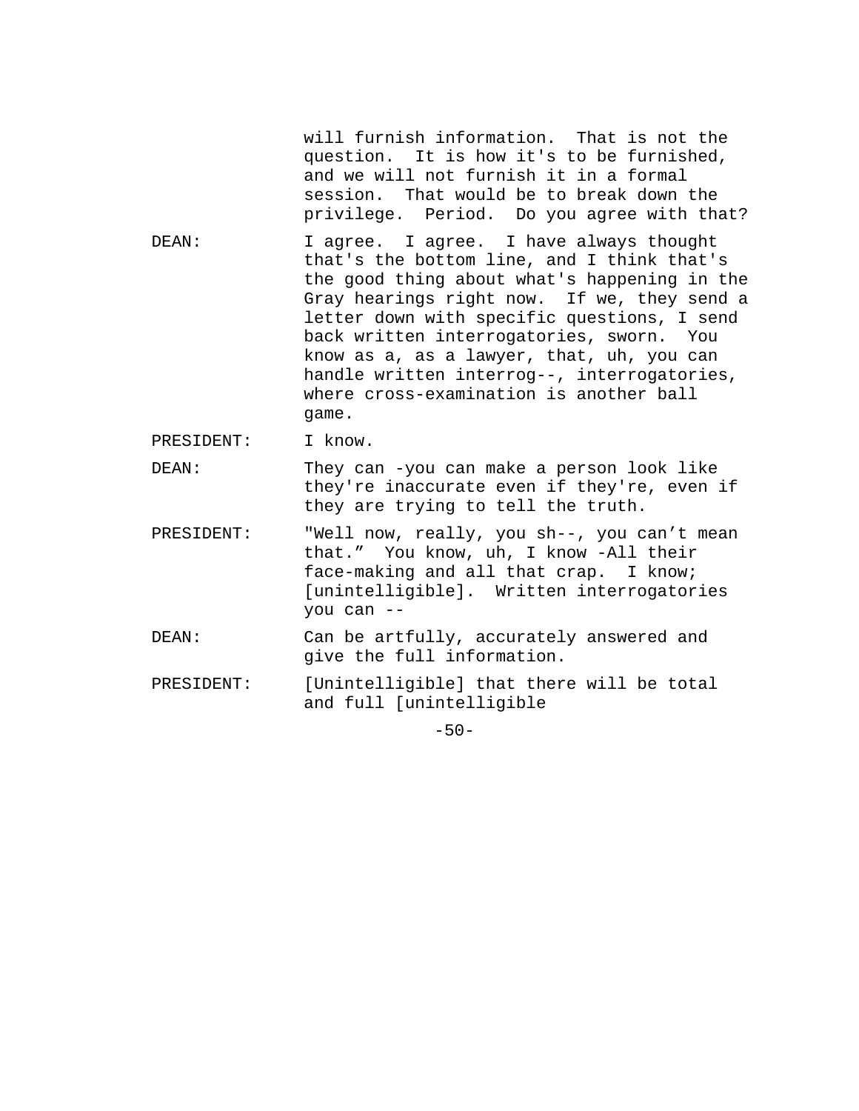will furnish information. That is not the question. It is how it's to be furnished, and we will not furnish it in a formal session. That would be to break down the privilege. Period. Do you agree with that?

DEAN: I agree. I agree. I have always thought that's the bottom line, and I think that's the good thing about what's happening in the Gray hearings right now. If we, they send a letter down with specific questions, I send back written interrogatories, sworn. You know as a, as a lawyer, that, uh, you can handle written interrog--, interrogatories, where cross-examination is another ball game.

PRESIDENT: I know.

DEAN: They can -you can make a person look like they're inaccurate even if they're, even if they are trying to tell the truth.

- PRESIDENT: "Well now, really, you sh--, you can't mean that." You know, uh, I know -All their face-making and all that crap. I know; [unintelligible]. Written interrogatories you can --
- DEAN: Can be artfully, accurately answered and give the full information.
- PRESIDENT: [Unintelligible] that there will be total and full [unintelligible

 $-50-$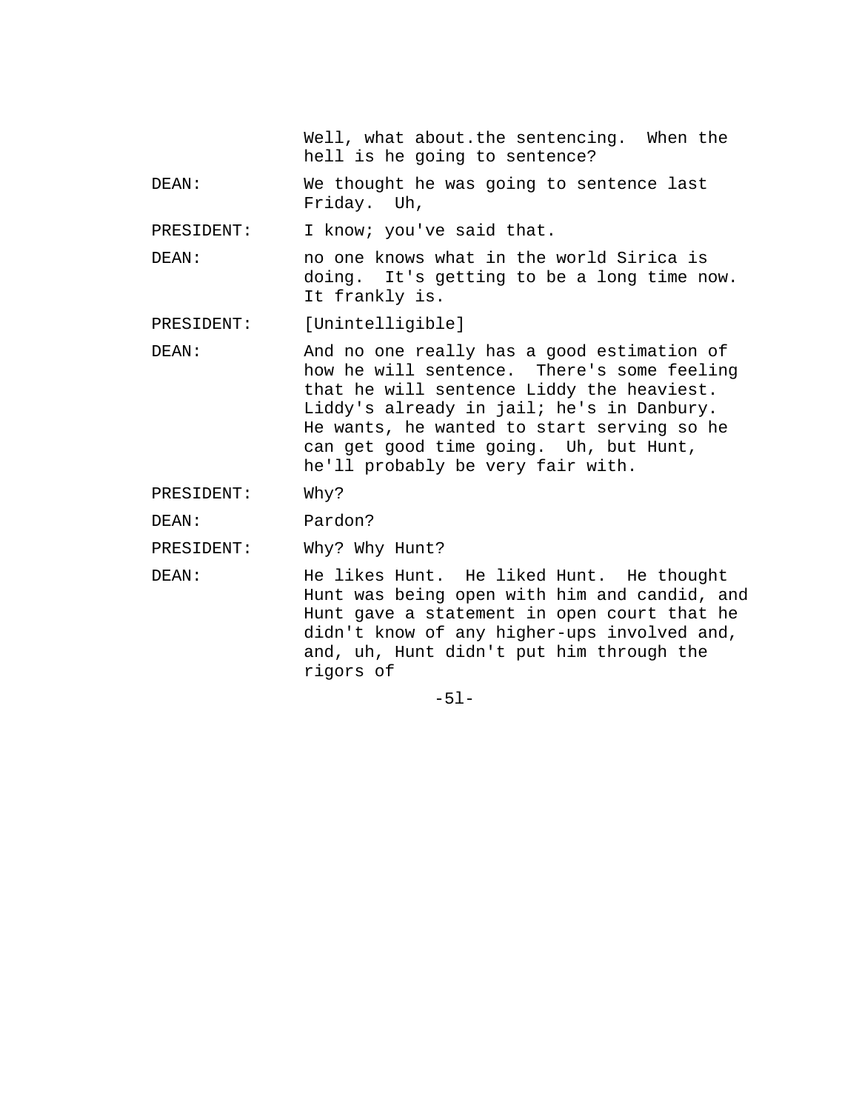Well, what about.the sentencing. When the hell is he going to sentence?

DEAN: We thought he was going to sentence last Friday. Uh,

PRESIDENT: I know; you've said that.

DEAN: no one knows what in the world Sirica is doing. It's getting to be a long time now. It frankly is.

PRESIDENT: [Unintelligible]

DEAN: And no one really has a good estimation of how he will sentence. There's some feeling that he will sentence Liddy the heaviest. Liddy's already in jail; he's in Danbury. He wants, he wanted to start serving so he can get good time going. Uh, but Hunt, he'll probably be very fair with.

PRESIDENT: Why?

DEAN: Pardon?

PRESIDENT: Why? Why Hunt?

DEAN: He likes Hunt. He liked Hunt. He thought Hunt was being open with him and candid, and Hunt gave a statement in open court that he didn't know of any higher-ups involved and, and, uh, Hunt didn't put him through the rigors of

-5l-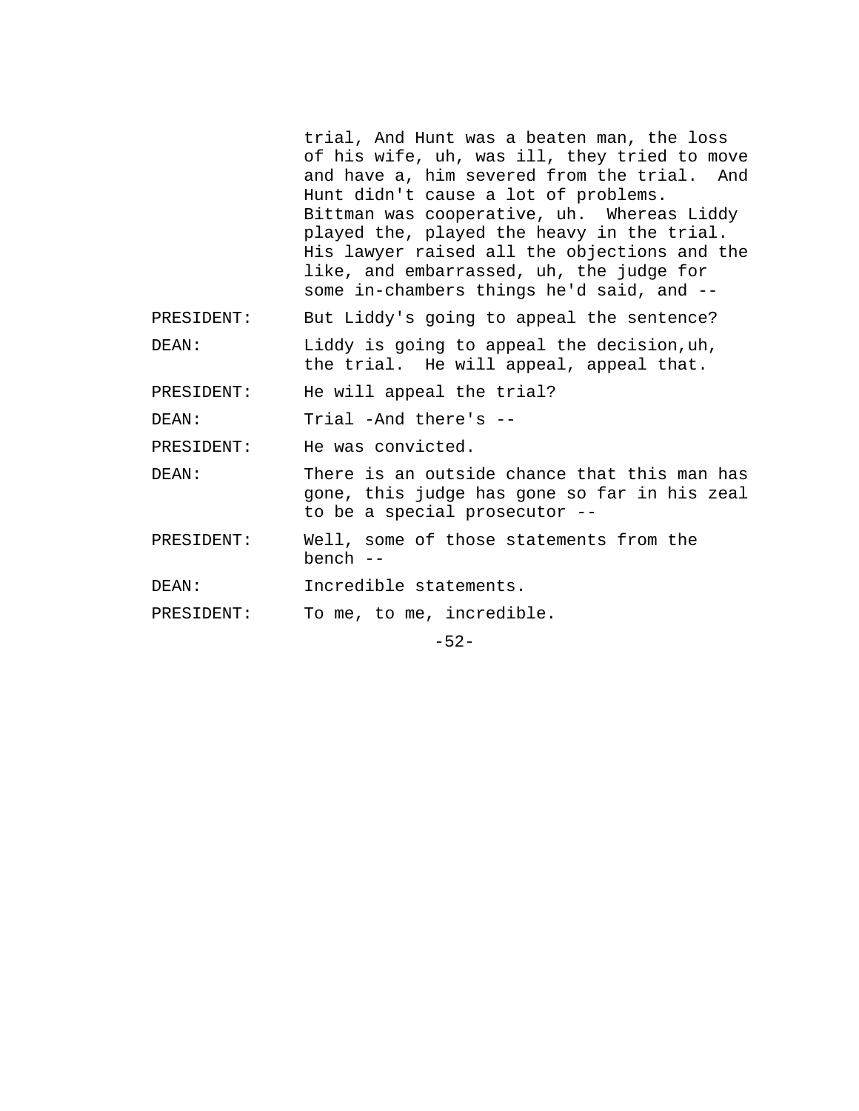trial, And Hunt was a beaten man, the loss of his wife, uh, was ill, they tried to move and have a, him severed from the trial. And Hunt didn't cause a lot of problems. Bittman was cooperative, uh. Whereas Liddy played the, played the heavy in the trial. His lawyer raised all the objections and the like, and embarrassed, uh, the judge for some in-chambers things he'd said, and --

PRESIDENT: But Liddy's going to appeal the sentence?

DEAN: Liddy is going to appeal the decision, uh, the trial. He will appeal, appeal that.

PRESIDENT: He will appeal the trial?

DEAN: Trial -And there's --

PRESIDENT: He was convicted.

DEAN: There is an outside chance that this man has gone, this judge has gone so far in his zeal to be a special prosecutor --

PRESIDENT: Well, some of those statements from the bench --

DEAN: Incredible statements.

PRESIDENT: To me, to me, incredible.

-52-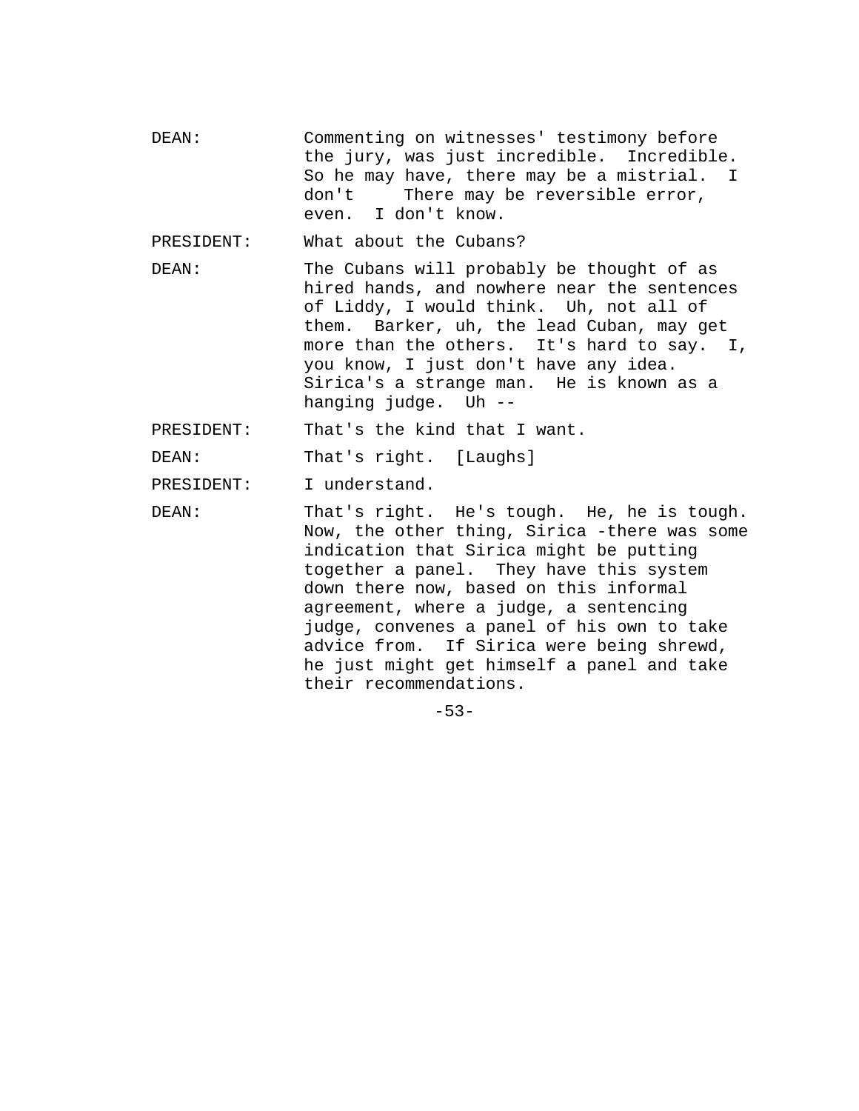DEAN: Commenting on witnesses' testimony before the jury, was just incredible. Incredible. So he may have, there may be a mistrial. I don't There may be reversible error, even. I don't know.

PRESIDENT: What about the Cubans?

DEAN: The Cubans will probably be thought of as hired hands, and nowhere near the sentences of Liddy, I would think. Uh, not all of them. Barker, uh, the lead Cuban, may get more than the others. It's hard to say. I, you know, I just don't have any idea. Sirica's a strange man. He is known as a hanging judge. Uh --

PRESIDENT: That's the kind that I want.

DEAN: That's right. [Laughs]

PRESIDENT: I understand.

DEAN: That's right. He's tough. He, he is tough. Now, the other thing, Sirica -there was some indication that Sirica might be putting together a panel. They have this system down there now, based on this informal agreement, where a judge, a sentencing judge, convenes a panel of his own to take advice from. If Sirica were being shrewd, he just might get himself a panel and take their recommendations.

-53-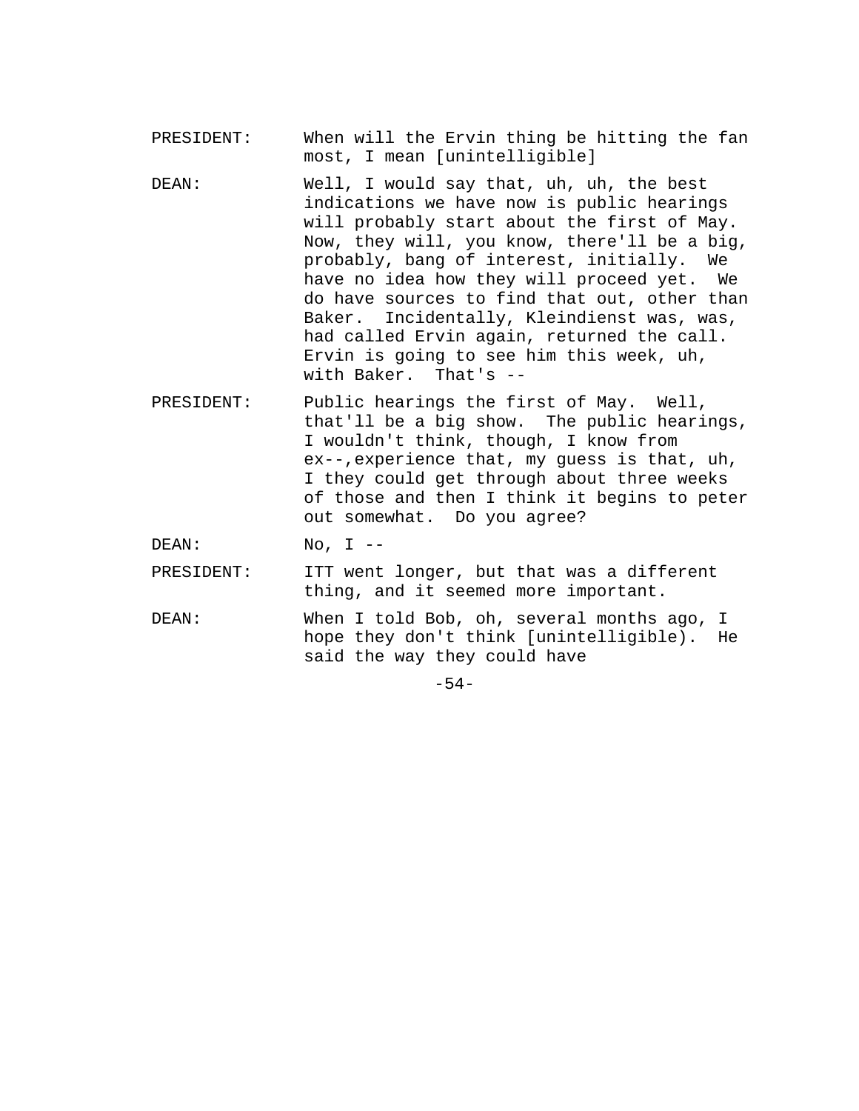- PRESIDENT: When will the Ervin thing be hitting the fan most, I mean [unintelligible]
- DEAN: Well, I would say that, uh, uh, the best indications we have now is public hearings will probably start about the first of May. Now, they will, you know, there'll be a big, probably, bang of interest, initially. We have no idea how they will proceed yet. We do have sources to find that out, other than Baker. Incidentally, Kleindienst was, was, had called Ervin again, returned the call. Ervin is going to see him this week, uh, with Baker. That's --
- PRESIDENT: Public hearings the first of May. Well, that'll be a big show. The public hearings, I wouldn't think, though, I know from ex--,experience that, my guess is that, uh, I they could get through about three weeks of those and then I think it begins to peter out somewhat. Do you agree?

DEAN: No, I --

PRESIDENT: ITT went longer, but that was a different thing, and it seemed more important.

DEAN: When I told Bob, oh, several months ago, I hope they don't think [unintelligible). He said the way they could have

-54-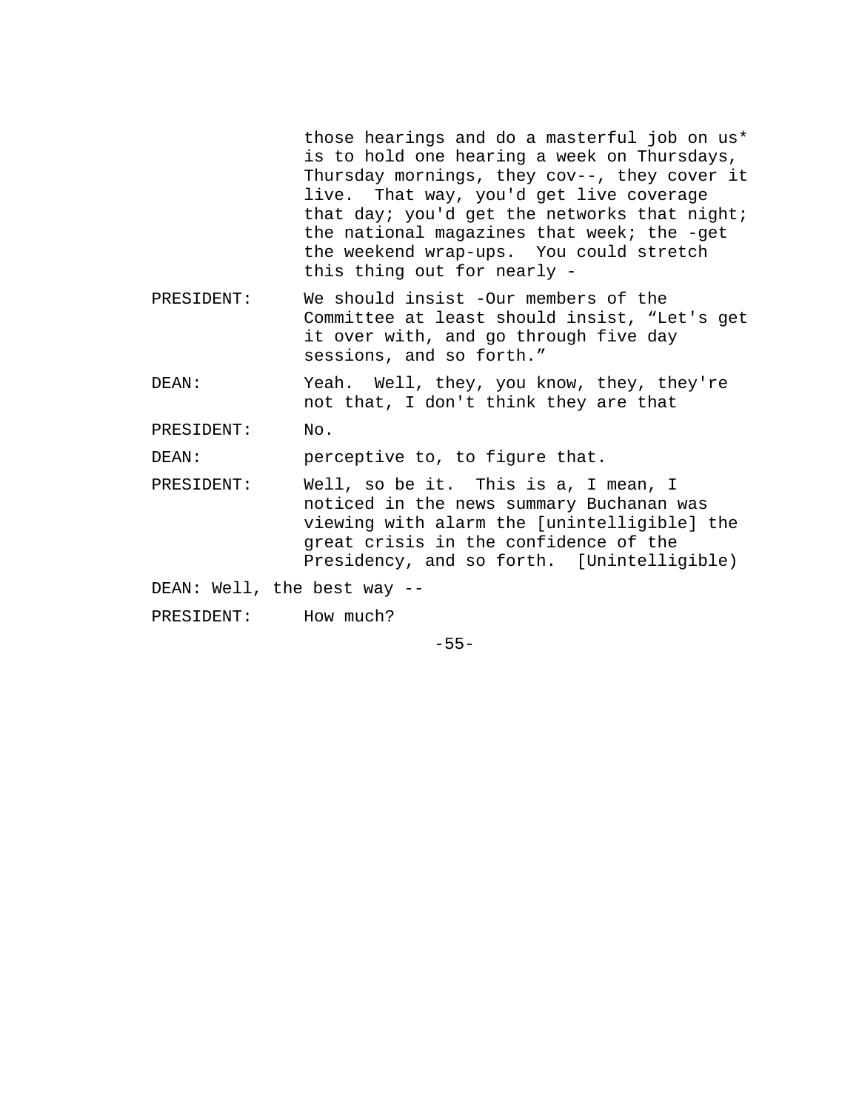those hearings and do a masterful job on us\* is to hold one hearing a week on Thursdays, Thursday mornings, they cov--, they cover it live. That way, you'd get live coverage that day; you'd get the networks that night; the national magazines that week; the -get the weekend wrap-ups. You could stretch this thing out for nearly -

- PRESIDENT: We should insist -Our members of the Committee at least should insist, "Let's get it over with, and go through five day sessions, and so forth."
- DEAN: Yeah. Well, they, you know, they, they're not that, I don't think they are that

PRESIDENT: No.

DEAN: perceptive to, to figure that.

PRESIDENT: Well, so be it. This is a, I mean, I noticed in the news summary Buchanan was viewing with alarm the [unintelligible] the great crisis in the confidence of the Presidency, and so forth. [Unintelligible)

DEAN: Well, the best way --

PRESIDENT: How much?

-55-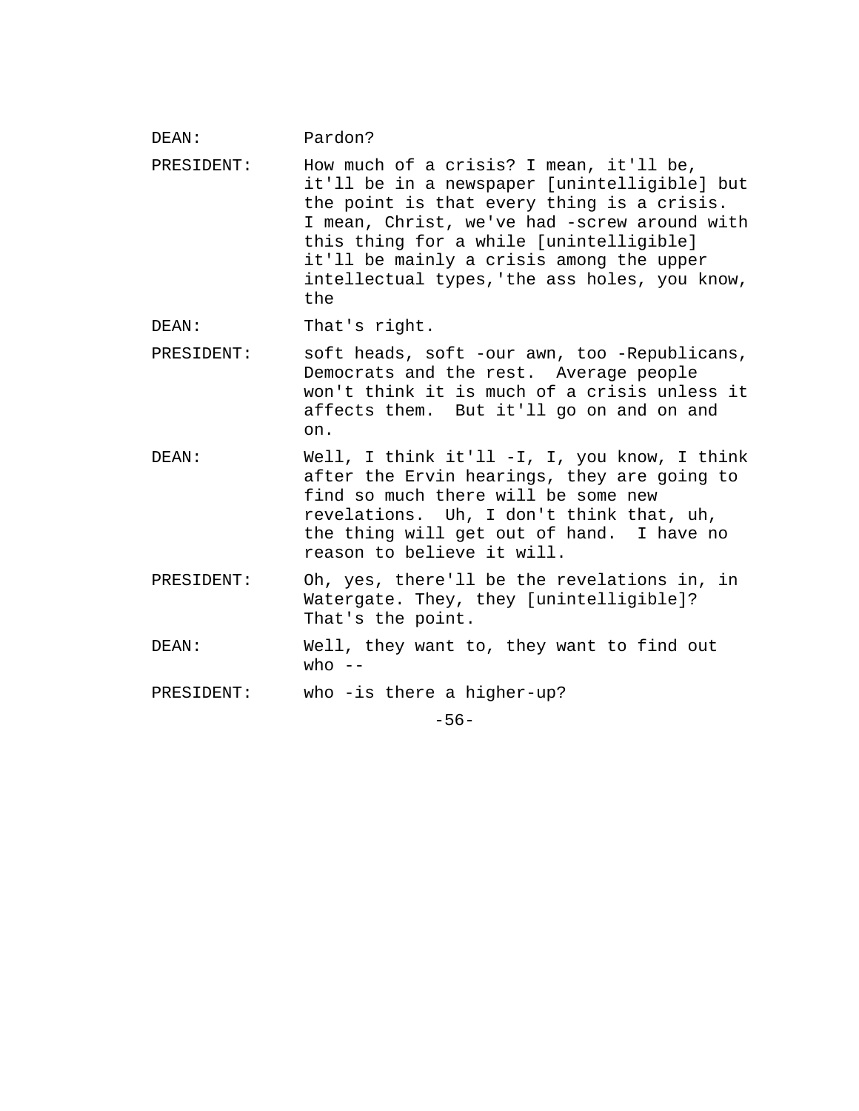DEAN: Pardon? PRESIDENT: How much of a crisis? I mean, it'll be, it'll be in a newspaper [unintelligible] but the point is that every thing is a crisis. I mean, Christ, we've had -screw around with this thing for a while [unintelligible] it'll be mainly a crisis among the upper intellectual types,'the ass holes, you know, the DEAN: That's right. PRESIDENT: soft heads, soft -our awn, too -Republicans, Democrats and the rest. Average people won't think it is much of a crisis unless it affects them. But it'll go on and on and on. DEAN: Well, I think it'll -I, I, you know, I think after the Ervin hearings, they are going to find so much there will be some new revelations. Uh, I don't think that, uh, the thing will get out of hand. I have no reason to believe it will. PRESIDENT: Oh, yes, there'll be the revelations in, in Watergate. They, they [unintelligible]? That's the point. DEAN: Well, they want to, they want to find out who  $--$ PRESIDENT: who -is there a higher-up?

-56-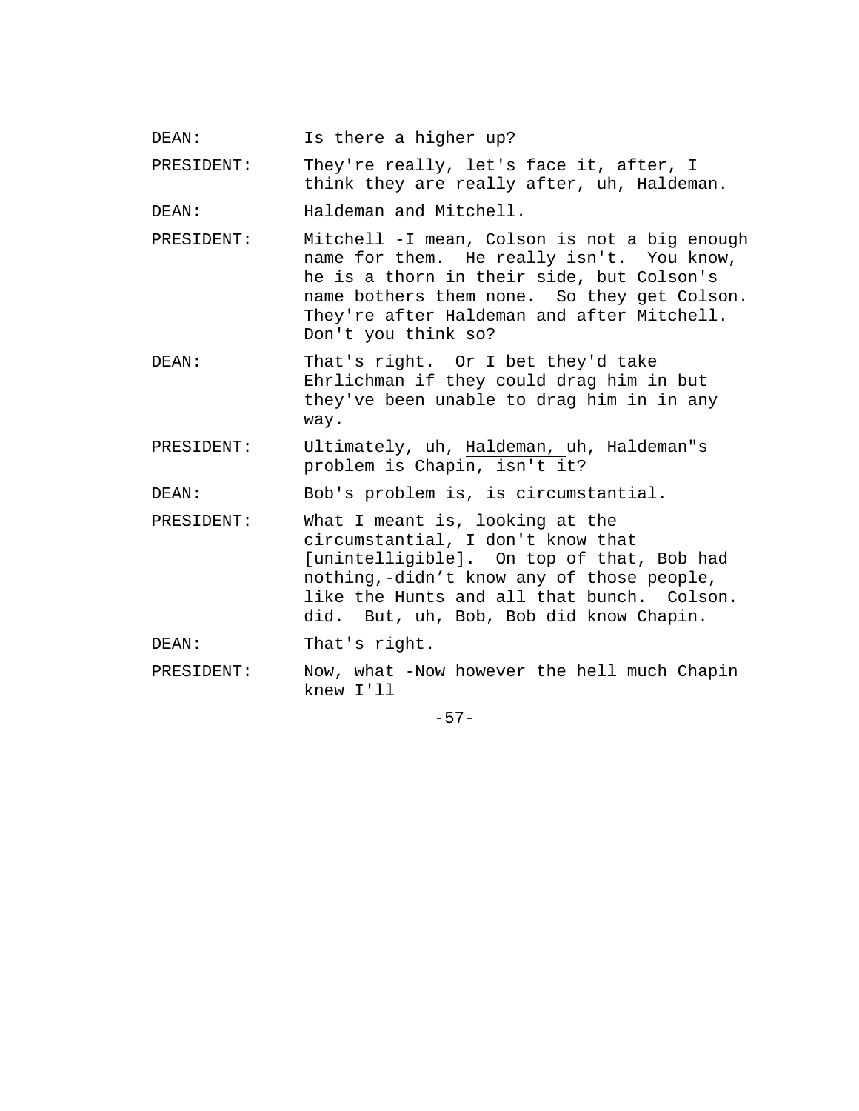DEAN: Is there a higher up?

PRESIDENT: They're really, let's face it, after, I think they are really after, uh, Haldeman.

DEAN: Haldeman and Mitchell.

PRESIDENT: Mitchell -I mean, Colson is not a big enough name for them. He really isn't. You know, he is a thorn in their side, but Colson's name bothers them none. So they get Colson. They're after Haldeman and after Mitchell. Don't you think so?

DEAN: That's right. Or I bet they'd take Ehrlichman if they could drag him in but they've been unable to drag him in in any way.

PRESIDENT: Ultimately, uh, Haldeman, uh, Haldeman"s problem is Chapin, isn't it?

DEAN: Bob's problem is, is circumstantial.

PRESIDENT: What I meant is, looking at the circumstantial, I don't know that [unintelligible]. On top of that, Bob had nothing,-didn't know any of those people, like the Hunts and all that bunch. Colson. did. But, uh, Bob, Bob did know Chapin.

DEAN: That's right.

PRESIDENT: Now, what -Now however the hell much Chapin knew I'll

-57-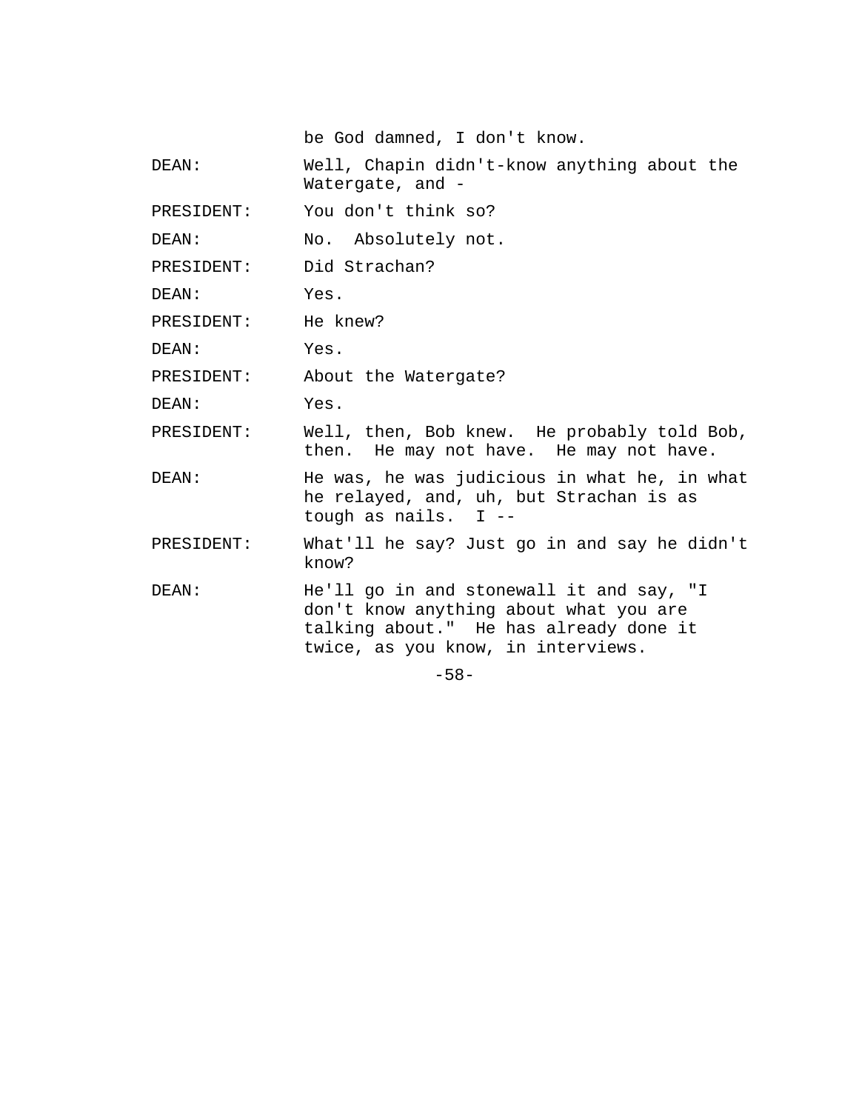be God damned, I don't know.

DEAN: Well, Chapin didn't-know anything about the Watergate, and -

PRESIDENT: You don't think so?

DEAN: No. Absolutely not.

PRESIDENT: Did Strachan?

DEAN: Yes.

PRESIDENT: He knew?

DEAN: Yes.

PRESIDENT: About the Watergate?

DEAN: Yes.

PRESIDENT: Well, then, Bob knew. He probably told Bob, then. He may not have. He may not have.

DEAN: He was, he was judicious in what he, in what he relayed, and, uh, but Strachan is as tough as nails. I --

PRESIDENT: What'll he say? Just go in and say he didn't know?

DEAN: He'll go in and stonewall it and say, "I don't know anything about what you are talking about." He has already done it twice, as you know, in interviews.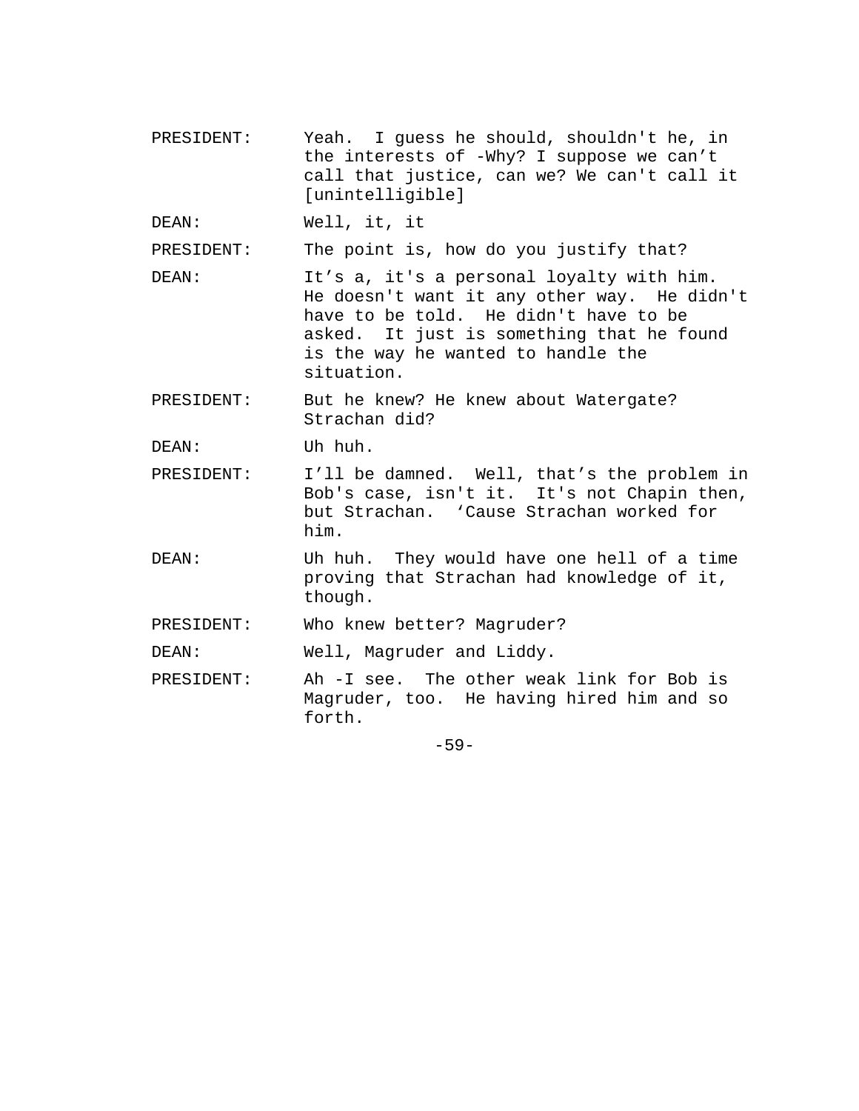PRESIDENT: Yeah. I guess he should, shouldn't he, in the interests of -Why? I suppose we can't call that justice, can we? We can't call it [unintelligible]

DEAN: Well, it, it

PRESIDENT: The point is, how do you justify that?

- DEAN: It's a, it's a personal loyalty with him. He doesn't want it any other way. He didn't have to be told. He didn't have to be asked. It just is something that he found is the way he wanted to handle the situation.
- PRESIDENT: But he knew? He knew about Watergate? Strachan did?

DEAN: Uh huh.

- PRESIDENT: I'll be damned. Well, that's the problem in Bob's case, isn't it. It's not Chapin then, but Strachan. 'Cause Strachan worked for him.
- DEAN: Uh huh. They would have one hell of a time proving that Strachan had knowledge of it, though.
- PRESIDENT: Who knew better? Magruder?
- DEAN: Well, Magruder and Liddy.
- PRESIDENT: Ah -I see. The other weak link for Bob is Magruder, too. He having hired him and so forth.

-59-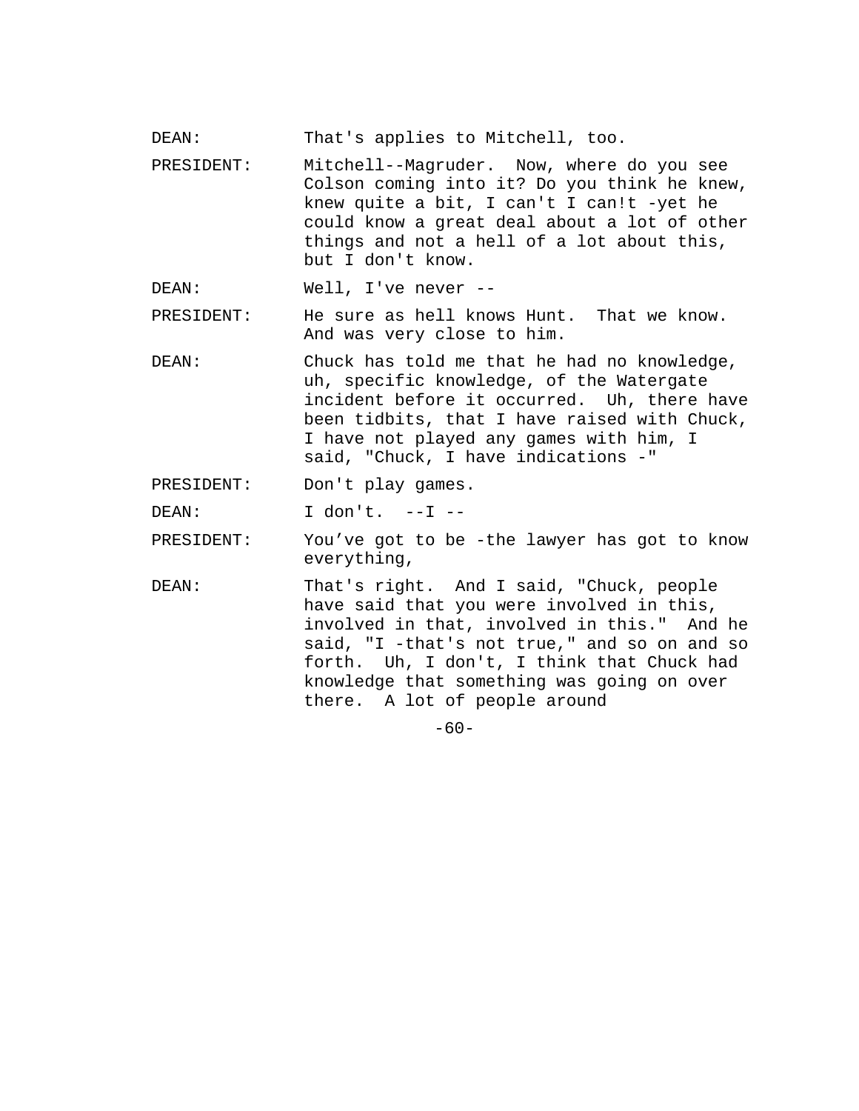- DEAN: That's applies to Mitchell, too.
- PRESIDENT: Mitchell--Magruder. Now, where do you see Colson coming into it? Do you think he knew, knew quite a bit, I can't I can!t -yet he could know a great deal about a lot of other things and not a hell of a lot about this, but I don't know.

DEAN: Well, I've never --

- PRESIDENT: He sure as hell knows Hunt. That we know. And was very close to him.
- DEAN: Chuck has told me that he had no knowledge, uh, specific knowledge, of the Watergate incident before it occurred. Uh, there have been tidbits, that I have raised with Chuck, I have not played any games with him, I said, "Chuck, I have indications -"
- PRESIDENT: Don't play games.

DEAN: I don't. --I --

- PRESIDENT: You've got to be -the lawyer has got to know everything,
- DEAN: That's right. And I said, "Chuck, people have said that you were involved in this, involved in that, involved in this." And he said, "I -that's not true," and so on and so forth. Uh, I don't, I think that Chuck had knowledge that something was going on over there. A lot of people around

 $-60-$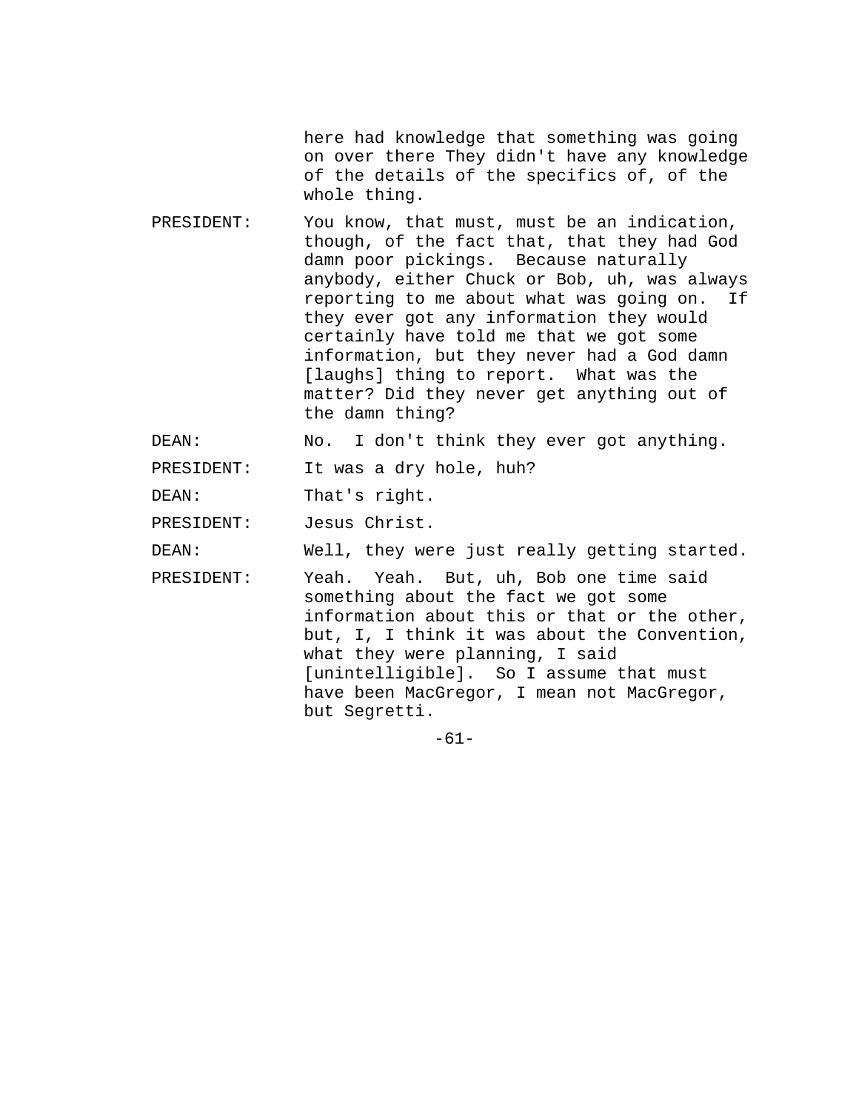here had knowledge that something was going on over there They didn't have any knowledge of the details of the specifics of, of the whole thing.

PRESIDENT: You know, that must, must be an indication, though, of the fact that, that they had God damn poor pickings. Because naturally anybody, either Chuck or Bob, uh, was always reporting to me about what was going on. If they ever got any information they would certainly have told me that we got some information, but they never had a God damn [laughs] thing to report. What was the matter? Did they never get anything out of the damn thing?

DEAN: No. I don't think they ever got anything.

PRESIDENT: It was a dry hole, huh?

DEAN: That's right.

PRESIDENT: Jesus Christ.

DEAN: Well, they were just really getting started.

PRESIDENT: Yeah. Yeah. But, uh, Bob one time said something about the fact we got some information about this or that or the other, but, I, I think it was about the Convention, what they were planning, I said [unintelligible]. So I assume that must have been MacGregor, I mean not MacGregor, but Segretti.

-61-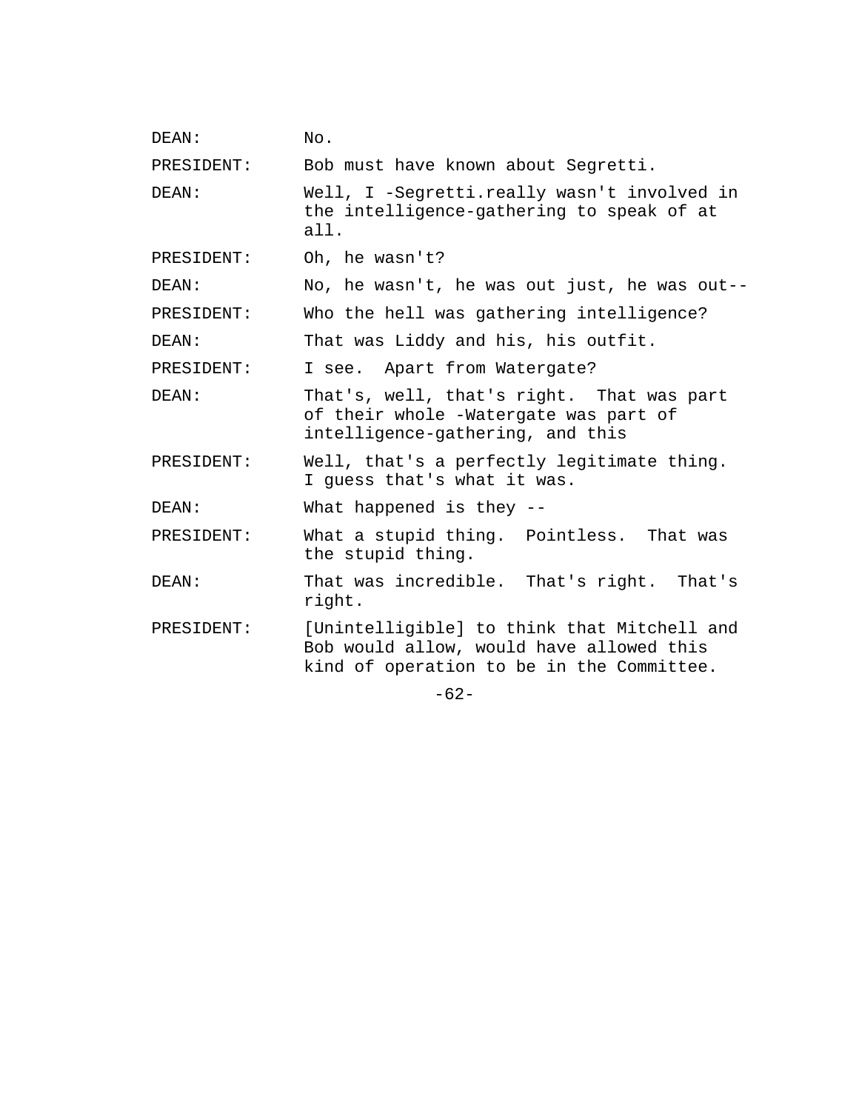| DEAN:      | No.                                                                                                                                  |  |
|------------|--------------------------------------------------------------------------------------------------------------------------------------|--|
| PRESIDENT: | Bob must have known about Segretti.                                                                                                  |  |
| DEAN:      | Well, I -Segretti.really wasn't involved in<br>the intelligence-gathering to speak of at<br>all.                                     |  |
| PRESIDENT: | Oh, he wasn't?                                                                                                                       |  |
| DEAN:      | No, he wasn't, he was out just, he was out--                                                                                         |  |
| PRESIDENT: | Who the hell was gathering intelligence?                                                                                             |  |
| DEAN:      | That was Liddy and his, his outfit.                                                                                                  |  |
| PRESIDENT: | I see. Apart from Watergate?                                                                                                         |  |
| DEAN:      | That's, well, that's right. That was part<br>of their whole -Watergate was part of<br>intelligence-gathering, and this               |  |
| PRESIDENT: | Well, that's a perfectly legitimate thing.<br>I guess that's what it was.                                                            |  |
| DEAN:      | What happened is they --                                                                                                             |  |
| PRESIDENT: | What a stupid thing. Pointless. That was<br>the stupid thing.                                                                        |  |
| DEAN:      | That was incredible. That's right. That's<br>right.                                                                                  |  |
| PRESIDENT: | [Unintelligible] to think that Mitchell and<br>Bob would allow, would have allowed this<br>kind of operation to be in the Committee. |  |
| $-62-$     |                                                                                                                                      |  |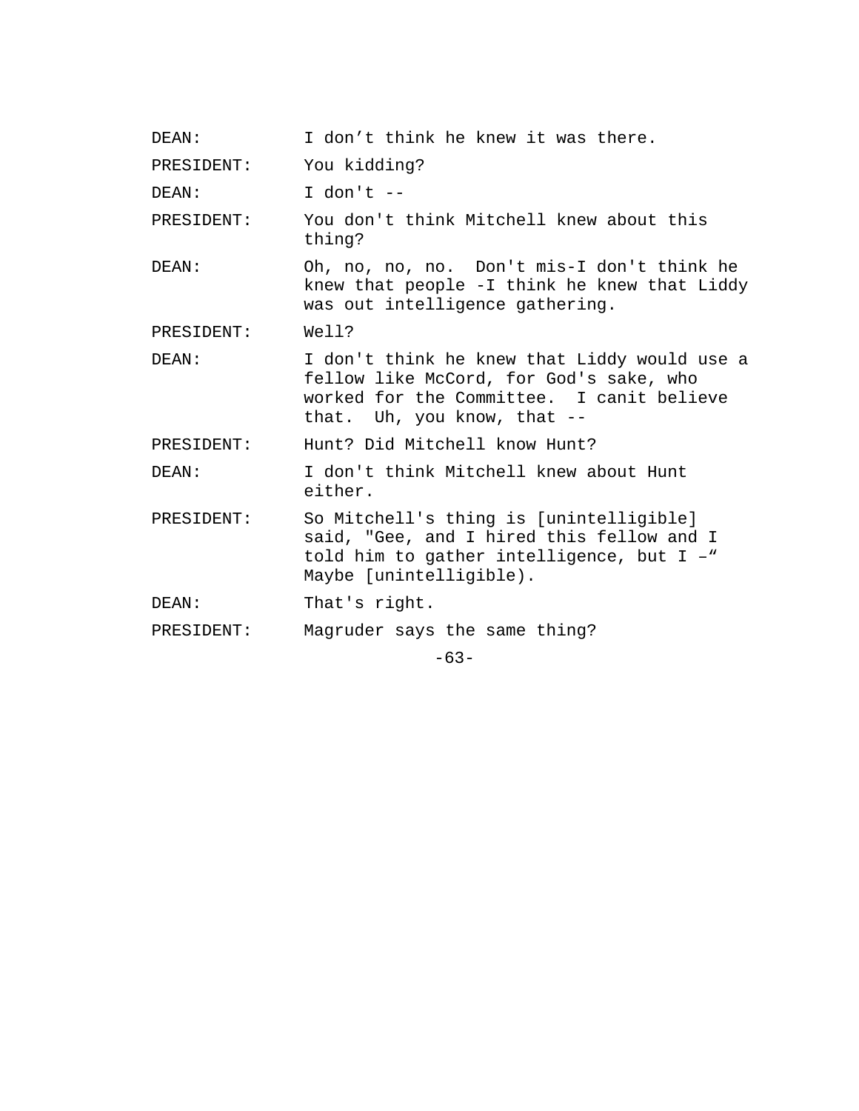| DEAN:      | I don't think he knew it was there.                                                                                                                                    |
|------------|------------------------------------------------------------------------------------------------------------------------------------------------------------------------|
| PRESIDENT: | You kidding?                                                                                                                                                           |
| DEAN:      | I don't $-$                                                                                                                                                            |
| PRESIDENT: | You don't think Mitchell knew about this<br>thing?                                                                                                                     |
| DEAN:      | Oh, no, no, no. Don't mis-I don't think he<br>knew that people -I think he knew that Liddy<br>was out intelligence gathering.                                          |
| PRESIDENT: | Well?                                                                                                                                                                  |
| DEAN:      | I don't think he knew that Liddy would use a<br>fellow like McCord, for God's sake, who<br>worked for the Committee. I canit believe<br>that. Uh, you know, that $-$ - |
| PRESIDENT: | Hunt? Did Mitchell know Hunt?                                                                                                                                          |
| DEAN:      | I don't think Mitchell knew about Hunt<br>either.                                                                                                                      |
| PRESIDENT: | So Mitchell's thing is [unintelligible]<br>said, "Gee, and I hired this fellow and I<br>told him to gather intelligence, but I -"<br>Maybe [unintelligible).           |
| DEAN:      | That's right.                                                                                                                                                          |
| PRESIDENT: | Magruder says the same thing?                                                                                                                                          |
|            |                                                                                                                                                                        |

-63-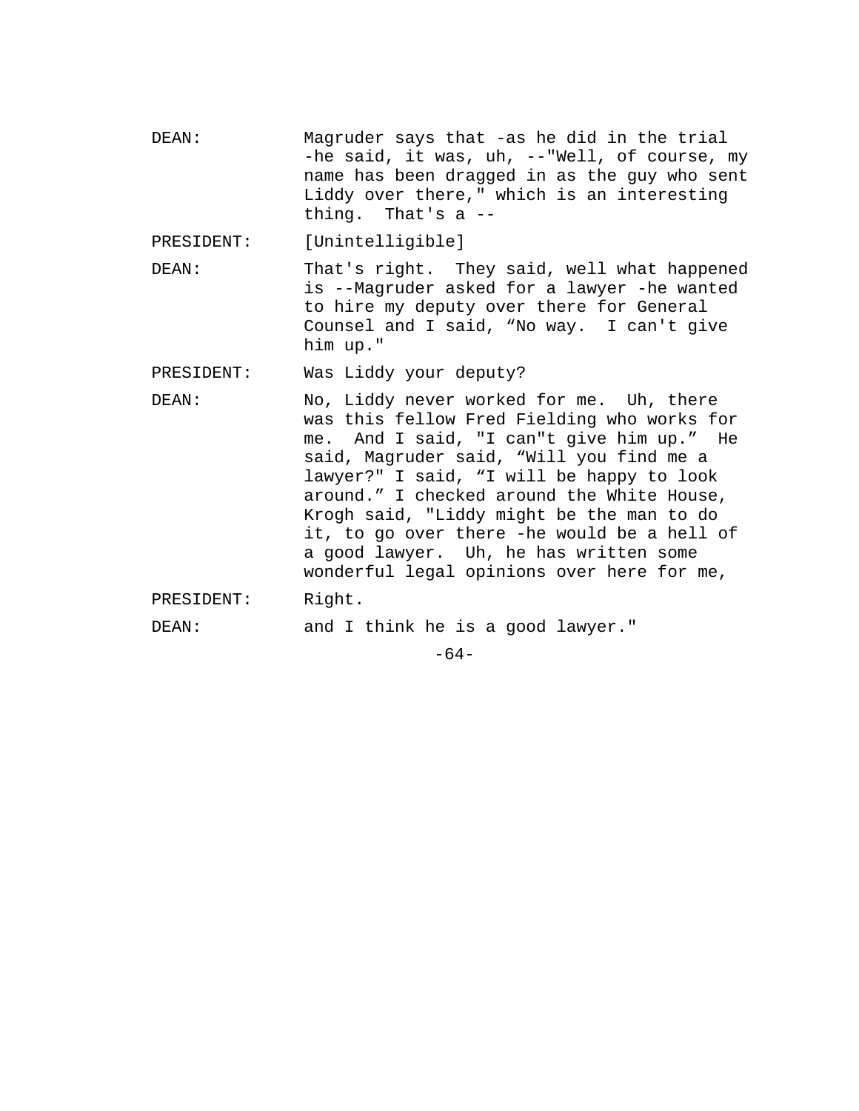- DEAN: Magruder says that -as he did in the trial -he said, it was, uh, --"Well, of course, my name has been dragged in as the guy who sent Liddy over there," which is an interesting thing. That's a --
- PRESIDENT: [Unintelligible]
- DEAN: That's right. They said, well what happened is --Magruder asked for a lawyer -he wanted to hire my deputy over there for General Counsel and I said, "No way. I can't give him up."
- PRESIDENT: Was Liddy your deputy?
- DEAN: No, Liddy never worked for me. Uh, there was this fellow Fred Fielding who works for me. And I said, "I can"t give him up." He said, Magruder said, "Will you find me a lawyer?" I said, "I will be happy to look around." I checked around the White House, Krogh said, "Liddy might be the man to do it, to go over there -he would be a hell of a good lawyer. Uh, he has written some wonderful legal opinions over here for me,
- PRESIDENT: Right.

DEAN: and I think he is a good lawyer."

 $-64-$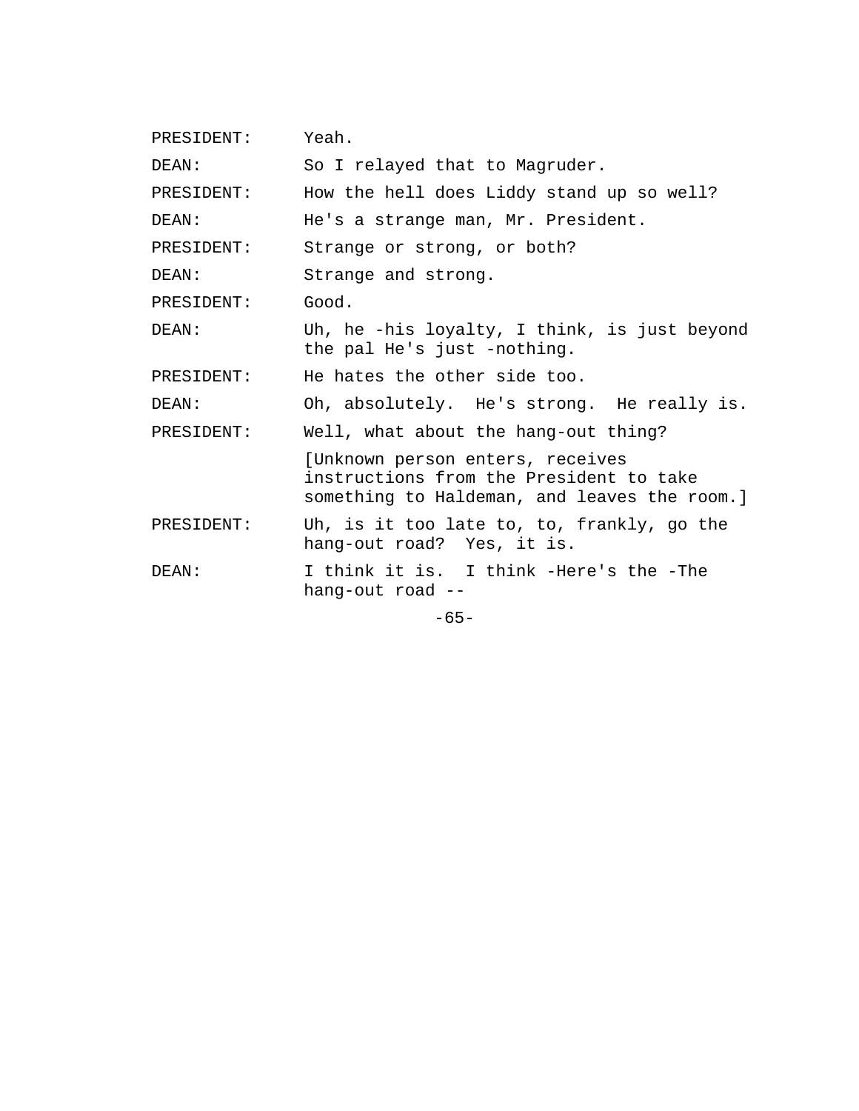| PRESIDENT: | Yeah.                                                                                                                       |
|------------|-----------------------------------------------------------------------------------------------------------------------------|
| DEAN:      | So I relayed that to Magruder.                                                                                              |
| PRESIDENT: | How the hell does Liddy stand up so well?                                                                                   |
| DEAN:      | He's a strange man, Mr. President.                                                                                          |
| PRESIDENT: | Strange or strong, or both?                                                                                                 |
| DEAN:      | Strange and strong.                                                                                                         |
| PRESIDENT: | Good.                                                                                                                       |
| DEAN:      | Uh, he -his loyalty, I think, is just beyond<br>the pal He's just -nothing.                                                 |
| PRESIDENT: | He hates the other side too.                                                                                                |
| DEAN:      | Oh, absolutely. He's strong. He really is.                                                                                  |
| PRESIDENT: | Well, what about the hang-out thing?                                                                                        |
|            | [Unknown person enters, receives<br>instructions from the President to take<br>something to Haldeman, and leaves the room.] |
| PRESIDENT: | Uh, is it too late to, to, frankly, go the<br>hang-out road? Yes, it is.                                                    |
| DEAN:      | I think it is. I think -Here's the -The<br>hang-out road --                                                                 |
|            | $-65-$                                                                                                                      |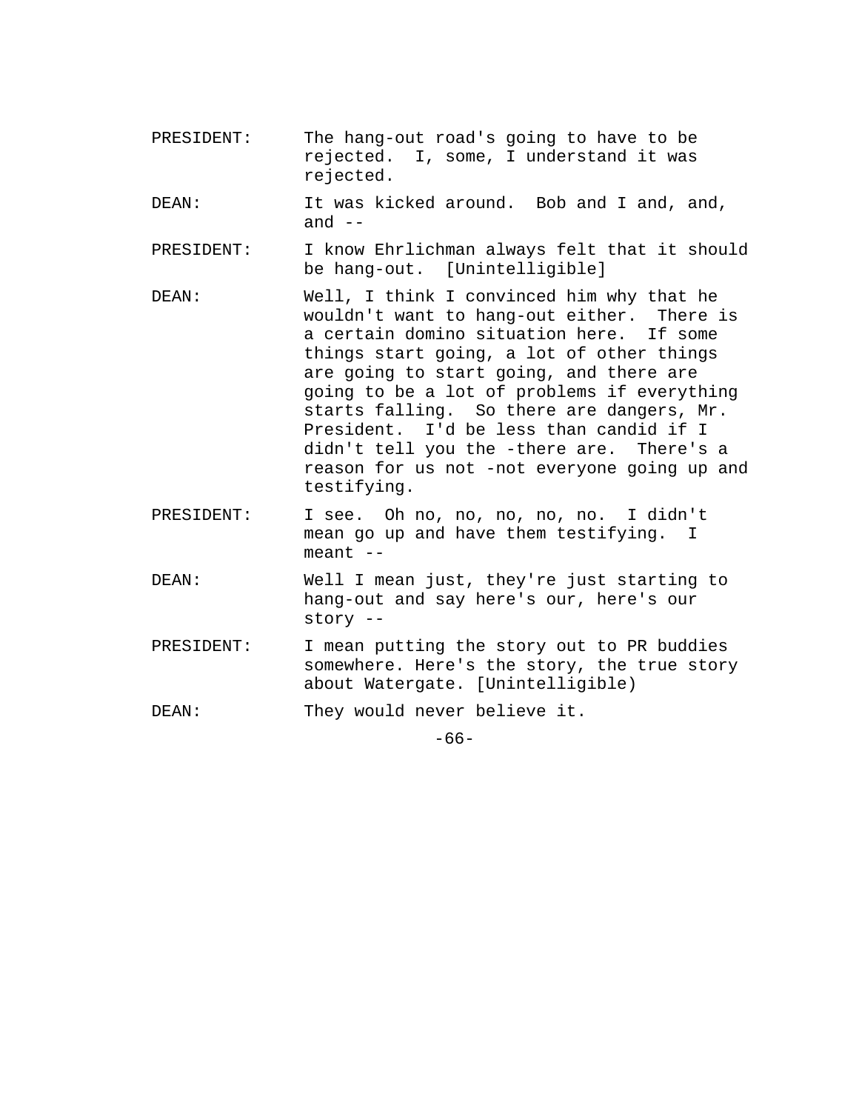- PRESIDENT: The hang-out road's going to have to be rejected. I, some, I understand it was rejected.
- DEAN: It was kicked around. Bob and I and, and, and  $--$
- PRESIDENT: I know Ehrlichman always felt that it should be hang-out. [Unintelligible]
- DEAN: Well, I think I convinced him why that he wouldn't want to hang-out either. There is a certain domino situation here. If some things start going, a lot of other things are going to start going, and there are going to be a lot of problems if everything starts falling. So there are dangers, Mr. President. I'd be less than candid if I didn't tell you the -there are. There's a reason for us not -not everyone going up and testifying.
- PRESIDENT: I see. Oh no, no, no, no, no. I didn't mean go up and have them testifying. I  $meant$   $--$
- DEAN: Well I mean just, they're just starting to hang-out and say here's our, here's our story --
- PRESIDENT: I mean putting the story out to PR buddies somewhere. Here's the story, the true story about Watergate. [Unintelligible)
- DEAN: They would never believe it.

-66-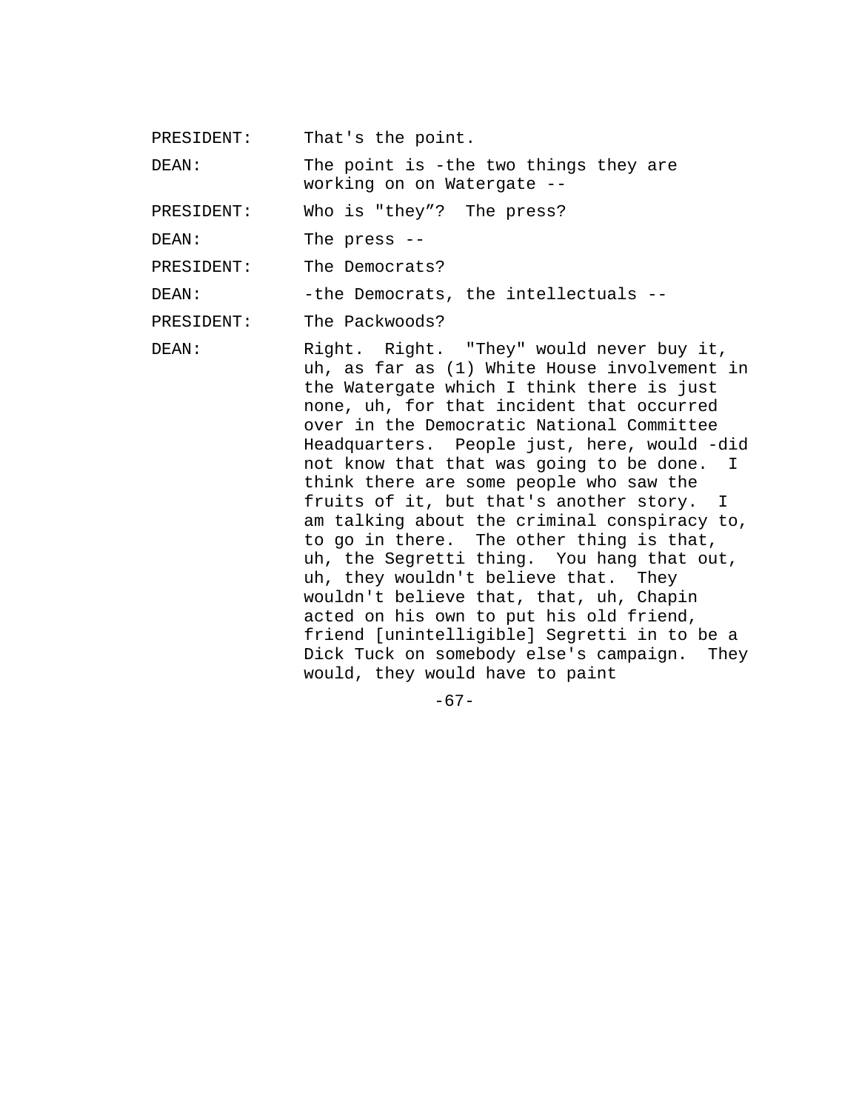PRESIDENT: That's the point.

DEAN: The point is -the two things they are working on on Watergate --

PRESIDENT: Who is "they"? The press?

DEAN: The press --

PRESIDENT: The Democrats?

DEAN: -the Democrats, the intellectuals --

PRESIDENT: The Packwoods?

DEAN: Right. Right. "They" would never buy it, uh, as far as (1) White House involvement in the Watergate which I think there is just none, uh, for that incident that occurred over in the Democratic National Committee Headquarters. People just, here, would -did not know that that was going to be done. I think there are some people who saw the fruits of it, but that's another story. I am talking about the criminal conspiracy to, to go in there. The other thing is that, uh, the Segretti thing. You hang that out, uh, they wouldn't believe that. They wouldn't believe that, that, uh, Chapin acted on his own to put his old friend, friend [unintelligible] Segretti in to be a Dick Tuck on somebody else's campaign. They would, they would have to paint

 $-67-$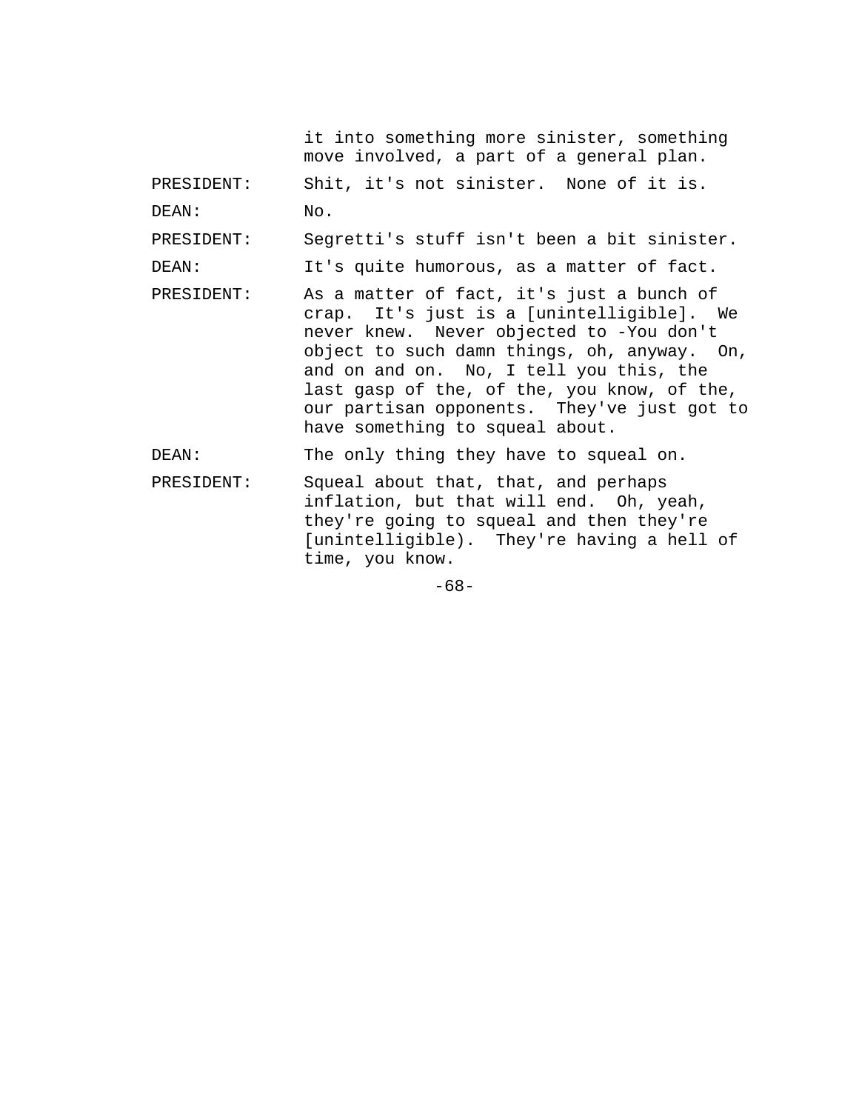it into something more sinister, something move involved, a part of a general plan.

PRESIDENT: Shit, it's not sinister. None of it is.

DEAN: No.

PRESIDENT: Segretti's stuff isn't been a bit sinister.

DEAN: It's quite humorous, as a matter of fact.

PRESIDENT: As a matter of fact, it's just a bunch of crap. It's just is a [unintelligible]. We never knew. Never objected to -You don't object to such damn things, oh, anyway. On, and on and on. No, I tell you this, the last gasp of the, of the, you know, of the, our partisan opponents. They've just got to have something to squeal about.

DEAN: The only thing they have to squeal on.

PRESIDENT: Squeal about that, that, and perhaps inflation, but that will end. Oh, yeah, they're going to squeal and then they're [unintelligible). They're having a hell of time, you know.

-68-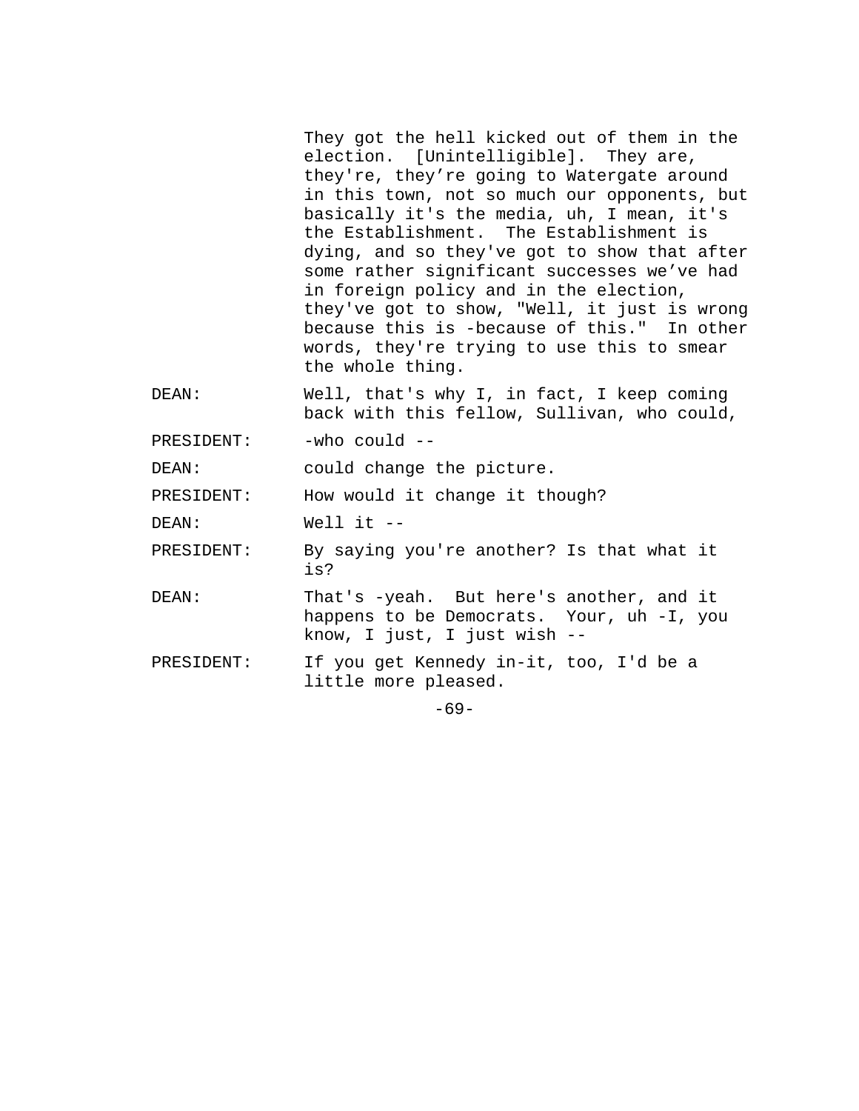They got the hell kicked out of them in the election. [Unintelligible]. They are, they're, they're going to Watergate around in this town, not so much our opponents, but basically it's the media, uh, I mean, it's the Establishment. The Establishment is dying, and so they've got to show that after some rather significant successes we've had in foreign policy and in the election, they've got to show, "Well, it just is wrong because this is -because of this." In other words, they're trying to use this to smear the whole thing.

- DEAN: Well, that's why I, in fact, I keep coming back with this fellow, Sullivan, who could,
- PRESIDENT: -who could --

DEAN: could change the picture.

PRESIDENT: How would it change it though?

DEAN: Well it --

PRESIDENT: By saying you're another? Is that what it is?

- DEAN: That's -yeah. But here's another, and it happens to be Democrats. Your, uh -I, you know, I just, I just wish --
- PRESIDENT: If you get Kennedy in-it, too, I'd be a little more pleased.

-69-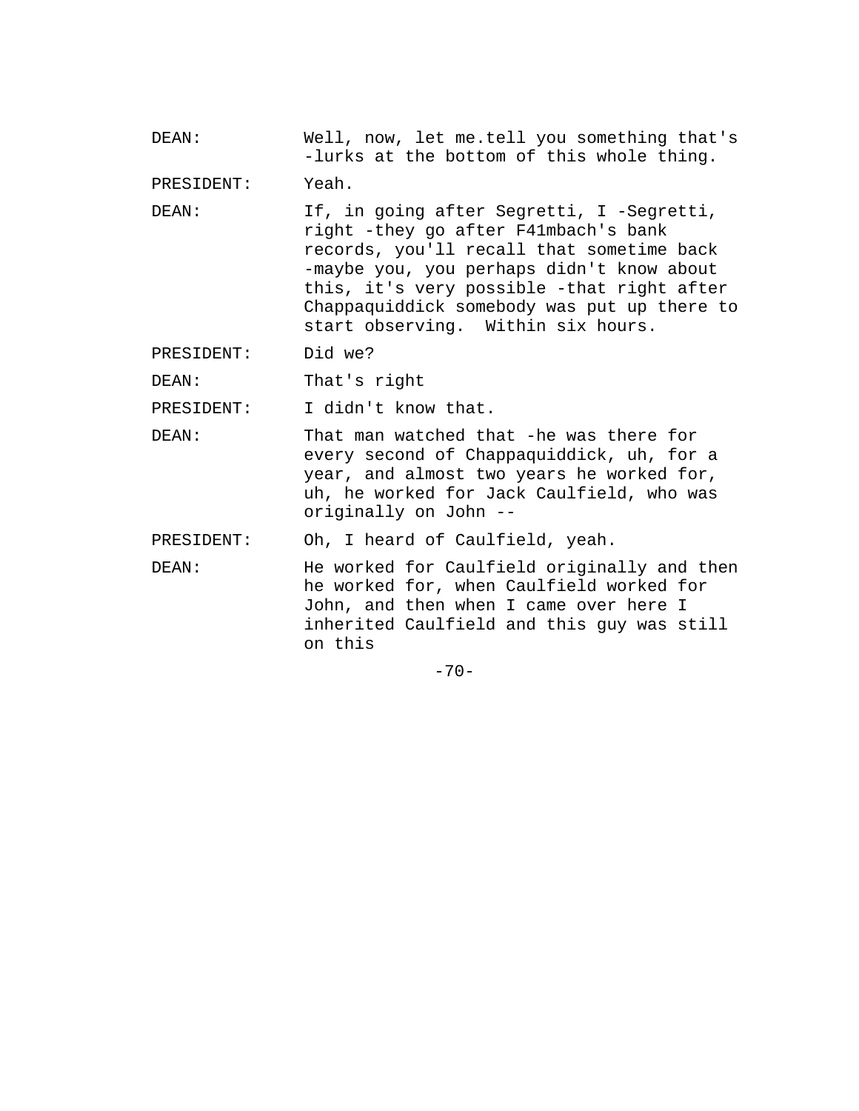DEAN: Well, now, let me.tell you something that's -lurks at the bottom of this whole thing.

PRESIDENT: Yeah.

DEAN: If, in going after Segretti, I -Segretti, right -they go after F41mbach's bank records, you'll recall that sometime back -maybe you, you perhaps didn't know about this, it's very possible -that right after Chappaquiddick somebody was put up there to start observing. Within six hours.

PRESIDENT: Did we?

DEAN: That's right

PRESIDENT: I didn't know that.

DEAN: That man watched that -he was there for every second of Chappaquiddick, uh, for a year, and almost two years he worked for, uh, he worked for Jack Caulfield, who was originally on John --

PRESIDENT: Oh, I heard of Caulfield, yeah.

DEAN: He worked for Caulfield originally and then he worked for, when Caulfield worked for John, and then when I came over here I inherited Caulfield and this guy was still on this

 $-70-$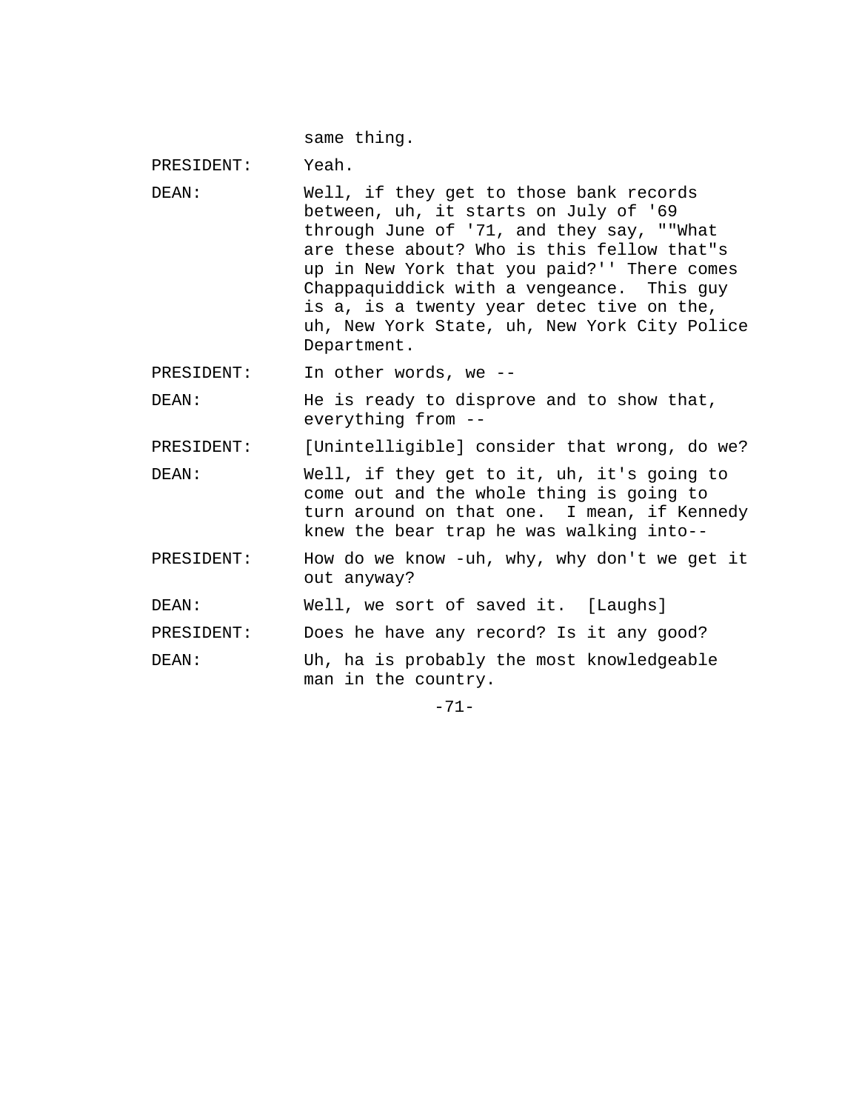same thing.

PRESIDENT: Yeah. DEAN: Well, if they get to those bank records between, uh, it starts on July of '69 through June of '71, and they say, ""What are these about? Who is this fellow that"s up in New York that you paid?'' There comes Chappaquiddick with a vengeance. This guy is a, is a twenty year detec tive on the, uh, New York State, uh, New York City Police Department. PRESIDENT: In other words, we --DEAN: He is ready to disprove and to show that, everything from -- PRESIDENT: [Unintelligible] consider that wrong, do we? DEAN: Well, if they get to it, uh, it's going to come out and the whole thing is going to turn around on that one. I mean, if Kennedy knew the bear trap he was walking into-- PRESIDENT: How do we know -uh, why, why don't we get it out anyway? DEAN: Well, we sort of saved it. [Laughs] PRESIDENT: Does he have any record? Is it any good? DEAN: Uh, ha is probably the most knowledgeable man in the country. -71-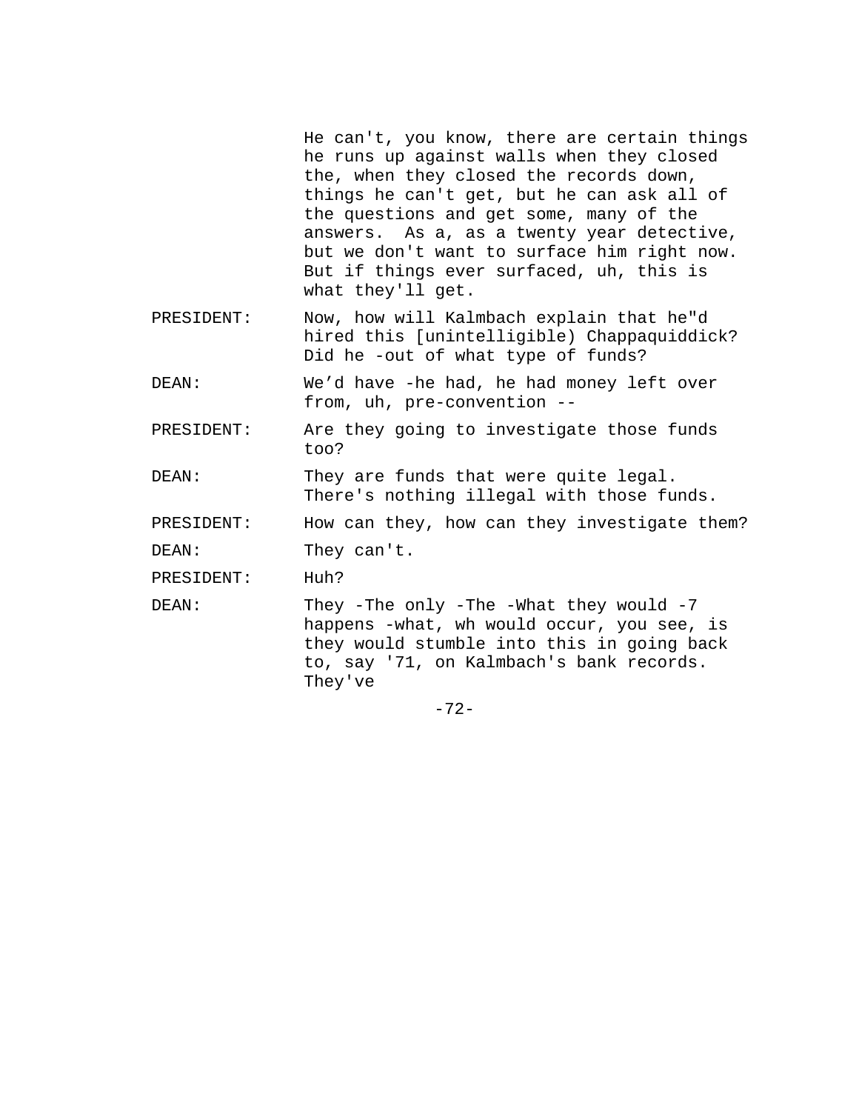He can't, you know, there are certain things he runs up against walls when they closed the, when they closed the records down, things he can't get, but he can ask all of the questions and get some, many of the answers. As a, as a twenty year detective, but we don't want to surface him right now. But if things ever surfaced, uh, this is what they'll get.

PRESIDENT: Now, how will Kalmbach explain that he"d hired this [unintelligible) Chappaquiddick? Did he -out of what type of funds?

DEAN: We'd have -he had, he had money left over from, uh, pre-convention --

PRESIDENT: Are they going to investigate those funds too?

DEAN: They are funds that were quite legal. There's nothing illegal with those funds.

PRESIDENT: How can they, how can they investigate them?

DEAN: They can't.

PRESIDENT: Huh?

DEAN: They -The only -The -What they would -7 happens -what, wh would occur, you see, is they would stumble into this in going back to, say '71, on Kalmbach's bank records. They've

-72-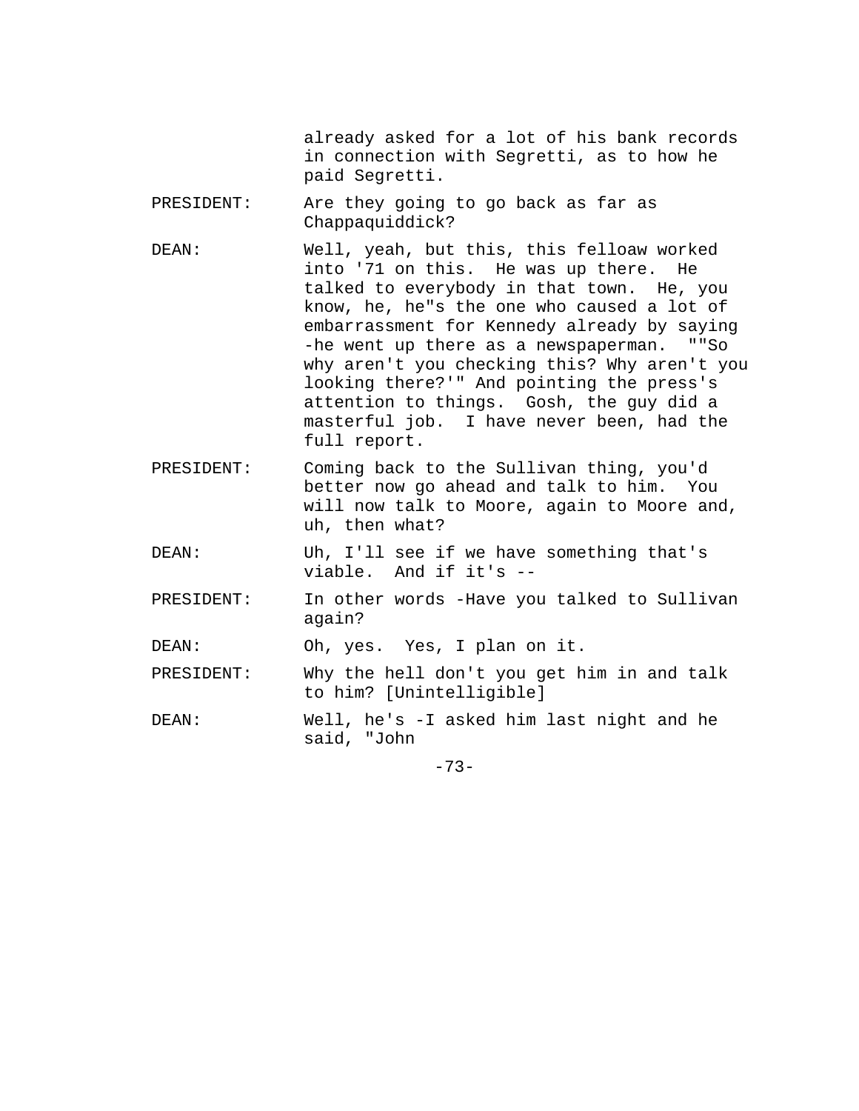already asked for a lot of his bank records in connection with Segretti, as to how he paid Segretti.

- PRESIDENT: Are they going to go back as far as Chappaquiddick?
- DEAN: Well, yeah, but this, this felloaw worked into '71 on this. He was up there. He talked to everybody in that town. He, you know, he, he"s the one who caused a lot of embarrassment for Kennedy already by saying -he went up there as a newspaperman. ""So why aren't you checking this? Why aren't you looking there?'" And pointing the press's attention to things. Gosh, the guy did a masterful job. I have never been, had the full report.
- PRESIDENT: Coming back to the Sullivan thing, you'd better now go ahead and talk to him. You will now talk to Moore, again to Moore and, uh, then what?
- DEAN: Uh, I'll see if we have something that's viable. And if it's --
- PRESIDENT: In other words -Have you talked to Sullivan again?

DEAN: Oh, yes. Yes, I plan on it.

PRESIDENT: Why the hell don't you get him in and talk to him? [Unintelligible]

DEAN: Well, he's -I asked him last night and he said, "John

-73-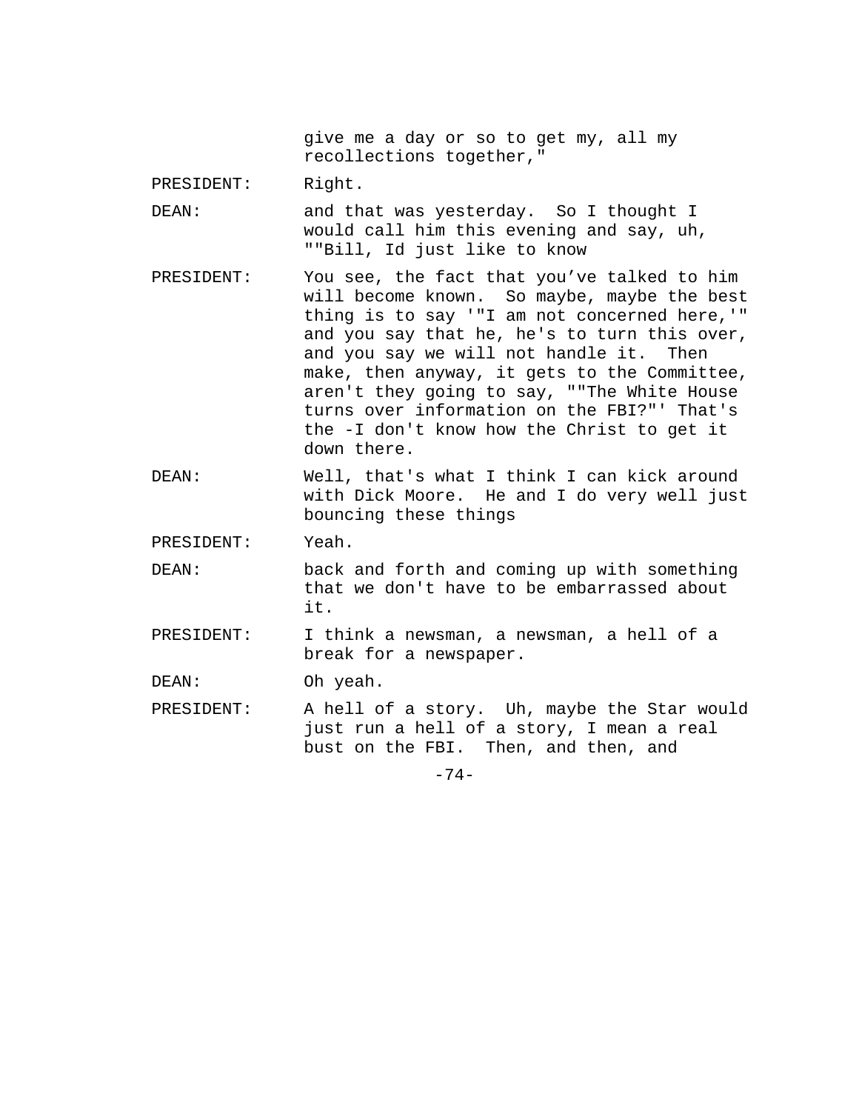give me a day or so to get my, all my recollections together,"

PRESIDENT: Right.

- DEAN: and that was yesterday. So I thought I would call him this evening and say, uh, ""Bill, Id just like to know
- PRESIDENT: You see, the fact that you've talked to him will become known. So maybe, maybe the best thing is to say '"I am not concerned here,'" and you say that he, he's to turn this over, and you say we will not handle it. Then make, then anyway, it gets to the Committee, aren't they going to say, ""The White House turns over information on the FBI?"' That's the -I don't know how the Christ to get it down there.
- DEAN: Well, that's what I think I can kick around with Dick Moore. He and I do very well just bouncing these things
- PRESIDENT: Yeah.
- DEAN: back and forth and coming up with something that we don't have to be embarrassed about it.
- PRESIDENT: I think a newsman, a newsman, a hell of a break for a newspaper.

DEAN: Oh yeah.

PRESIDENT: A hell of a story. Uh, maybe the Star would just run a hell of a story, I mean a real bust on the FBI. Then, and then, and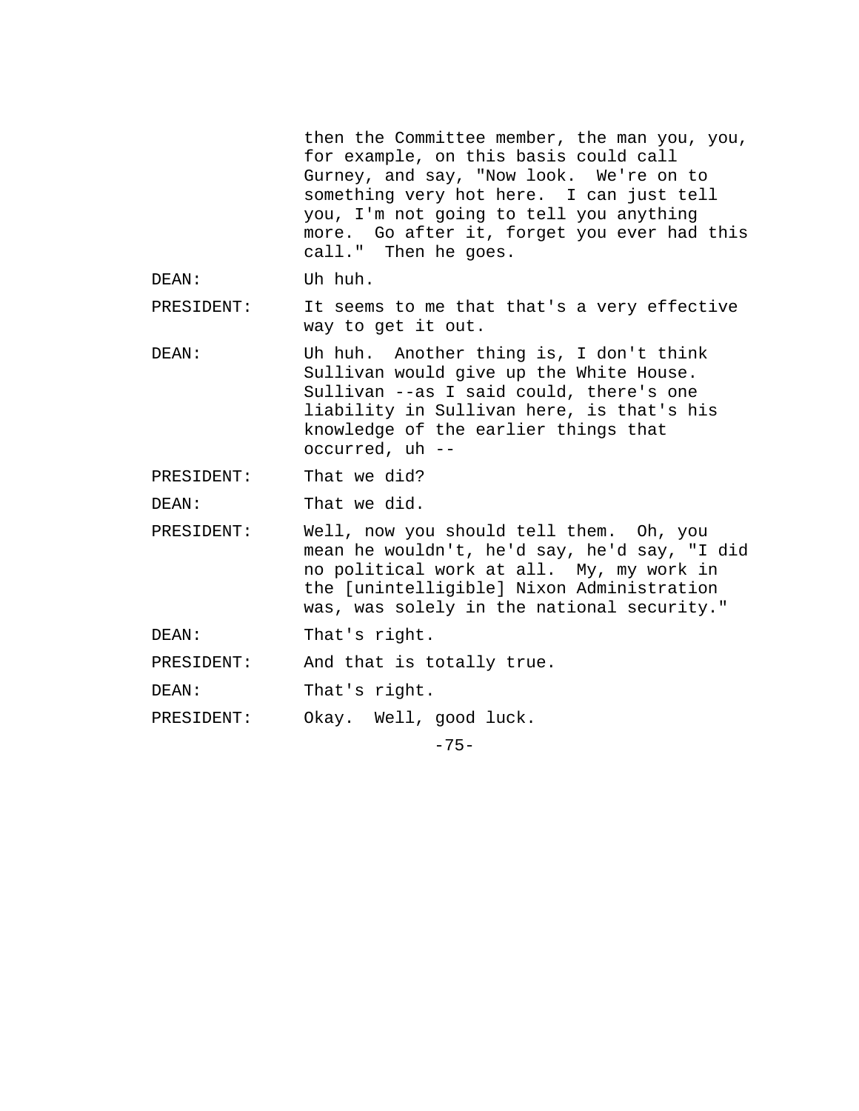then the Committee member, the man you, you, for example, on this basis could call Gurney, and say, "Now look. We're on to something very hot here. I can just tell you, I'm not going to tell you anything more. Go after it, forget you ever had this call." Then he goes. DEAN: Uh huh. PRESIDENT: It seems to me that that's a very effective way to get it out. DEAN: Uh huh. Another thing is, I don't think Sullivan would give up the White House. Sullivan --as I said could, there's one liability in Sullivan here, is that's his knowledge of the earlier things that occurred, uh -- PRESIDENT: That we did? DEAN: That we did. PRESIDENT: Well, now you should tell them. Oh, you mean he wouldn't, he'd say, he'd say, "I did no political work at all. My, my work in the [unintelligible] Nixon Administration was, was solely in the national security." DEAN: That's right. PRESIDENT: And that is totally true. DEAN: That's right. PRESIDENT: Okay. Well, good luck.  $-75-$